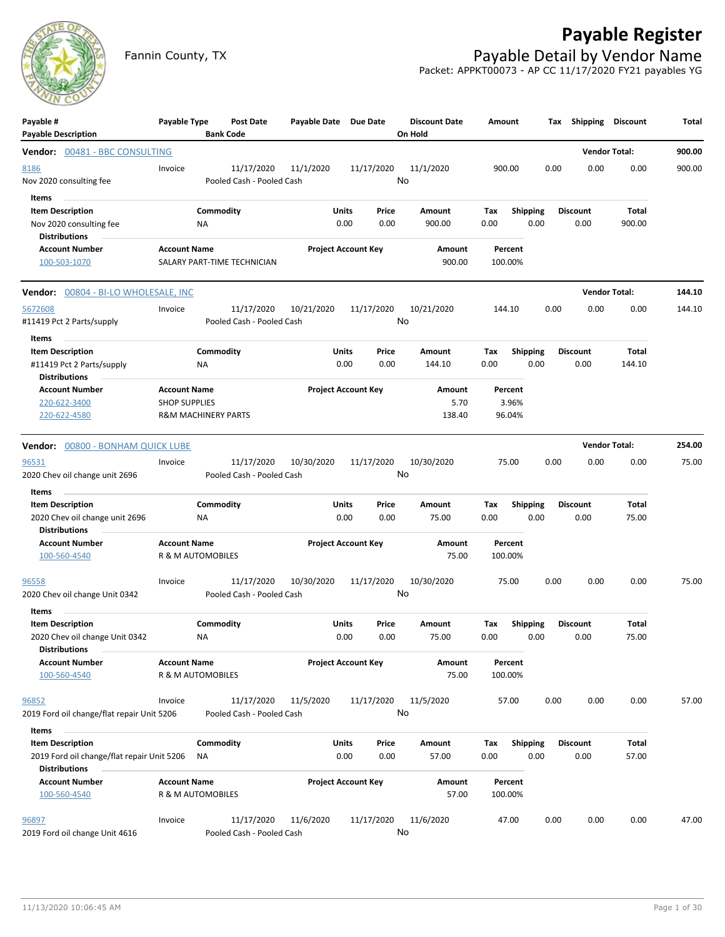# **Payable Register**



Fannin County, TX **Payable Detail by Vendor Name** Packet: APPKT00073 - AP CC 11/17/2020 FY21 payables YG

| Payable #<br><b>Payable Description</b>                                                                | Payable Type                                                                  |                 | <b>Post Date</b><br><b>Bank Code</b>    | Payable Date Due Date      |               |               | <b>Discount Date</b><br>On Hold | Amount                     |                         |      | Tax Shipping Discount   |                      | Total  |
|--------------------------------------------------------------------------------------------------------|-------------------------------------------------------------------------------|-----------------|-----------------------------------------|----------------------------|---------------|---------------|---------------------------------|----------------------------|-------------------------|------|-------------------------|----------------------|--------|
| Vendor: 00481 - BBC CONSULTING                                                                         |                                                                               |                 |                                         |                            |               |               |                                 |                            |                         |      |                         | <b>Vendor Total:</b> | 900.00 |
| 8186<br>Nov 2020 consulting fee                                                                        | Invoice                                                                       |                 | 11/17/2020<br>Pooled Cash - Pooled Cash | 11/1/2020                  |               | 11/17/2020    | 11/1/2020<br>No                 | 900.00                     |                         | 0.00 | 0.00                    | 0.00                 | 900.00 |
| Items<br><b>Item Description</b><br>Nov 2020 consulting fee<br><b>Distributions</b>                    |                                                                               | Commodity<br>ΝA |                                         |                            | Units<br>0.00 | Price<br>0.00 | Amount<br>900.00                | Tax<br>0.00                | <b>Shipping</b><br>0.00 |      | <b>Discount</b><br>0.00 | Total<br>900.00      |        |
| <b>Account Number</b><br>100-503-1070                                                                  | <b>Account Name</b>                                                           |                 | SALARY PART-TIME TECHNICIAN             | <b>Project Account Key</b> |               |               | Amount<br>900.00                | Percent<br>100.00%         |                         |      |                         |                      |        |
| Vendor: 00804 - BI-LO WHOLESALE, INC                                                                   |                                                                               |                 |                                         |                            |               |               |                                 |                            |                         |      |                         | <b>Vendor Total:</b> | 144.10 |
| 5672608<br>#11419 Pct 2 Parts/supply                                                                   | Invoice                                                                       |                 | 11/17/2020<br>Pooled Cash - Pooled Cash | 10/21/2020                 |               | 11/17/2020    | 10/21/2020<br>No                | 144.10                     |                         | 0.00 | 0.00                    | 0.00                 | 144.10 |
| Items<br><b>Item Description</b>                                                                       |                                                                               | Commodity       |                                         |                            | Units         | Price         | Amount                          | Tax                        | <b>Shipping</b>         |      | <b>Discount</b>         | Total                |        |
| #11419 Pct 2 Parts/supply<br><b>Distributions</b>                                                      |                                                                               | ΝA              |                                         |                            | 0.00          | 0.00          | 144.10                          | 0.00                       | 0.00                    |      | 0.00                    | 144.10               |        |
| <b>Account Number</b><br>220-622-3400<br>220-622-4580                                                  | <b>Account Name</b><br><b>SHOP SUPPLIES</b><br><b>R&amp;M MACHINERY PARTS</b> |                 |                                         | <b>Project Account Key</b> |               |               | <b>Amount</b><br>5.70<br>138.40 | Percent<br>3.96%<br>96.04% |                         |      |                         |                      |        |
| Vendor: 00800 - BONHAM QUICK LUBE                                                                      |                                                                               |                 |                                         |                            |               |               |                                 |                            |                         |      |                         | <b>Vendor Total:</b> | 254.00 |
| 96531<br>2020 Chev oil change unit 2696                                                                | Invoice                                                                       |                 | 11/17/2020<br>Pooled Cash - Pooled Cash | 10/30/2020                 |               | 11/17/2020    | 10/30/2020<br>No                | 75.00                      |                         | 0.00 | 0.00                    | 0.00                 | 75.00  |
| <b>Items</b><br><b>Item Description</b><br>2020 Chev oil change unit 2696<br><b>Distributions</b>      |                                                                               | Commodity<br>ΝA |                                         |                            | Units<br>0.00 | Price<br>0.00 | Amount<br>75.00                 | Tax<br>0.00                | <b>Shipping</b><br>0.00 |      | <b>Discount</b><br>0.00 | Total<br>75.00       |        |
| <b>Account Number</b><br>100-560-4540                                                                  | <b>Account Name</b><br>R & M AUTOMOBILES                                      |                 |                                         | <b>Project Account Key</b> |               |               | Amount<br>75.00                 | Percent<br>100.00%         |                         |      |                         |                      |        |
| 96558<br>2020 Chev oil change Unit 0342                                                                | Invoice                                                                       |                 | 11/17/2020<br>Pooled Cash - Pooled Cash | 10/30/2020                 |               | 11/17/2020    | 10/30/2020<br>No                | 75.00                      |                         | 0.00 | 0.00                    | 0.00                 | 75.00  |
| Items<br><b>Item Description</b>                                                                       |                                                                               | Commodity       |                                         |                            | Units         | Price         | Amount                          | Tax                        | <b>Shipping</b>         |      | <b>Discount</b>         | Total                |        |
| 2020 Chev oil change Unit 0342<br><b>Distributions</b>                                                 |                                                                               | ΝA              |                                         |                            | 0.00          | 0.00          | 75.00                           | 0.00                       | 0.00                    |      | 0.00                    | 75.00                |        |
| <b>Account Number</b><br>100-560-4540                                                                  | <b>Account Name</b><br>R & M AUTOMOBILES                                      |                 |                                         | <b>Project Account Key</b> |               |               | Amount<br>75.00                 | Percent<br>100.00%         |                         |      |                         |                      |        |
| 96852<br>2019 Ford oil change/flat repair Unit 5206                                                    | Invoice                                                                       |                 | 11/17/2020<br>Pooled Cash - Pooled Cash | 11/5/2020                  |               | 11/17/2020    | 11/5/2020<br>No                 | 57.00                      |                         | 0.00 | 0.00                    | 0.00                 | 57.00  |
| Items<br><b>Item Description</b><br>2019 Ford oil change/flat repair Unit 5206<br><b>Distributions</b> |                                                                               | Commodity<br>ΝA |                                         |                            | Units<br>0.00 | Price<br>0.00 | Amount<br>57.00                 | Tax<br>0.00                | <b>Shipping</b><br>0.00 |      | <b>Discount</b><br>0.00 | Total<br>57.00       |        |
| <b>Account Number</b><br>100-560-4540                                                                  | <b>Account Name</b><br>R & M AUTOMOBILES                                      |                 |                                         | <b>Project Account Key</b> |               |               | Amount<br>57.00                 | Percent<br>100.00%         |                         |      |                         |                      |        |
| 96897<br>2019 Ford oil change Unit 4616                                                                | Invoice                                                                       |                 | 11/17/2020<br>Pooled Cash - Pooled Cash | 11/6/2020                  |               | 11/17/2020    | 11/6/2020<br>No                 | 47.00                      |                         | 0.00 | 0.00                    | 0.00                 | 47.00  |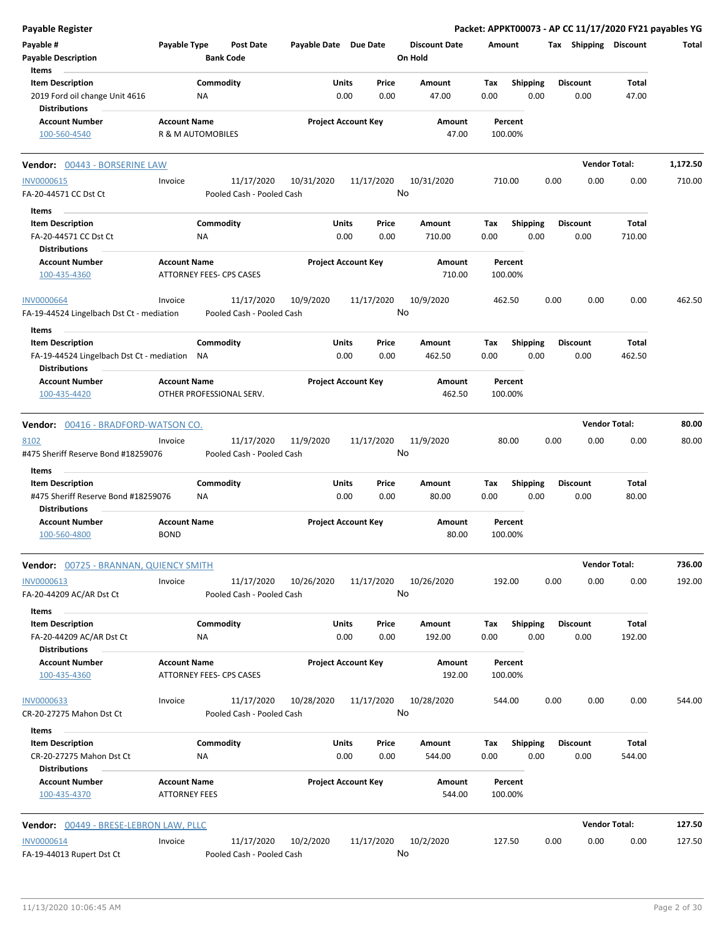| <b>Payable Register</b>                                                                      |                                             |                        |                                         |                            |               |                  |                                 |             |                         |      |                         | Packet: APPKT00073 - AP CC 11/17/2020 FY21 payables YG |          |
|----------------------------------------------------------------------------------------------|---------------------------------------------|------------------------|-----------------------------------------|----------------------------|---------------|------------------|---------------------------------|-------------|-------------------------|------|-------------------------|--------------------------------------------------------|----------|
| Payable #<br><b>Payable Description</b>                                                      | Payable Type                                |                        | <b>Post Date</b><br><b>Bank Code</b>    | Payable Date Due Date      |               |                  | <b>Discount Date</b><br>On Hold | Amount      |                         |      | Tax Shipping Discount   |                                                        | Total    |
| Items                                                                                        |                                             |                        |                                         |                            |               |                  | Amount                          |             |                         |      |                         |                                                        |          |
| <b>Item Description</b><br>2019 Ford oil change Unit 4616<br><b>Distributions</b>            |                                             | Commodity<br><b>NA</b> |                                         |                            | Units<br>0.00 | Price<br>0.00    | 47.00                           | Tax<br>0.00 | Shipping<br>0.00        |      | <b>Discount</b><br>0.00 | Total<br>47.00                                         |          |
| <b>Account Number</b>                                                                        | <b>Account Name</b>                         |                        |                                         | <b>Project Account Key</b> |               |                  | Amount                          |             | Percent                 |      |                         |                                                        |          |
| 100-560-4540                                                                                 | R & M AUTOMOBILES                           |                        |                                         |                            |               |                  | 47.00                           |             | 100.00%                 |      |                         |                                                        |          |
| Vendor: 00443 - BORSERINE LAW                                                                |                                             |                        |                                         |                            |               |                  |                                 |             |                         |      |                         | <b>Vendor Total:</b>                                   | 1,172.50 |
| <b>INV0000615</b><br>FA-20-44571 CC Dst Ct                                                   | Invoice                                     |                        | 11/17/2020<br>Pooled Cash - Pooled Cash | 10/31/2020                 |               | 11/17/2020<br>No | 10/31/2020                      |             | 710.00                  | 0.00 | 0.00                    | 0.00                                                   | 710.00   |
| Items                                                                                        |                                             |                        |                                         |                            |               |                  |                                 |             |                         |      |                         |                                                        |          |
| <b>Item Description</b><br>FA-20-44571 CC Dst Ct<br><b>Distributions</b>                     |                                             | Commodity<br>ΝA        |                                         |                            | Units<br>0.00 | Price<br>0.00    | Amount<br>710.00                | Tax<br>0.00 | <b>Shipping</b><br>0.00 |      | <b>Discount</b><br>0.00 | Total<br>710.00                                        |          |
| <b>Account Number</b><br>100-435-4360                                                        | <b>Account Name</b>                         |                        | ATTORNEY FEES- CPS CASES                | <b>Project Account Key</b> |               |                  | Amount<br>710.00                |             | Percent<br>100.00%      |      |                         |                                                        |          |
| <b>INV0000664</b><br>FA-19-44524 Lingelbach Dst Ct - mediation                               | Invoice                                     |                        | 11/17/2020<br>Pooled Cash - Pooled Cash | 10/9/2020                  |               | 11/17/2020<br>No | 10/9/2020                       |             | 462.50                  | 0.00 | 0.00                    | 0.00                                                   | 462.50   |
| Items                                                                                        |                                             |                        |                                         |                            |               |                  |                                 |             |                         |      |                         |                                                        |          |
| <b>Item Description</b><br>FA-19-44524 Lingelbach Dst Ct - mediation<br><b>Distributions</b> |                                             | Commodity<br>NA        |                                         |                            | Units<br>0.00 | Price<br>0.00    | Amount<br>462.50                | Tax<br>0.00 | <b>Shipping</b><br>0.00 |      | <b>Discount</b><br>0.00 | Total<br>462.50                                        |          |
| <b>Account Number</b><br>100-435-4420                                                        | <b>Account Name</b>                         |                        | OTHER PROFESSIONAL SERV.                | <b>Project Account Key</b> |               |                  | Amount<br>462.50                |             | Percent<br>100.00%      |      |                         |                                                        |          |
| Vendor: 00416 - BRADFORD-WATSON CO.                                                          |                                             |                        |                                         |                            |               |                  |                                 |             |                         |      |                         | <b>Vendor Total:</b>                                   | 80.00    |
| 8102                                                                                         | Invoice                                     |                        | 11/17/2020                              | 11/9/2020                  |               | 11/17/2020       | 11/9/2020                       |             | 80.00                   | 0.00 | 0.00                    | 0.00                                                   | 80.00    |
| #475 Sheriff Reserve Bond #18259076                                                          |                                             |                        | Pooled Cash - Pooled Cash               |                            |               | No               |                                 |             |                         |      |                         |                                                        |          |
| Items                                                                                        |                                             |                        |                                         |                            |               |                  |                                 |             |                         |      |                         |                                                        |          |
| <b>Item Description</b><br>#475 Sheriff Reserve Bond #18259076                               |                                             | Commodity<br>NA        |                                         |                            | Units<br>0.00 | Price<br>0.00    | Amount<br>80.00                 | Tax<br>0.00 | Shipping<br>0.00        |      | <b>Discount</b><br>0.00 | Total<br>80.00                                         |          |
| <b>Distributions</b><br><b>Account Number</b><br>100-560-4800                                | <b>Account Name</b><br><b>BOND</b>          |                        |                                         | <b>Project Account Key</b> |               |                  | Amount<br>80.00                 |             | Percent<br>100.00%      |      |                         |                                                        |          |
| <b>Vendor: 00725 - BRANNAN, QUIENCY SMITH</b>                                                |                                             |                        |                                         |                            |               |                  |                                 |             |                         |      |                         | <b>Vendor Total:</b>                                   | 736.00   |
| INV0000613                                                                                   | Invoice                                     |                        | 11/17/2020                              | 10/26/2020                 |               | 11/17/2020       | 10/26/2020                      |             | 192.00                  | 0.00 | 0.00                    | 0.00                                                   | 192.00   |
| FA-20-44209 AC/AR Dst Ct<br>Items                                                            |                                             |                        | Pooled Cash - Pooled Cash               |                            |               | No               |                                 |             |                         |      |                         |                                                        |          |
| <b>Item Description</b>                                                                      |                                             | Commodity              |                                         |                            | Units         | Price            | Amount                          | Tax         | Shipping                |      | <b>Discount</b>         | Total                                                  |          |
| FA-20-44209 AC/AR Dst Ct<br><b>Distributions</b>                                             |                                             | NA                     |                                         |                            | 0.00          | 0.00             | 192.00                          | 0.00        | 0.00                    |      | 0.00                    | 192.00                                                 |          |
| <b>Account Number</b><br>100-435-4360                                                        | <b>Account Name</b>                         |                        | <b>ATTORNEY FEES- CPS CASES</b>         | <b>Project Account Key</b> |               |                  | Amount<br>192.00                |             | Percent<br>100.00%      |      |                         |                                                        |          |
| <b>INV0000633</b><br>CR-20-27275 Mahon Dst Ct                                                | Invoice                                     |                        | 11/17/2020<br>Pooled Cash - Pooled Cash | 10/28/2020                 |               | 11/17/2020<br>No | 10/28/2020                      |             | 544.00                  | 0.00 | 0.00                    | 0.00                                                   | 544.00   |
| Items                                                                                        |                                             |                        |                                         |                            |               |                  |                                 |             |                         |      |                         |                                                        |          |
| <b>Item Description</b><br>CR-20-27275 Mahon Dst Ct<br><b>Distributions</b>                  |                                             | Commodity<br><b>NA</b> |                                         |                            | Units<br>0.00 | Price<br>0.00    | Amount<br>544.00                | Tax<br>0.00 | <b>Shipping</b><br>0.00 |      | <b>Discount</b><br>0.00 | Total<br>544.00                                        |          |
| <b>Account Number</b><br>100-435-4370                                                        | <b>Account Name</b><br><b>ATTORNEY FEES</b> |                        |                                         | <b>Project Account Key</b> |               |                  | Amount<br>544.00                |             | Percent<br>100.00%      |      |                         |                                                        |          |
|                                                                                              |                                             |                        |                                         |                            |               |                  |                                 |             |                         |      |                         | <b>Vendor Total:</b>                                   | 127.50   |
| Vendor: 00449 - BRESE-LEBRON LAW, PLLC                                                       |                                             |                        |                                         |                            |               |                  |                                 |             |                         |      |                         |                                                        |          |
| <b>INV0000614</b><br>FA-19-44013 Rupert Dst Ct                                               | Invoice                                     |                        | 11/17/2020<br>Pooled Cash - Pooled Cash | 10/2/2020                  |               | 11/17/2020<br>No | 10/2/2020                       |             | 127.50                  | 0.00 | 0.00                    | 0.00                                                   | 127.50   |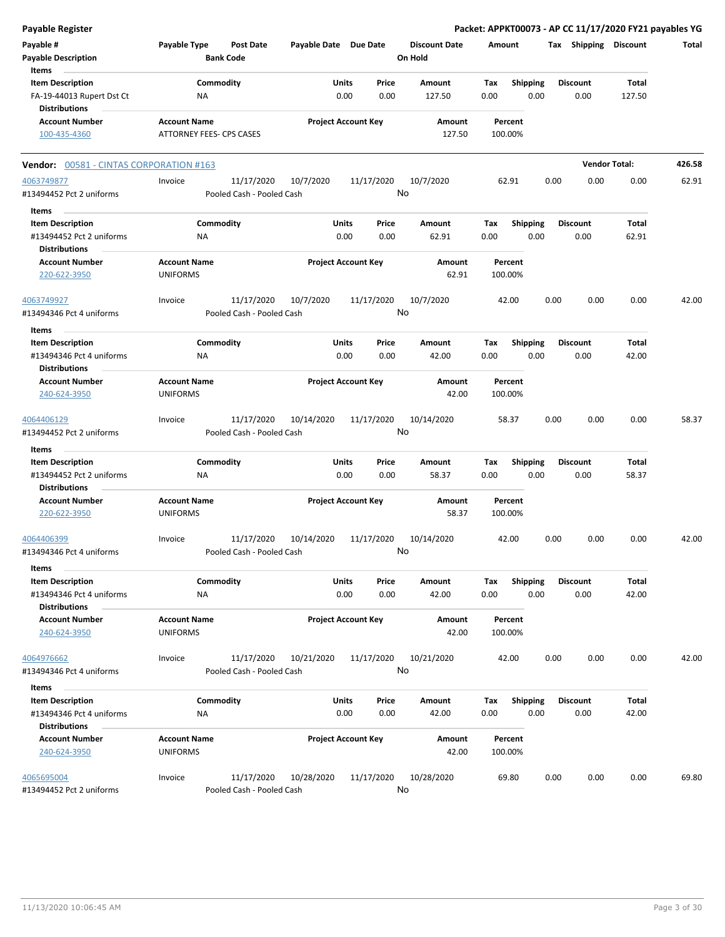| <b>Payable Register</b>                          |                                        |                                         |                       |                            |                                 | Packet: APPKT00073 - AP CC 11/17/2020 FY21 payables YG |      |                       |                      |        |
|--------------------------------------------------|----------------------------------------|-----------------------------------------|-----------------------|----------------------------|---------------------------------|--------------------------------------------------------|------|-----------------------|----------------------|--------|
| Payable #<br><b>Payable Description</b>          | Payable Type                           | <b>Post Date</b><br><b>Bank Code</b>    | Payable Date Due Date |                            | <b>Discount Date</b><br>On Hold | Amount                                                 |      | Tax Shipping Discount |                      | Total  |
| Items<br><b>Item Description</b>                 |                                        | Commodity                               |                       | Units<br>Price             | Amount                          | <b>Shipping</b><br>Tax                                 |      | <b>Discount</b>       | Total                |        |
| FA-19-44013 Rupert Dst Ct                        | NA                                     |                                         |                       | 0.00<br>0.00               | 127.50                          | 0.00                                                   | 0.00 | 0.00                  | 127.50               |        |
| <b>Distributions</b>                             |                                        |                                         |                       |                            |                                 |                                                        |      |                       |                      |        |
| <b>Account Number</b>                            | <b>Account Name</b>                    |                                         |                       | <b>Project Account Key</b> | Amount                          | Percent                                                |      |                       |                      |        |
| 100-435-4360                                     | ATTORNEY FEES- CPS CASES               |                                         |                       |                            | 127.50                          | 100.00%                                                |      |                       |                      |        |
| <b>Vendor: 00581 - CINTAS CORPORATION #163</b>   |                                        |                                         |                       |                            |                                 |                                                        |      |                       | <b>Vendor Total:</b> | 426.58 |
| 4063749877                                       | Invoice                                | 11/17/2020                              | 10/7/2020             | 11/17/2020                 | 10/7/2020                       | 62.91                                                  | 0.00 | 0.00                  | 0.00                 | 62.91  |
| #13494452 Pct 2 uniforms                         |                                        | Pooled Cash - Pooled Cash               |                       |                            | No                              |                                                        |      |                       |                      |        |
| Items<br><b>Item Description</b>                 |                                        | Commodity                               |                       | Units<br>Price             | Amount                          | <b>Shipping</b><br>Tax                                 |      | <b>Discount</b>       | Total                |        |
| #13494452 Pct 2 uniforms                         | ΝA                                     |                                         |                       | 0.00<br>0.00               | 62.91                           | 0.00                                                   | 0.00 | 0.00                  | 62.91                |        |
| <b>Distributions</b><br><b>Account Number</b>    | <b>Account Name</b>                    |                                         |                       | <b>Project Account Key</b> | Amount                          | Percent                                                |      |                       |                      |        |
| 220-622-3950                                     | <b>UNIFORMS</b>                        |                                         |                       |                            | 62.91                           | 100.00%                                                |      |                       |                      |        |
| 4063749927                                       | Invoice                                | 11/17/2020                              | 10/7/2020             | 11/17/2020                 | 10/7/2020                       | 42.00                                                  | 0.00 | 0.00                  | 0.00                 | 42.00  |
| #13494346 Pct 4 uniforms                         |                                        | Pooled Cash - Pooled Cash               |                       |                            | No                              |                                                        |      |                       |                      |        |
| Items                                            |                                        |                                         |                       |                            |                                 |                                                        |      |                       |                      |        |
| <b>Item Description</b>                          |                                        | Commodity                               |                       | Units<br>Price             | Amount                          | <b>Shipping</b><br>Tax                                 |      | <b>Discount</b>       | Total                |        |
| #13494346 Pct 4 uniforms<br><b>Distributions</b> | <b>NA</b>                              |                                         |                       | 0.00<br>0.00               | 42.00                           | 0.00                                                   | 0.00 | 0.00                  | 42.00                |        |
| <b>Account Number</b>                            | <b>Account Name</b>                    |                                         |                       | <b>Project Account Key</b> | Amount                          | Percent                                                |      |                       |                      |        |
| 240-624-3950                                     | <b>UNIFORMS</b>                        |                                         |                       |                            | 42.00                           | 100.00%                                                |      |                       |                      |        |
| 4064406129                                       | Invoice                                | 11/17/2020                              | 10/14/2020            | 11/17/2020                 | 10/14/2020                      | 58.37                                                  | 0.00 | 0.00                  | 0.00                 | 58.37  |
| #13494452 Pct 2 uniforms                         |                                        | Pooled Cash - Pooled Cash               |                       |                            | No                              |                                                        |      |                       |                      |        |
| Items                                            |                                        |                                         |                       |                            |                                 |                                                        |      |                       |                      |        |
| <b>Item Description</b>                          |                                        | Commodity                               |                       | Units<br>Price             | Amount                          | Tax<br><b>Shipping</b>                                 |      | <b>Discount</b>       | Total                |        |
| #13494452 Pct 2 uniforms<br><b>Distributions</b> | NA                                     |                                         |                       | 0.00<br>0.00               | 58.37                           | 0.00                                                   | 0.00 | 0.00                  | 58.37                |        |
| <b>Account Number</b>                            | <b>Account Name</b>                    |                                         |                       | <b>Project Account Key</b> | Amount                          | Percent                                                |      |                       |                      |        |
| 220-622-3950                                     | <b>UNIFORMS</b>                        |                                         |                       |                            | 58.37                           | 100.00%                                                |      |                       |                      |        |
| 4064406399<br>#13494346 Pct 4 uniforms           | Invoice                                | 11/17/2020<br>Pooled Cash - Pooled Cash | 10/14/2020            | 11/17/2020                 | 10/14/2020<br>No                | 42.00                                                  | 0.00 | 0.00                  | 0.00                 | 42.00  |
| Items                                            |                                        |                                         |                       |                            |                                 |                                                        |      |                       |                      |        |
| <b>Item Description</b>                          |                                        | Commodity                               |                       | Units<br>Price             | Amount                          | Tax<br><b>Shipping</b>                                 |      | <b>Discount</b>       | Total                |        |
| #13494346 Pct 4 uniforms                         | ΝA                                     |                                         |                       | 0.00<br>0.00               | 42.00                           | 0.00                                                   | 0.00 | 0.00                  | 42.00                |        |
| <b>Distributions</b>                             |                                        |                                         |                       |                            |                                 |                                                        |      |                       |                      |        |
| <b>Account Number</b><br>240-624-3950            | <b>Account Name</b><br><b>UNIFORMS</b> |                                         |                       | <b>Project Account Key</b> | Amount<br>42.00                 | Percent<br>100.00%                                     |      |                       |                      |        |
| 4064976662                                       | Invoice                                | 11/17/2020                              | 10/21/2020            | 11/17/2020                 | 10/21/2020                      | 42.00                                                  | 0.00 | 0.00                  | 0.00                 | 42.00  |
| #13494346 Pct 4 uniforms                         |                                        | Pooled Cash - Pooled Cash               |                       |                            | No                              |                                                        |      |                       |                      |        |
| Items                                            |                                        |                                         |                       |                            |                                 |                                                        |      |                       |                      |        |
| <b>Item Description</b>                          |                                        | Commodity                               |                       | Units<br>Price             | Amount                          | <b>Shipping</b><br>Tax                                 |      | <b>Discount</b>       | Total                |        |
| #13494346 Pct 4 uniforms<br><b>Distributions</b> | NA                                     |                                         |                       | 0.00<br>0.00               | 42.00                           | 0.00                                                   | 0.00 | 0.00                  | 42.00                |        |
| <b>Account Number</b>                            | <b>Account Name</b>                    |                                         |                       | <b>Project Account Key</b> | Amount                          | Percent                                                |      |                       |                      |        |
| 240-624-3950                                     | <b>UNIFORMS</b>                        |                                         |                       |                            | 42.00                           | 100.00%                                                |      |                       |                      |        |
| 4065695004                                       | Invoice                                | 11/17/2020                              | 10/28/2020            | 11/17/2020                 | 10/28/2020                      | 69.80                                                  | 0.00 | 0.00                  | 0.00                 | 69.80  |
| #13494452 Pct 2 uniforms                         |                                        | Pooled Cash - Pooled Cash               |                       |                            | No                              |                                                        |      |                       |                      |        |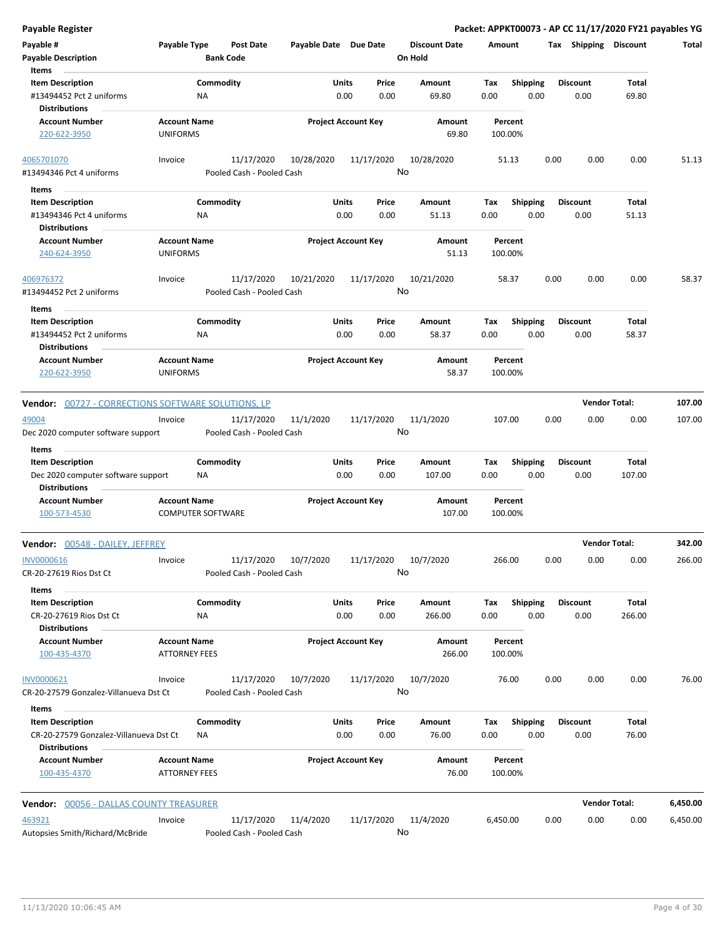| <b>Payable Register</b>                                                                   |                                                 |                                         |                       |                            |                                 |                    |                         |                         | Packet: APPKT00073 - AP CC 11/17/2020 FY21 payables YG |          |
|-------------------------------------------------------------------------------------------|-------------------------------------------------|-----------------------------------------|-----------------------|----------------------------|---------------------------------|--------------------|-------------------------|-------------------------|--------------------------------------------------------|----------|
| Payable #<br><b>Payable Description</b>                                                   | Payable Type                                    | <b>Post Date</b><br><b>Bank Code</b>    | Payable Date Due Date |                            | <b>Discount Date</b><br>On Hold | Amount             |                         |                         | Tax Shipping Discount                                  | Total    |
| Items                                                                                     |                                                 |                                         |                       |                            |                                 |                    |                         |                         |                                                        |          |
| <b>Item Description</b><br>#13494452 Pct 2 uniforms<br>Distributions                      | Commodity<br>NA                                 |                                         | Units                 | Price<br>0.00<br>0.00      | <b>Amount</b><br>69.80          | Tax<br>0.00        | <b>Shipping</b><br>0.00 | <b>Discount</b><br>0.00 | Total<br>69.80                                         |          |
| <b>Account Number</b><br>220-622-3950                                                     | <b>Account Name</b><br><b>UNIFORMS</b>          |                                         |                       | <b>Project Account Key</b> | Amount<br>69.80                 | Percent<br>100.00% |                         |                         |                                                        |          |
|                                                                                           |                                                 |                                         |                       | 11/17/2020                 |                                 |                    |                         | 0.00                    | 0.00<br>0.00                                           | 51.13    |
| 4065701070<br>#13494346 Pct 4 uniforms                                                    | Invoice                                         | 11/17/2020<br>Pooled Cash - Pooled Cash | 10/28/2020            |                            | 10/28/2020<br>No                | 51.13              |                         |                         |                                                        |          |
| Items                                                                                     |                                                 |                                         |                       |                            |                                 |                    |                         |                         |                                                        |          |
| <b>Item Description</b>                                                                   | Commodity                                       |                                         |                       | Units<br>Price             | Amount                          | Tax                | <b>Shipping</b>         | <b>Discount</b>         | Total                                                  |          |
| #13494346 Pct 4 uniforms                                                                  | ΝA                                              |                                         |                       | 0.00<br>0.00               | 51.13                           | 0.00               | 0.00                    | 0.00                    | 51.13                                                  |          |
| <b>Distributions</b><br><b>Account Number</b>                                             | <b>Account Name</b>                             |                                         |                       | <b>Project Account Key</b> | Amount                          | Percent            |                         |                         |                                                        |          |
| 240-624-3950                                                                              | <b>UNIFORMS</b>                                 |                                         |                       |                            | 51.13                           | 100.00%            |                         |                         |                                                        |          |
| 406976372<br>#13494452 Pct 2 uniforms                                                     | Invoice                                         | 11/17/2020<br>Pooled Cash - Pooled Cash | 10/21/2020            | 11/17/2020                 | 10/21/2020<br>No                | 58.37              |                         | 0.00                    | 0.00<br>0.00                                           | 58.37    |
| Items                                                                                     |                                                 |                                         |                       |                            |                                 |                    |                         |                         |                                                        |          |
| <b>Item Description</b><br>#13494452 Pct 2 uniforms                                       | Commodity<br>ΝA                                 |                                         | Units                 | Price<br>0.00<br>0.00      | Amount<br>58.37                 | Tax<br>0.00        | <b>Shipping</b><br>0.00 | <b>Discount</b><br>0.00 | Total<br>58.37                                         |          |
| Distributions                                                                             |                                                 |                                         |                       |                            |                                 |                    |                         |                         |                                                        |          |
| <b>Account Number</b><br>220-622-3950                                                     | <b>Account Name</b><br><b>UNIFORMS</b>          |                                         |                       | <b>Project Account Key</b> | Amount<br>58.37                 | Percent<br>100.00% |                         |                         |                                                        |          |
| <b>Vendor:</b> 00727 - CORRECTIONS SOFTWARE SOLUTIONS, LP                                 |                                                 |                                         |                       |                            |                                 |                    |                         |                         | <b>Vendor Total:</b>                                   | 107.00   |
|                                                                                           |                                                 |                                         |                       |                            |                                 |                    |                         |                         |                                                        |          |
| 49004<br>Dec 2020 computer software support                                               | Invoice                                         | 11/17/2020<br>Pooled Cash - Pooled Cash | 11/1/2020             | 11/17/2020                 | 11/1/2020<br>No                 | 107.00             |                         | 0.00                    | 0.00<br>0.00                                           | 107.00   |
| Items                                                                                     |                                                 |                                         |                       |                            |                                 |                    |                         |                         |                                                        |          |
| <b>Item Description</b>                                                                   | Commodity                                       |                                         | Units                 | Price                      | Amount                          | Tax                | <b>Shipping</b>         | <b>Discount</b>         | Total                                                  |          |
| Dec 2020 computer software support<br><b>Distributions</b>                                | NA                                              |                                         |                       | 0.00<br>0.00               | 107.00                          | 0.00               | 0.00                    | 0.00                    | 107.00                                                 |          |
| <b>Account Number</b><br>100-573-4530                                                     | <b>Account Name</b><br><b>COMPUTER SOFTWARE</b> |                                         |                       | <b>Project Account Key</b> | <b>Amount</b><br>107.00         | Percent<br>100.00% |                         |                         |                                                        |          |
| Vendor: 00548 - DAILEY, JEFFREY                                                           |                                                 |                                         |                       |                            |                                 |                    |                         |                         | <b>Vendor Total:</b>                                   | 342.00   |
| INV0000616<br>CR-20-27619 Rios Dst Ct                                                     | Invoice                                         | 11/17/2020<br>Pooled Cash - Pooled Cash | 10/7/2020             | 11/17/2020                 | 10/7/2020<br>No                 | 266.00             |                         | 0.00                    | 0.00<br>0.00                                           | 266.00   |
| Items                                                                                     |                                                 |                                         |                       |                            |                                 |                    |                         |                         |                                                        |          |
| <b>Item Description</b><br>CR-20-27619 Rios Dst Ct                                        | Commodity<br>NA                                 |                                         | Units                 | Price<br>0.00<br>0.00      | Amount<br>266.00                | Tax<br>0.00        | <b>Shipping</b><br>0.00 | <b>Discount</b><br>0.00 | Total<br>266.00                                        |          |
| <b>Distributions</b><br><b>Account Number</b><br>100-435-4370                             | <b>Account Name</b><br>ATTORNEY FEES            |                                         |                       | <b>Project Account Key</b> | Amount<br>266.00                | Percent<br>100.00% |                         |                         |                                                        |          |
| INV0000621                                                                                | Invoice                                         | 11/17/2020                              | 10/7/2020             | 11/17/2020                 | 10/7/2020<br>No                 | 76.00              |                         | 0.00                    | 0.00<br>0.00                                           | 76.00    |
| CR-20-27579 Gonzalez-Villanueva Dst Ct                                                    |                                                 | Pooled Cash - Pooled Cash               |                       |                            |                                 |                    |                         |                         |                                                        |          |
| Items                                                                                     |                                                 |                                         |                       |                            |                                 |                    |                         |                         |                                                        |          |
| <b>Item Description</b><br>CR-20-27579 Gonzalez-Villanueva Dst Ct<br><b>Distributions</b> | Commodity<br>ΝA                                 |                                         | Units                 | Price<br>0.00<br>0.00      | Amount<br>76.00                 | Tax<br>0.00        | <b>Shipping</b><br>0.00 | <b>Discount</b><br>0.00 | Total<br>76.00                                         |          |
| <b>Account Number</b><br>100-435-4370                                                     | <b>Account Name</b><br><b>ATTORNEY FEES</b>     |                                         |                       | <b>Project Account Key</b> | Amount<br>76.00                 | Percent<br>100.00% |                         |                         |                                                        |          |
| <b>Vendor: 00056 - DALLAS COUNTY TREASURER</b>                                            |                                                 |                                         |                       |                            |                                 |                    |                         |                         | <b>Vendor Total:</b>                                   | 6,450.00 |
| 463921                                                                                    |                                                 | 11/17/2020                              |                       | 11/17/2020                 |                                 | 6,450.00           |                         | 0.00                    | 0.00<br>0.00                                           | 6,450.00 |
| Autopsies Smith/Richard/McBride                                                           | Invoice                                         | Pooled Cash - Pooled Cash               | 11/4/2020             |                            | 11/4/2020<br>No                 |                    |                         |                         |                                                        |          |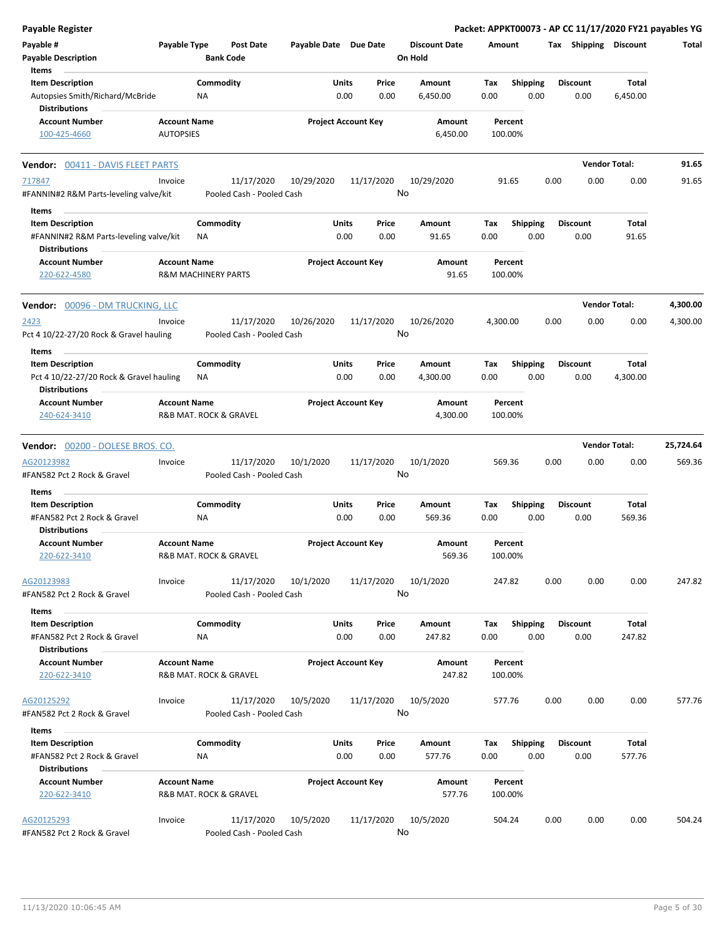| Payable Type<br>Post Date<br>Payable Date Due Date<br><b>Discount Date</b><br>Tax Shipping Discount<br>Total<br>Amount<br><b>Payable Description</b><br><b>Bank Code</b><br>On Hold<br>Items<br><b>Item Description</b><br>Commodity<br>Price<br><b>Shipping</b><br>Units<br>Amount<br>Tax<br>Discount<br>Total<br>0.00<br>0.00<br>0.00<br>Autopsies Smith/Richard/McBride<br>NA<br>6,450.00<br>0.00<br>0.00<br>6,450.00<br><b>Distributions</b><br><b>Account Number</b><br><b>Project Account Key</b><br><b>Account Name</b><br>Amount<br>Percent<br><b>AUTOPSIES</b><br>6,450.00<br>100.00%<br>100-425-4660<br><b>Vendor Total:</b><br>91.65<br><b>Vendor: 00411 - DAVIS FLEET PARTS</b><br>11/17/2020<br>10/29/2020<br>11/17/2020<br>10/29/2020<br>0.00<br>0.00<br>0.00<br>91.65<br>Invoice<br>91.65<br>No<br>#FANNIN#2 R&M Parts-leveling valve/kit<br>Pooled Cash - Pooled Cash<br>Items<br>Commodity<br>Units<br><b>Shipping</b><br><b>Discount</b><br><b>Item Description</b><br>Price<br>Amount<br>Total<br>Тах<br>0.00<br>0.00<br>#FANNIN#2 R&M Parts-leveling valve/kit<br>0.00<br>91.65<br>0.00<br>0.00<br>91.65<br><b>NA</b><br><b>Distributions</b><br><b>Account Number</b><br><b>Project Account Key</b><br><b>Account Name</b><br>Amount<br>Percent<br>220-622-4580<br><b>R&amp;M MACHINERY PARTS</b><br>91.65<br>100.00%<br><b>Vendor Total:</b><br>4,300.00<br>Vendor: 00096 - DM TRUCKING, LLC<br>11/17/2020<br>10/26/2020<br>11/17/2020<br>10/26/2020<br>0.00<br>0.00<br>0.00<br>4,300.00<br>Invoice<br>4,300.00<br>No<br>Pct 4 10/22-27/20 Rock & Gravel hauling<br>Pooled Cash - Pooled Cash<br>Items<br>Commodity<br>Units<br><b>Shipping</b><br>Total<br><b>Item Description</b><br>Price<br><b>Discount</b><br>Amount<br>Тах<br>0.00<br>Pct 4 10/22-27/20 Rock & Gravel hauling<br>0.00<br>0.00<br>0.00<br>0.00<br>4,300.00<br>NA.<br>4,300.00<br><b>Distributions</b><br><b>Project Account Key</b><br><b>Account Number</b><br><b>Account Name</b><br>Amount<br>Percent<br>240-624-3410<br>R&B MAT. ROCK & GRAVEL<br>4,300.00<br>100.00%<br><b>Vendor Total:</b><br>25,724.64<br>Vendor: 00200 - DOLESE BROS. CO.<br>AG20123982<br>11/17/2020<br>10/1/2020<br>11/17/2020<br>10/1/2020<br>Invoice<br>569.36<br>0.00<br>0.00<br>0.00<br>569.36<br>No<br>#FAN582 Pct 2 Rock & Gravel<br>Pooled Cash - Pooled Cash<br>Items<br>Commodity<br><b>Item Description</b><br>Units<br>Price<br>Amount<br><b>Shipping</b><br><b>Discount</b><br>Total<br>Tax<br>0.00<br>0.00<br>0.00<br>0.00<br>569.36<br>#FAN582 Pct 2 Rock & Gravel<br>569.36<br>0.00<br>ΝA<br><b>Distributions</b><br><b>Project Account Key</b><br><b>Account Number</b><br><b>Account Name</b><br>Amount<br>Percent<br>220-622-3410<br>R&B MAT. ROCK & GRAVEL<br>569.36<br>100.00%<br>0.00<br>0.00<br>247.82<br>AG20123983<br>11/17/2020<br>10/1/2020<br>11/17/2020<br>10/1/2020<br>247.82<br>0.00<br>Invoice<br>No<br>#FAN582 Pct 2 Rock & Gravel<br>Pooled Cash - Pooled Cash<br>Items<br><b>Item Description</b><br>Commodity<br>Units<br>Shipping<br><b>Discount</b><br>Total<br>Price<br>Amount<br>Tax<br>#FAN582 Pct 2 Rock & Gravel<br>0.00<br>0.00<br>247.82<br>0.00<br>0.00<br>0.00<br>247.82<br>ΝA<br><b>Distributions</b><br><b>Account Name</b><br><b>Project Account Key</b><br><b>Account Number</b><br>Amount<br>Percent<br>220-622-3410<br>R&B MAT. ROCK & GRAVEL<br>247.82<br>100.00%<br>11/17/2020<br>10/5/2020<br>11/17/2020<br>10/5/2020<br>0.00<br>0.00<br>0.00<br>577.76<br>Invoice<br>577.76<br>No<br>#FAN582 Pct 2 Rock & Gravel<br>Pooled Cash - Pooled Cash<br>Items<br>Commodity<br>Units<br><b>Shipping</b><br><b>Discount</b><br>Total<br><b>Item Description</b><br>Price<br>Amount<br>Tax<br>0.00<br>0.00<br>0.00<br>#FAN582 Pct 2 Rock & Gravel<br>NA<br>577.76<br>0.00<br>0.00<br>577.76<br><b>Distributions</b><br><b>Project Account Key</b><br><b>Account Number</b><br><b>Account Name</b><br>Amount<br>Percent<br>R&B MAT. ROCK & GRAVEL<br>577.76<br>100.00%<br>220-622-3410<br>10/5/2020<br>11/17/2020<br>10/5/2020<br>11/17/2020<br>504.24<br>0.00<br>0.00<br>0.00<br>504.24<br>Invoice<br>No<br>#FAN582 Pct 2 Rock & Gravel<br>Pooled Cash - Pooled Cash | <b>Payable Register</b> |  |  |  |  |  | Packet: APPKT00073 - AP CC 11/17/2020 FY21 payables YG |
|------------------------------------------------------------------------------------------------------------------------------------------------------------------------------------------------------------------------------------------------------------------------------------------------------------------------------------------------------------------------------------------------------------------------------------------------------------------------------------------------------------------------------------------------------------------------------------------------------------------------------------------------------------------------------------------------------------------------------------------------------------------------------------------------------------------------------------------------------------------------------------------------------------------------------------------------------------------------------------------------------------------------------------------------------------------------------------------------------------------------------------------------------------------------------------------------------------------------------------------------------------------------------------------------------------------------------------------------------------------------------------------------------------------------------------------------------------------------------------------------------------------------------------------------------------------------------------------------------------------------------------------------------------------------------------------------------------------------------------------------------------------------------------------------------------------------------------------------------------------------------------------------------------------------------------------------------------------------------------------------------------------------------------------------------------------------------------------------------------------------------------------------------------------------------------------------------------------------------------------------------------------------------------------------------------------------------------------------------------------------------------------------------------------------------------------------------------------------------------------------------------------------------------------------------------------------------------------------------------------------------------------------------------------------------------------------------------------------------------------------------------------------------------------------------------------------------------------------------------------------------------------------------------------------------------------------------------------------------------------------------------------------------------------------------------------------------------------------------------------------------------------------------------------------------------------------------------------------------------------------------------------------------------------------------------------------------------------------------------------------------------------------------------------------------------------------------------------------------------------------------------------------------------------------------------------------------------------------------------------------------------------------------------------------------------------------------------------------------------------------------------------------------------------------------------------------------------------------------------------------------------------------------------------------------------------------------------------------------------------------------------------------------------------------------------------------------------------------------------------------------------------------------------------------------------------|-------------------------|--|--|--|--|--|--------------------------------------------------------|
|                                                                                                                                                                                                                                                                                                                                                                                                                                                                                                                                                                                                                                                                                                                                                                                                                                                                                                                                                                                                                                                                                                                                                                                                                                                                                                                                                                                                                                                                                                                                                                                                                                                                                                                                                                                                                                                                                                                                                                                                                                                                                                                                                                                                                                                                                                                                                                                                                                                                                                                                                                                                                                                                                                                                                                                                                                                                                                                                                                                                                                                                                                                                                                                                                                                                                                                                                                                                                                                                                                                                                                                                                                                                                                                                                                                                                                                                                                                                                                                                                                                                                                                                                                                          | Payable #               |  |  |  |  |  |                                                        |
|                                                                                                                                                                                                                                                                                                                                                                                                                                                                                                                                                                                                                                                                                                                                                                                                                                                                                                                                                                                                                                                                                                                                                                                                                                                                                                                                                                                                                                                                                                                                                                                                                                                                                                                                                                                                                                                                                                                                                                                                                                                                                                                                                                                                                                                                                                                                                                                                                                                                                                                                                                                                                                                                                                                                                                                                                                                                                                                                                                                                                                                                                                                                                                                                                                                                                                                                                                                                                                                                                                                                                                                                                                                                                                                                                                                                                                                                                                                                                                                                                                                                                                                                                                                          |                         |  |  |  |  |  |                                                        |
|                                                                                                                                                                                                                                                                                                                                                                                                                                                                                                                                                                                                                                                                                                                                                                                                                                                                                                                                                                                                                                                                                                                                                                                                                                                                                                                                                                                                                                                                                                                                                                                                                                                                                                                                                                                                                                                                                                                                                                                                                                                                                                                                                                                                                                                                                                                                                                                                                                                                                                                                                                                                                                                                                                                                                                                                                                                                                                                                                                                                                                                                                                                                                                                                                                                                                                                                                                                                                                                                                                                                                                                                                                                                                                                                                                                                                                                                                                                                                                                                                                                                                                                                                                                          |                         |  |  |  |  |  |                                                        |
|                                                                                                                                                                                                                                                                                                                                                                                                                                                                                                                                                                                                                                                                                                                                                                                                                                                                                                                                                                                                                                                                                                                                                                                                                                                                                                                                                                                                                                                                                                                                                                                                                                                                                                                                                                                                                                                                                                                                                                                                                                                                                                                                                                                                                                                                                                                                                                                                                                                                                                                                                                                                                                                                                                                                                                                                                                                                                                                                                                                                                                                                                                                                                                                                                                                                                                                                                                                                                                                                                                                                                                                                                                                                                                                                                                                                                                                                                                                                                                                                                                                                                                                                                                                          |                         |  |  |  |  |  |                                                        |
|                                                                                                                                                                                                                                                                                                                                                                                                                                                                                                                                                                                                                                                                                                                                                                                                                                                                                                                                                                                                                                                                                                                                                                                                                                                                                                                                                                                                                                                                                                                                                                                                                                                                                                                                                                                                                                                                                                                                                                                                                                                                                                                                                                                                                                                                                                                                                                                                                                                                                                                                                                                                                                                                                                                                                                                                                                                                                                                                                                                                                                                                                                                                                                                                                                                                                                                                                                                                                                                                                                                                                                                                                                                                                                                                                                                                                                                                                                                                                                                                                                                                                                                                                                                          |                         |  |  |  |  |  |                                                        |
|                                                                                                                                                                                                                                                                                                                                                                                                                                                                                                                                                                                                                                                                                                                                                                                                                                                                                                                                                                                                                                                                                                                                                                                                                                                                                                                                                                                                                                                                                                                                                                                                                                                                                                                                                                                                                                                                                                                                                                                                                                                                                                                                                                                                                                                                                                                                                                                                                                                                                                                                                                                                                                                                                                                                                                                                                                                                                                                                                                                                                                                                                                                                                                                                                                                                                                                                                                                                                                                                                                                                                                                                                                                                                                                                                                                                                                                                                                                                                                                                                                                                                                                                                                                          |                         |  |  |  |  |  |                                                        |
|                                                                                                                                                                                                                                                                                                                                                                                                                                                                                                                                                                                                                                                                                                                                                                                                                                                                                                                                                                                                                                                                                                                                                                                                                                                                                                                                                                                                                                                                                                                                                                                                                                                                                                                                                                                                                                                                                                                                                                                                                                                                                                                                                                                                                                                                                                                                                                                                                                                                                                                                                                                                                                                                                                                                                                                                                                                                                                                                                                                                                                                                                                                                                                                                                                                                                                                                                                                                                                                                                                                                                                                                                                                                                                                                                                                                                                                                                                                                                                                                                                                                                                                                                                                          |                         |  |  |  |  |  |                                                        |
|                                                                                                                                                                                                                                                                                                                                                                                                                                                                                                                                                                                                                                                                                                                                                                                                                                                                                                                                                                                                                                                                                                                                                                                                                                                                                                                                                                                                                                                                                                                                                                                                                                                                                                                                                                                                                                                                                                                                                                                                                                                                                                                                                                                                                                                                                                                                                                                                                                                                                                                                                                                                                                                                                                                                                                                                                                                                                                                                                                                                                                                                                                                                                                                                                                                                                                                                                                                                                                                                                                                                                                                                                                                                                                                                                                                                                                                                                                                                                                                                                                                                                                                                                                                          | 717847                  |  |  |  |  |  |                                                        |
|                                                                                                                                                                                                                                                                                                                                                                                                                                                                                                                                                                                                                                                                                                                                                                                                                                                                                                                                                                                                                                                                                                                                                                                                                                                                                                                                                                                                                                                                                                                                                                                                                                                                                                                                                                                                                                                                                                                                                                                                                                                                                                                                                                                                                                                                                                                                                                                                                                                                                                                                                                                                                                                                                                                                                                                                                                                                                                                                                                                                                                                                                                                                                                                                                                                                                                                                                                                                                                                                                                                                                                                                                                                                                                                                                                                                                                                                                                                                                                                                                                                                                                                                                                                          |                         |  |  |  |  |  |                                                        |
|                                                                                                                                                                                                                                                                                                                                                                                                                                                                                                                                                                                                                                                                                                                                                                                                                                                                                                                                                                                                                                                                                                                                                                                                                                                                                                                                                                                                                                                                                                                                                                                                                                                                                                                                                                                                                                                                                                                                                                                                                                                                                                                                                                                                                                                                                                                                                                                                                                                                                                                                                                                                                                                                                                                                                                                                                                                                                                                                                                                                                                                                                                                                                                                                                                                                                                                                                                                                                                                                                                                                                                                                                                                                                                                                                                                                                                                                                                                                                                                                                                                                                                                                                                                          |                         |  |  |  |  |  |                                                        |
|                                                                                                                                                                                                                                                                                                                                                                                                                                                                                                                                                                                                                                                                                                                                                                                                                                                                                                                                                                                                                                                                                                                                                                                                                                                                                                                                                                                                                                                                                                                                                                                                                                                                                                                                                                                                                                                                                                                                                                                                                                                                                                                                                                                                                                                                                                                                                                                                                                                                                                                                                                                                                                                                                                                                                                                                                                                                                                                                                                                                                                                                                                                                                                                                                                                                                                                                                                                                                                                                                                                                                                                                                                                                                                                                                                                                                                                                                                                                                                                                                                                                                                                                                                                          |                         |  |  |  |  |  |                                                        |
|                                                                                                                                                                                                                                                                                                                                                                                                                                                                                                                                                                                                                                                                                                                                                                                                                                                                                                                                                                                                                                                                                                                                                                                                                                                                                                                                                                                                                                                                                                                                                                                                                                                                                                                                                                                                                                                                                                                                                                                                                                                                                                                                                                                                                                                                                                                                                                                                                                                                                                                                                                                                                                                                                                                                                                                                                                                                                                                                                                                                                                                                                                                                                                                                                                                                                                                                                                                                                                                                                                                                                                                                                                                                                                                                                                                                                                                                                                                                                                                                                                                                                                                                                                                          |                         |  |  |  |  |  |                                                        |
|                                                                                                                                                                                                                                                                                                                                                                                                                                                                                                                                                                                                                                                                                                                                                                                                                                                                                                                                                                                                                                                                                                                                                                                                                                                                                                                                                                                                                                                                                                                                                                                                                                                                                                                                                                                                                                                                                                                                                                                                                                                                                                                                                                                                                                                                                                                                                                                                                                                                                                                                                                                                                                                                                                                                                                                                                                                                                                                                                                                                                                                                                                                                                                                                                                                                                                                                                                                                                                                                                                                                                                                                                                                                                                                                                                                                                                                                                                                                                                                                                                                                                                                                                                                          |                         |  |  |  |  |  |                                                        |
|                                                                                                                                                                                                                                                                                                                                                                                                                                                                                                                                                                                                                                                                                                                                                                                                                                                                                                                                                                                                                                                                                                                                                                                                                                                                                                                                                                                                                                                                                                                                                                                                                                                                                                                                                                                                                                                                                                                                                                                                                                                                                                                                                                                                                                                                                                                                                                                                                                                                                                                                                                                                                                                                                                                                                                                                                                                                                                                                                                                                                                                                                                                                                                                                                                                                                                                                                                                                                                                                                                                                                                                                                                                                                                                                                                                                                                                                                                                                                                                                                                                                                                                                                                                          | 2423                    |  |  |  |  |  |                                                        |
|                                                                                                                                                                                                                                                                                                                                                                                                                                                                                                                                                                                                                                                                                                                                                                                                                                                                                                                                                                                                                                                                                                                                                                                                                                                                                                                                                                                                                                                                                                                                                                                                                                                                                                                                                                                                                                                                                                                                                                                                                                                                                                                                                                                                                                                                                                                                                                                                                                                                                                                                                                                                                                                                                                                                                                                                                                                                                                                                                                                                                                                                                                                                                                                                                                                                                                                                                                                                                                                                                                                                                                                                                                                                                                                                                                                                                                                                                                                                                                                                                                                                                                                                                                                          |                         |  |  |  |  |  |                                                        |
|                                                                                                                                                                                                                                                                                                                                                                                                                                                                                                                                                                                                                                                                                                                                                                                                                                                                                                                                                                                                                                                                                                                                                                                                                                                                                                                                                                                                                                                                                                                                                                                                                                                                                                                                                                                                                                                                                                                                                                                                                                                                                                                                                                                                                                                                                                                                                                                                                                                                                                                                                                                                                                                                                                                                                                                                                                                                                                                                                                                                                                                                                                                                                                                                                                                                                                                                                                                                                                                                                                                                                                                                                                                                                                                                                                                                                                                                                                                                                                                                                                                                                                                                                                                          |                         |  |  |  |  |  |                                                        |
|                                                                                                                                                                                                                                                                                                                                                                                                                                                                                                                                                                                                                                                                                                                                                                                                                                                                                                                                                                                                                                                                                                                                                                                                                                                                                                                                                                                                                                                                                                                                                                                                                                                                                                                                                                                                                                                                                                                                                                                                                                                                                                                                                                                                                                                                                                                                                                                                                                                                                                                                                                                                                                                                                                                                                                                                                                                                                                                                                                                                                                                                                                                                                                                                                                                                                                                                                                                                                                                                                                                                                                                                                                                                                                                                                                                                                                                                                                                                                                                                                                                                                                                                                                                          |                         |  |  |  |  |  |                                                        |
|                                                                                                                                                                                                                                                                                                                                                                                                                                                                                                                                                                                                                                                                                                                                                                                                                                                                                                                                                                                                                                                                                                                                                                                                                                                                                                                                                                                                                                                                                                                                                                                                                                                                                                                                                                                                                                                                                                                                                                                                                                                                                                                                                                                                                                                                                                                                                                                                                                                                                                                                                                                                                                                                                                                                                                                                                                                                                                                                                                                                                                                                                                                                                                                                                                                                                                                                                                                                                                                                                                                                                                                                                                                                                                                                                                                                                                                                                                                                                                                                                                                                                                                                                                                          |                         |  |  |  |  |  |                                                        |
|                                                                                                                                                                                                                                                                                                                                                                                                                                                                                                                                                                                                                                                                                                                                                                                                                                                                                                                                                                                                                                                                                                                                                                                                                                                                                                                                                                                                                                                                                                                                                                                                                                                                                                                                                                                                                                                                                                                                                                                                                                                                                                                                                                                                                                                                                                                                                                                                                                                                                                                                                                                                                                                                                                                                                                                                                                                                                                                                                                                                                                                                                                                                                                                                                                                                                                                                                                                                                                                                                                                                                                                                                                                                                                                                                                                                                                                                                                                                                                                                                                                                                                                                                                                          |                         |  |  |  |  |  |                                                        |
|                                                                                                                                                                                                                                                                                                                                                                                                                                                                                                                                                                                                                                                                                                                                                                                                                                                                                                                                                                                                                                                                                                                                                                                                                                                                                                                                                                                                                                                                                                                                                                                                                                                                                                                                                                                                                                                                                                                                                                                                                                                                                                                                                                                                                                                                                                                                                                                                                                                                                                                                                                                                                                                                                                                                                                                                                                                                                                                                                                                                                                                                                                                                                                                                                                                                                                                                                                                                                                                                                                                                                                                                                                                                                                                                                                                                                                                                                                                                                                                                                                                                                                                                                                                          |                         |  |  |  |  |  |                                                        |
|                                                                                                                                                                                                                                                                                                                                                                                                                                                                                                                                                                                                                                                                                                                                                                                                                                                                                                                                                                                                                                                                                                                                                                                                                                                                                                                                                                                                                                                                                                                                                                                                                                                                                                                                                                                                                                                                                                                                                                                                                                                                                                                                                                                                                                                                                                                                                                                                                                                                                                                                                                                                                                                                                                                                                                                                                                                                                                                                                                                                                                                                                                                                                                                                                                                                                                                                                                                                                                                                                                                                                                                                                                                                                                                                                                                                                                                                                                                                                                                                                                                                                                                                                                                          |                         |  |  |  |  |  |                                                        |
|                                                                                                                                                                                                                                                                                                                                                                                                                                                                                                                                                                                                                                                                                                                                                                                                                                                                                                                                                                                                                                                                                                                                                                                                                                                                                                                                                                                                                                                                                                                                                                                                                                                                                                                                                                                                                                                                                                                                                                                                                                                                                                                                                                                                                                                                                                                                                                                                                                                                                                                                                                                                                                                                                                                                                                                                                                                                                                                                                                                                                                                                                                                                                                                                                                                                                                                                                                                                                                                                                                                                                                                                                                                                                                                                                                                                                                                                                                                                                                                                                                                                                                                                                                                          |                         |  |  |  |  |  |                                                        |
|                                                                                                                                                                                                                                                                                                                                                                                                                                                                                                                                                                                                                                                                                                                                                                                                                                                                                                                                                                                                                                                                                                                                                                                                                                                                                                                                                                                                                                                                                                                                                                                                                                                                                                                                                                                                                                                                                                                                                                                                                                                                                                                                                                                                                                                                                                                                                                                                                                                                                                                                                                                                                                                                                                                                                                                                                                                                                                                                                                                                                                                                                                                                                                                                                                                                                                                                                                                                                                                                                                                                                                                                                                                                                                                                                                                                                                                                                                                                                                                                                                                                                                                                                                                          |                         |  |  |  |  |  |                                                        |
|                                                                                                                                                                                                                                                                                                                                                                                                                                                                                                                                                                                                                                                                                                                                                                                                                                                                                                                                                                                                                                                                                                                                                                                                                                                                                                                                                                                                                                                                                                                                                                                                                                                                                                                                                                                                                                                                                                                                                                                                                                                                                                                                                                                                                                                                                                                                                                                                                                                                                                                                                                                                                                                                                                                                                                                                                                                                                                                                                                                                                                                                                                                                                                                                                                                                                                                                                                                                                                                                                                                                                                                                                                                                                                                                                                                                                                                                                                                                                                                                                                                                                                                                                                                          |                         |  |  |  |  |  |                                                        |
|                                                                                                                                                                                                                                                                                                                                                                                                                                                                                                                                                                                                                                                                                                                                                                                                                                                                                                                                                                                                                                                                                                                                                                                                                                                                                                                                                                                                                                                                                                                                                                                                                                                                                                                                                                                                                                                                                                                                                                                                                                                                                                                                                                                                                                                                                                                                                                                                                                                                                                                                                                                                                                                                                                                                                                                                                                                                                                                                                                                                                                                                                                                                                                                                                                                                                                                                                                                                                                                                                                                                                                                                                                                                                                                                                                                                                                                                                                                                                                                                                                                                                                                                                                                          |                         |  |  |  |  |  |                                                        |
|                                                                                                                                                                                                                                                                                                                                                                                                                                                                                                                                                                                                                                                                                                                                                                                                                                                                                                                                                                                                                                                                                                                                                                                                                                                                                                                                                                                                                                                                                                                                                                                                                                                                                                                                                                                                                                                                                                                                                                                                                                                                                                                                                                                                                                                                                                                                                                                                                                                                                                                                                                                                                                                                                                                                                                                                                                                                                                                                                                                                                                                                                                                                                                                                                                                                                                                                                                                                                                                                                                                                                                                                                                                                                                                                                                                                                                                                                                                                                                                                                                                                                                                                                                                          |                         |  |  |  |  |  |                                                        |
|                                                                                                                                                                                                                                                                                                                                                                                                                                                                                                                                                                                                                                                                                                                                                                                                                                                                                                                                                                                                                                                                                                                                                                                                                                                                                                                                                                                                                                                                                                                                                                                                                                                                                                                                                                                                                                                                                                                                                                                                                                                                                                                                                                                                                                                                                                                                                                                                                                                                                                                                                                                                                                                                                                                                                                                                                                                                                                                                                                                                                                                                                                                                                                                                                                                                                                                                                                                                                                                                                                                                                                                                                                                                                                                                                                                                                                                                                                                                                                                                                                                                                                                                                                                          |                         |  |  |  |  |  |                                                        |
|                                                                                                                                                                                                                                                                                                                                                                                                                                                                                                                                                                                                                                                                                                                                                                                                                                                                                                                                                                                                                                                                                                                                                                                                                                                                                                                                                                                                                                                                                                                                                                                                                                                                                                                                                                                                                                                                                                                                                                                                                                                                                                                                                                                                                                                                                                                                                                                                                                                                                                                                                                                                                                                                                                                                                                                                                                                                                                                                                                                                                                                                                                                                                                                                                                                                                                                                                                                                                                                                                                                                                                                                                                                                                                                                                                                                                                                                                                                                                                                                                                                                                                                                                                                          |                         |  |  |  |  |  |                                                        |
|                                                                                                                                                                                                                                                                                                                                                                                                                                                                                                                                                                                                                                                                                                                                                                                                                                                                                                                                                                                                                                                                                                                                                                                                                                                                                                                                                                                                                                                                                                                                                                                                                                                                                                                                                                                                                                                                                                                                                                                                                                                                                                                                                                                                                                                                                                                                                                                                                                                                                                                                                                                                                                                                                                                                                                                                                                                                                                                                                                                                                                                                                                                                                                                                                                                                                                                                                                                                                                                                                                                                                                                                                                                                                                                                                                                                                                                                                                                                                                                                                                                                                                                                                                                          |                         |  |  |  |  |  |                                                        |
|                                                                                                                                                                                                                                                                                                                                                                                                                                                                                                                                                                                                                                                                                                                                                                                                                                                                                                                                                                                                                                                                                                                                                                                                                                                                                                                                                                                                                                                                                                                                                                                                                                                                                                                                                                                                                                                                                                                                                                                                                                                                                                                                                                                                                                                                                                                                                                                                                                                                                                                                                                                                                                                                                                                                                                                                                                                                                                                                                                                                                                                                                                                                                                                                                                                                                                                                                                                                                                                                                                                                                                                                                                                                                                                                                                                                                                                                                                                                                                                                                                                                                                                                                                                          |                         |  |  |  |  |  |                                                        |
|                                                                                                                                                                                                                                                                                                                                                                                                                                                                                                                                                                                                                                                                                                                                                                                                                                                                                                                                                                                                                                                                                                                                                                                                                                                                                                                                                                                                                                                                                                                                                                                                                                                                                                                                                                                                                                                                                                                                                                                                                                                                                                                                                                                                                                                                                                                                                                                                                                                                                                                                                                                                                                                                                                                                                                                                                                                                                                                                                                                                                                                                                                                                                                                                                                                                                                                                                                                                                                                                                                                                                                                                                                                                                                                                                                                                                                                                                                                                                                                                                                                                                                                                                                                          |                         |  |  |  |  |  |                                                        |
|                                                                                                                                                                                                                                                                                                                                                                                                                                                                                                                                                                                                                                                                                                                                                                                                                                                                                                                                                                                                                                                                                                                                                                                                                                                                                                                                                                                                                                                                                                                                                                                                                                                                                                                                                                                                                                                                                                                                                                                                                                                                                                                                                                                                                                                                                                                                                                                                                                                                                                                                                                                                                                                                                                                                                                                                                                                                                                                                                                                                                                                                                                                                                                                                                                                                                                                                                                                                                                                                                                                                                                                                                                                                                                                                                                                                                                                                                                                                                                                                                                                                                                                                                                                          | AG20125292              |  |  |  |  |  |                                                        |
|                                                                                                                                                                                                                                                                                                                                                                                                                                                                                                                                                                                                                                                                                                                                                                                                                                                                                                                                                                                                                                                                                                                                                                                                                                                                                                                                                                                                                                                                                                                                                                                                                                                                                                                                                                                                                                                                                                                                                                                                                                                                                                                                                                                                                                                                                                                                                                                                                                                                                                                                                                                                                                                                                                                                                                                                                                                                                                                                                                                                                                                                                                                                                                                                                                                                                                                                                                                                                                                                                                                                                                                                                                                                                                                                                                                                                                                                                                                                                                                                                                                                                                                                                                                          |                         |  |  |  |  |  |                                                        |
|                                                                                                                                                                                                                                                                                                                                                                                                                                                                                                                                                                                                                                                                                                                                                                                                                                                                                                                                                                                                                                                                                                                                                                                                                                                                                                                                                                                                                                                                                                                                                                                                                                                                                                                                                                                                                                                                                                                                                                                                                                                                                                                                                                                                                                                                                                                                                                                                                                                                                                                                                                                                                                                                                                                                                                                                                                                                                                                                                                                                                                                                                                                                                                                                                                                                                                                                                                                                                                                                                                                                                                                                                                                                                                                                                                                                                                                                                                                                                                                                                                                                                                                                                                                          |                         |  |  |  |  |  |                                                        |
|                                                                                                                                                                                                                                                                                                                                                                                                                                                                                                                                                                                                                                                                                                                                                                                                                                                                                                                                                                                                                                                                                                                                                                                                                                                                                                                                                                                                                                                                                                                                                                                                                                                                                                                                                                                                                                                                                                                                                                                                                                                                                                                                                                                                                                                                                                                                                                                                                                                                                                                                                                                                                                                                                                                                                                                                                                                                                                                                                                                                                                                                                                                                                                                                                                                                                                                                                                                                                                                                                                                                                                                                                                                                                                                                                                                                                                                                                                                                                                                                                                                                                                                                                                                          |                         |  |  |  |  |  |                                                        |
|                                                                                                                                                                                                                                                                                                                                                                                                                                                                                                                                                                                                                                                                                                                                                                                                                                                                                                                                                                                                                                                                                                                                                                                                                                                                                                                                                                                                                                                                                                                                                                                                                                                                                                                                                                                                                                                                                                                                                                                                                                                                                                                                                                                                                                                                                                                                                                                                                                                                                                                                                                                                                                                                                                                                                                                                                                                                                                                                                                                                                                                                                                                                                                                                                                                                                                                                                                                                                                                                                                                                                                                                                                                                                                                                                                                                                                                                                                                                                                                                                                                                                                                                                                                          |                         |  |  |  |  |  |                                                        |
|                                                                                                                                                                                                                                                                                                                                                                                                                                                                                                                                                                                                                                                                                                                                                                                                                                                                                                                                                                                                                                                                                                                                                                                                                                                                                                                                                                                                                                                                                                                                                                                                                                                                                                                                                                                                                                                                                                                                                                                                                                                                                                                                                                                                                                                                                                                                                                                                                                                                                                                                                                                                                                                                                                                                                                                                                                                                                                                                                                                                                                                                                                                                                                                                                                                                                                                                                                                                                                                                                                                                                                                                                                                                                                                                                                                                                                                                                                                                                                                                                                                                                                                                                                                          |                         |  |  |  |  |  |                                                        |
|                                                                                                                                                                                                                                                                                                                                                                                                                                                                                                                                                                                                                                                                                                                                                                                                                                                                                                                                                                                                                                                                                                                                                                                                                                                                                                                                                                                                                                                                                                                                                                                                                                                                                                                                                                                                                                                                                                                                                                                                                                                                                                                                                                                                                                                                                                                                                                                                                                                                                                                                                                                                                                                                                                                                                                                                                                                                                                                                                                                                                                                                                                                                                                                                                                                                                                                                                                                                                                                                                                                                                                                                                                                                                                                                                                                                                                                                                                                                                                                                                                                                                                                                                                                          | AG20125293              |  |  |  |  |  |                                                        |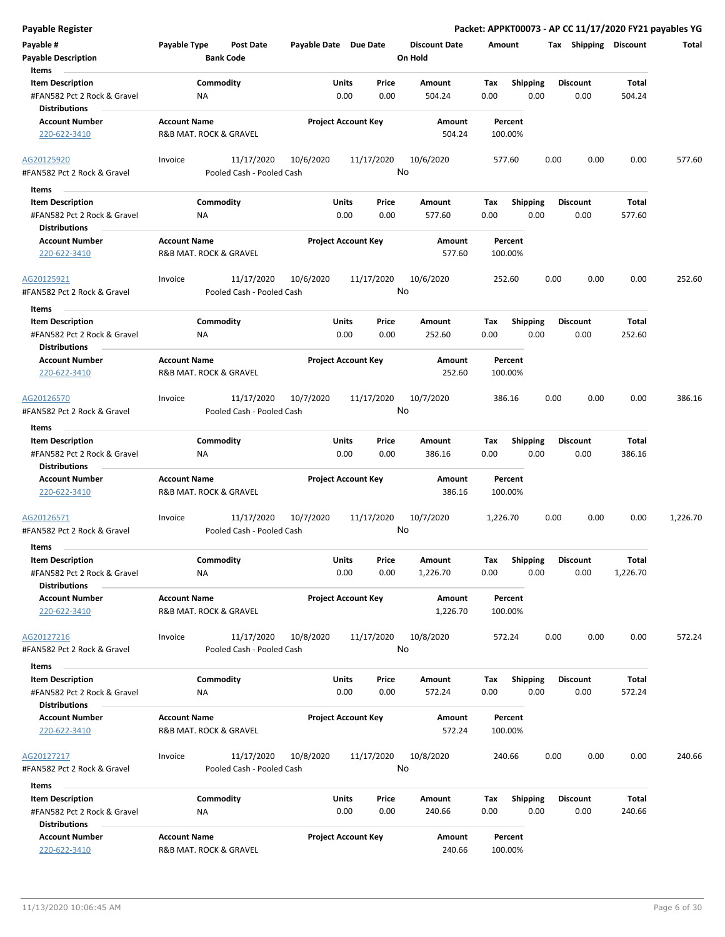| Payable #                                           | Payable Type           | <b>Post Date</b>          | Payable Date Due Date |                            | <b>Discount Date</b> | Amount   |                 | Tax  | Shipping        | <b>Discount</b> | Total    |
|-----------------------------------------------------|------------------------|---------------------------|-----------------------|----------------------------|----------------------|----------|-----------------|------|-----------------|-----------------|----------|
| <b>Payable Description</b>                          |                        | <b>Bank Code</b>          |                       |                            | On Hold              |          |                 |      |                 |                 |          |
| Items                                               |                        |                           |                       |                            |                      |          |                 |      |                 |                 |          |
| <b>Item Description</b>                             |                        | Commodity                 |                       | Price<br>Units             | Amount               | Tax      | <b>Shipping</b> |      | <b>Discount</b> | Total           |          |
| #FAN582 Pct 2 Rock & Gravel<br><b>Distributions</b> | ΝA                     |                           |                       | 0.00<br>0.00               | 504.24               | 0.00     | 0.00            |      | 0.00            | 504.24          |          |
| <b>Account Number</b>                               | <b>Account Name</b>    |                           |                       | <b>Project Account Key</b> | Amount               | Percent  |                 |      |                 |                 |          |
| 220-622-3410                                        | R&B MAT. ROCK & GRAVEL |                           |                       |                            | 504.24               | 100.00%  |                 |      |                 |                 |          |
| AG20125920                                          | Invoice                | 11/17/2020                | 10/6/2020             | 11/17/2020                 | 10/6/2020            | 577.60   |                 | 0.00 | 0.00            | 0.00            | 577.60   |
| #FAN582 Pct 2 Rock & Gravel                         |                        | Pooled Cash - Pooled Cash |                       |                            | No                   |          |                 |      |                 |                 |          |
| Items                                               |                        |                           |                       |                            |                      |          |                 |      |                 |                 |          |
| <b>Item Description</b>                             |                        | Commodity                 |                       | Units<br>Price             | Amount               | Tax      | <b>Shipping</b> |      | Discount        | Total           |          |
| #FAN582 Pct 2 Rock & Gravel                         | NA                     |                           |                       | 0.00<br>0.00               | 577.60               | 0.00     | 0.00            |      | 0.00            | 577.60          |          |
| <b>Distributions</b>                                |                        |                           |                       |                            |                      |          |                 |      |                 |                 |          |
| <b>Account Number</b>                               | <b>Account Name</b>    |                           |                       | <b>Project Account Key</b> | Amount               | Percent  |                 |      |                 |                 |          |
| 220-622-3410                                        | R&B MAT. ROCK & GRAVEL |                           |                       |                            | 577.60               | 100.00%  |                 |      |                 |                 |          |
| AG20125921                                          | Invoice                | 11/17/2020                | 10/6/2020             | 11/17/2020                 | 10/6/2020            | 252.60   |                 | 0.00 | 0.00            | 0.00            | 252.60   |
| #FAN582 Pct 2 Rock & Gravel                         |                        | Pooled Cash - Pooled Cash |                       |                            | No                   |          |                 |      |                 |                 |          |
| Items                                               |                        |                           |                       |                            |                      |          |                 |      |                 |                 |          |
| <b>Item Description</b>                             |                        | Commodity                 |                       | Units<br>Price             | Amount               | Tax      | <b>Shipping</b> |      | <b>Discount</b> | Total           |          |
| #FAN582 Pct 2 Rock & Gravel<br><b>Distributions</b> | ΝA                     |                           |                       | 0.00<br>0.00               | 252.60               | 0.00     | 0.00            |      | 0.00            | 252.60          |          |
| <b>Account Number</b>                               | <b>Account Name</b>    |                           |                       | <b>Project Account Key</b> | Amount               | Percent  |                 |      |                 |                 |          |
| 220-622-3410                                        | R&B MAT. ROCK & GRAVEL |                           |                       |                            | 252.60               | 100.00%  |                 |      |                 |                 |          |
| AG20126570                                          | Invoice                | 11/17/2020                | 10/7/2020             | 11/17/2020                 | 10/7/2020            | 386.16   |                 | 0.00 | 0.00            | 0.00            | 386.16   |
| #FAN582 Pct 2 Rock & Gravel                         |                        | Pooled Cash - Pooled Cash |                       |                            | No                   |          |                 |      |                 |                 |          |
| Items                                               |                        |                           |                       |                            |                      |          |                 |      |                 |                 |          |
| <b>Item Description</b>                             |                        | Commodity                 |                       | Units<br>Price             | Amount               | Tax      | <b>Shipping</b> |      | <b>Discount</b> | Total           |          |
| #FAN582 Pct 2 Rock & Gravel<br><b>Distributions</b> | ΝA                     |                           |                       | 0.00<br>0.00               | 386.16               | 0.00     | 0.00            |      | 0.00            | 386.16          |          |
| <b>Account Number</b>                               | <b>Account Name</b>    |                           |                       | <b>Project Account Key</b> | Amount               | Percent  |                 |      |                 |                 |          |
| 220-622-3410                                        | R&B MAT. ROCK & GRAVEL |                           |                       |                            | 386.16               | 100.00%  |                 |      |                 |                 |          |
| AG20126571                                          | Invoice                | 11/17/2020                | 10/7/2020             | 11/17/2020                 | 10/7/2020            | 1,226.70 |                 | 0.00 | 0.00            | 0.00            | 1,226.70 |
| #FAN582 Pct 2 Rock & Gravel                         |                        | Pooled Cash - Pooled Cash |                       |                            | No                   |          |                 |      |                 |                 |          |
| Items                                               |                        |                           |                       |                            |                      |          |                 |      |                 |                 |          |
| <b>Item Description</b>                             |                        | Commodity                 |                       | Units<br>Price             | Amount               | Тах      | <b>Shipping</b> |      | <b>Discount</b> | Total           |          |
| #FAN582 Pct 2 Rock & Gravel<br>Distributions        | ΝA                     |                           |                       | 0.00<br>0.00               | 1,226.70             | 0.00     | 0.00            |      | 0.00            | 1,226.70        |          |
| <b>Account Number</b>                               | <b>Account Name</b>    |                           |                       | <b>Project Account Key</b> | Amount               | Percent  |                 |      |                 |                 |          |
| 220-622-3410                                        | R&B MAT. ROCK & GRAVEL |                           |                       |                            | 1,226.70             | 100.00%  |                 |      |                 |                 |          |
| AG20127216                                          | Invoice                | 11/17/2020                | 10/8/2020             | 11/17/2020                 | 10/8/2020            | 572.24   |                 | 0.00 | 0.00            | 0.00            | 572.24   |
| #FAN582 Pct 2 Rock & Gravel                         |                        | Pooled Cash - Pooled Cash |                       |                            | No                   |          |                 |      |                 |                 |          |
| Items                                               |                        |                           |                       |                            |                      |          |                 |      |                 |                 |          |
| <b>Item Description</b>                             |                        | Commodity                 |                       | Units<br>Price             | Amount               | Tax      | Shipping        |      | <b>Discount</b> | Total           |          |
| #FAN582 Pct 2 Rock & Gravel                         | ΝA                     |                           |                       | 0.00<br>0.00               | 572.24               | 0.00     | 0.00            |      | 0.00            | 572.24          |          |
| <b>Distributions</b>                                |                        |                           |                       |                            |                      |          |                 |      |                 |                 |          |
| <b>Account Number</b>                               | <b>Account Name</b>    |                           |                       | <b>Project Account Key</b> | Amount               | Percent  |                 |      |                 |                 |          |
| 220-622-3410                                        | R&B MAT. ROCK & GRAVEL |                           |                       |                            | 572.24               | 100.00%  |                 |      |                 |                 |          |
| AG20127217                                          | Invoice                | 11/17/2020                | 10/8/2020             | 11/17/2020                 | 10/8/2020            | 240.66   |                 | 0.00 | 0.00            | 0.00            | 240.66   |
| #FAN582 Pct 2 Rock & Gravel                         |                        | Pooled Cash - Pooled Cash |                       |                            | No                   |          |                 |      |                 |                 |          |
| Items                                               |                        |                           |                       |                            |                      |          |                 |      |                 |                 |          |
| <b>Item Description</b>                             |                        | Commodity                 |                       | Units<br>Price             | Amount               | Tax      | <b>Shipping</b> |      | <b>Discount</b> | Total           |          |
| #FAN582 Pct 2 Rock & Gravel                         | <b>NA</b>              |                           |                       | 0.00<br>0.00               | 240.66               | 0.00     | 0.00            |      | 0.00            | 240.66          |          |
| <b>Distributions</b>                                |                        |                           |                       |                            |                      |          |                 |      |                 |                 |          |
| <b>Account Number</b>                               | <b>Account Name</b>    |                           |                       | <b>Project Account Key</b> | Amount               | Percent  |                 |      |                 |                 |          |

220-622-3410 R&B MAT. ROCK & GRAVEL 240.66 100.00%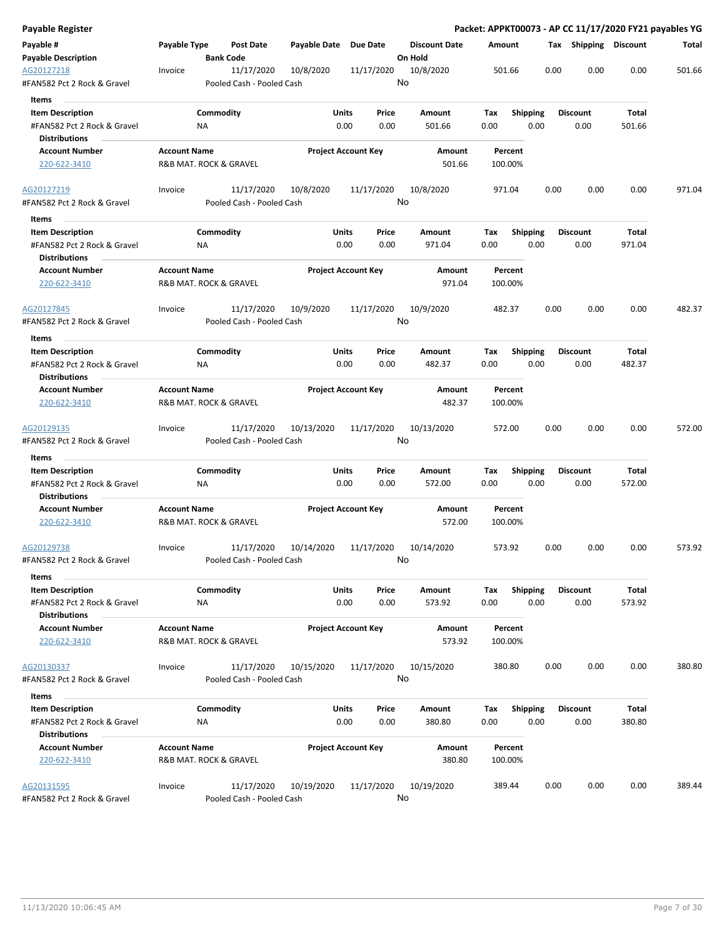| Payable Register                                       |                     |                                         |                       |                            |                      |         |                         |      |                       |        | Packet: APPKT00073 - AP CC 11/17/2020 FY21 payables YG |
|--------------------------------------------------------|---------------------|-----------------------------------------|-----------------------|----------------------------|----------------------|---------|-------------------------|------|-----------------------|--------|--------------------------------------------------------|
| Payable #                                              | Payable Type        | <b>Post Date</b>                        | Payable Date Due Date |                            | <b>Discount Date</b> | Amount  |                         |      | Tax Shipping Discount |        | Total                                                  |
| <b>Payable Description</b>                             |                     | <b>Bank Code</b>                        |                       |                            | On Hold              |         |                         |      |                       |        |                                                        |
| AG20127218<br>#FAN582 Pct 2 Rock & Gravel              | Invoice             | 11/17/2020<br>Pooled Cash - Pooled Cash | 10/8/2020             | 11/17/2020                 | 10/8/2020<br>No      | 501.66  |                         | 0.00 | 0.00                  | 0.00   | 501.66                                                 |
| Items                                                  |                     |                                         |                       |                            |                      |         |                         |      |                       |        |                                                        |
| <b>Item Description</b>                                |                     | Commodity                               | Units                 | Price                      | Amount               | Tax     | <b>Shipping</b>         |      | <b>Discount</b>       | Total  |                                                        |
| #FAN582 Pct 2 Rock & Gravel                            |                     | ΝA                                      |                       | 0.00<br>0.00               | 501.66               | 0.00    | 0.00                    |      | 0.00                  | 501.66 |                                                        |
| <b>Distributions</b>                                   |                     |                                         |                       |                            |                      |         |                         |      |                       |        |                                                        |
| <b>Account Number</b>                                  | <b>Account Name</b> |                                         |                       | <b>Project Account Key</b> | Amount               |         | Percent                 |      |                       |        |                                                        |
| 220-622-3410                                           |                     | R&B MAT. ROCK & GRAVEL                  |                       |                            | 501.66               | 100.00% |                         |      |                       |        |                                                        |
| AG20127219                                             | Invoice             | 11/17/2020                              | 10/8/2020             | 11/17/2020                 | 10/8/2020            | 971.04  |                         | 0.00 | 0.00                  | 0.00   | 971.04                                                 |
| #FAN582 Pct 2 Rock & Gravel<br>Items                   |                     | Pooled Cash - Pooled Cash               |                       |                            | No                   |         |                         |      |                       |        |                                                        |
|                                                        |                     | Commodity                               | Units                 | Price                      |                      | Tax     |                         |      | <b>Discount</b>       | Total  |                                                        |
| <b>Item Description</b><br>#FAN582 Pct 2 Rock & Gravel |                     | NA                                      |                       | 0.00<br>0.00               | Amount<br>971.04     | 0.00    | <b>Shipping</b><br>0.00 |      | 0.00                  | 971.04 |                                                        |
| <b>Distributions</b>                                   |                     |                                         |                       |                            |                      |         |                         |      |                       |        |                                                        |
| <b>Account Number</b>                                  | <b>Account Name</b> |                                         |                       | <b>Project Account Key</b> | Amount               |         | Percent                 |      |                       |        |                                                        |
| 220-622-3410                                           |                     | R&B MAT. ROCK & GRAVEL                  |                       |                            | 971.04               | 100.00% |                         |      |                       |        |                                                        |
| AG20127845                                             | Invoice             | 11/17/2020                              | 10/9/2020             | 11/17/2020                 | 10/9/2020            | 482.37  |                         | 0.00 | 0.00                  | 0.00   | 482.37                                                 |
| #FAN582 Pct 2 Rock & Gravel                            |                     | Pooled Cash - Pooled Cash               |                       |                            | No                   |         |                         |      |                       |        |                                                        |
| Items                                                  |                     |                                         |                       |                            |                      |         |                         |      |                       |        |                                                        |
| <b>Item Description</b>                                |                     | Commodity                               | Units                 | Price                      | Amount               | Tax     | <b>Shipping</b>         |      | <b>Discount</b>       | Total  |                                                        |
| #FAN582 Pct 2 Rock & Gravel<br><b>Distributions</b>    |                     | ΝA                                      |                       | 0.00<br>0.00               | 482.37               | 0.00    | 0.00                    |      | 0.00                  | 482.37 |                                                        |
| <b>Account Number</b>                                  | <b>Account Name</b> |                                         |                       | <b>Project Account Key</b> | Amount               |         | Percent                 |      |                       |        |                                                        |
| 220-622-3410                                           |                     | R&B MAT. ROCK & GRAVEL                  |                       |                            | 482.37               | 100.00% |                         |      |                       |        |                                                        |
| AG20129135                                             | Invoice             | 11/17/2020                              | 10/13/2020            | 11/17/2020                 | 10/13/2020           | 572.00  |                         | 0.00 | 0.00                  | 0.00   | 572.00                                                 |
| #FAN582 Pct 2 Rock & Gravel                            |                     | Pooled Cash - Pooled Cash               |                       |                            | No                   |         |                         |      |                       |        |                                                        |
| Items                                                  |                     |                                         |                       |                            |                      |         |                         |      |                       |        |                                                        |
| <b>Item Description</b>                                |                     | Commodity                               | Units                 | Price                      | Amount               | Tax     | Shipping                |      | <b>Discount</b>       | Total  |                                                        |
| #FAN582 Pct 2 Rock & Gravel                            |                     | ΝA                                      |                       | 0.00<br>0.00               | 572.00               | 0.00    | 0.00                    |      | 0.00                  | 572.00 |                                                        |
| Distributions                                          |                     |                                         |                       |                            |                      |         |                         |      |                       |        |                                                        |
| <b>Account Number</b><br>220-622-3410                  | <b>Account Name</b> | R&B MAT. ROCK & GRAVEL                  |                       | <b>Project Account Key</b> | Amount<br>572.00     | 100.00% | Percent                 |      |                       |        |                                                        |
| AG20129738                                             | Invoice             | 11/17/2020                              | 10/14/2020            | 11/17/2020                 | 10/14/2020           | 573.92  |                         | 0.00 | 0.00                  | 0.00   | 573.92                                                 |
| #FAN582 Pct 2 Rock & Gravel                            |                     | Pooled Cash - Pooled Cash               |                       |                            | No                   |         |                         |      |                       |        |                                                        |
| Items                                                  |                     |                                         |                       |                            |                      |         |                         |      |                       |        |                                                        |
| <b>Item Description</b>                                |                     | Commodity                               | Units                 | Price                      | Amount               | Tax     | Shipping                |      | <b>Discount</b>       | Total  |                                                        |
| #FAN582 Pct 2 Rock & Gravel<br><b>Distributions</b>    |                     | <b>NA</b>                               |                       | 0.00<br>0.00               | 573.92               | 0.00    | 0.00                    |      | 0.00                  | 573.92 |                                                        |
| <b>Account Number</b>                                  | <b>Account Name</b> |                                         |                       | <b>Project Account Key</b> | Amount               |         | Percent                 |      |                       |        |                                                        |
| 220-622-3410                                           |                     | R&B MAT. ROCK & GRAVEL                  |                       |                            | 573.92               | 100.00% |                         |      |                       |        |                                                        |
| AG20130337                                             | Invoice             | 11/17/2020                              | 10/15/2020            | 11/17/2020                 | 10/15/2020           | 380.80  |                         | 0.00 | 0.00                  | 0.00   | 380.80                                                 |
| #FAN582 Pct 2 Rock & Gravel                            |                     | Pooled Cash - Pooled Cash               |                       |                            | No                   |         |                         |      |                       |        |                                                        |
| Items                                                  |                     |                                         |                       |                            |                      |         |                         |      |                       |        |                                                        |
| <b>Item Description</b>                                |                     | Commodity                               | Units                 | Price                      | Amount               | Tax     | <b>Shipping</b>         |      | <b>Discount</b>       | Total  |                                                        |
| #FAN582 Pct 2 Rock & Gravel                            |                     | ΝA                                      |                       | 0.00<br>0.00               | 380.80               | 0.00    | 0.00                    |      | 0.00                  | 380.80 |                                                        |
| <b>Distributions</b>                                   |                     |                                         |                       |                            |                      |         |                         |      |                       |        |                                                        |
| <b>Account Number</b>                                  | <b>Account Name</b> |                                         |                       | <b>Project Account Key</b> | Amount               |         | Percent                 |      |                       |        |                                                        |
| 220-622-3410                                           |                     | R&B MAT. ROCK & GRAVEL                  |                       |                            | 380.80               | 100.00% |                         |      |                       |        |                                                        |
| AG20131595                                             | Invoice             | 11/17/2020                              | 10/19/2020            | 11/17/2020                 | 10/19/2020           | 389.44  |                         | 0.00 | 0.00                  | 0.00   | 389.44                                                 |
| #FAN582 Pct 2 Rock & Gravel                            |                     | Pooled Cash - Pooled Cash               |                       |                            | No                   |         |                         |      |                       |        |                                                        |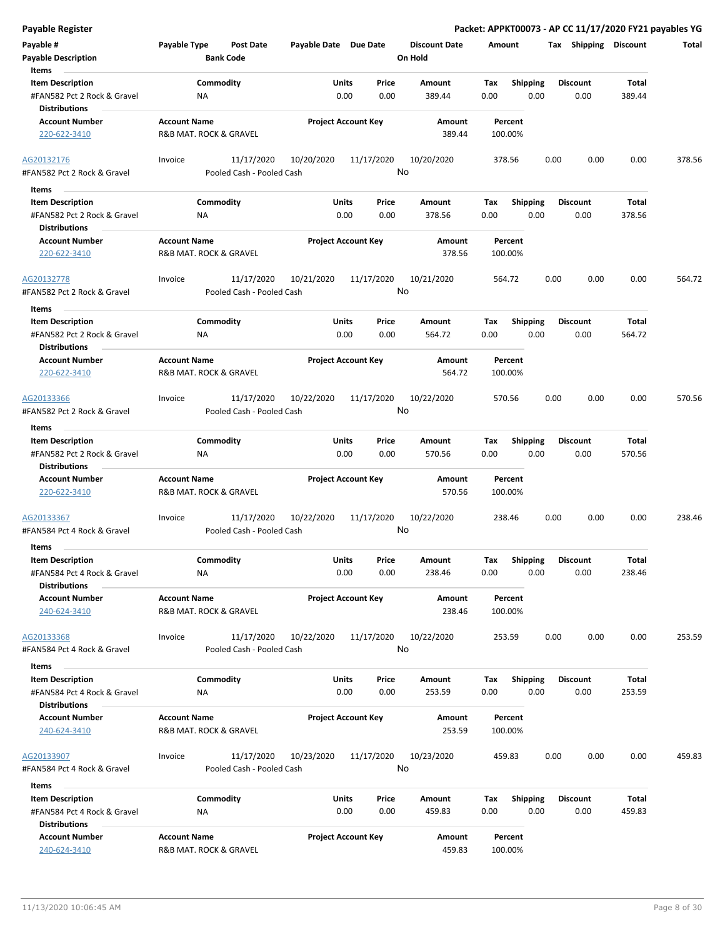| <b>Payable Register</b>                                                                 |                                                             |                       |                            |                                 | Packet: APPKT00073 - AP CC 11/17/2020 FY21 payables YG |                         |                        |        |
|-----------------------------------------------------------------------------------------|-------------------------------------------------------------|-----------------------|----------------------------|---------------------------------|--------------------------------------------------------|-------------------------|------------------------|--------|
| Payable #<br><b>Payable Description</b>                                                 | <b>Payable Type</b><br><b>Post Date</b><br><b>Bank Code</b> | Payable Date Due Date |                            | <b>Discount Date</b><br>On Hold | Amount                                                 | Tax Shipping Discount   |                        | Total  |
| Items<br><b>Item Description</b><br>#FAN582 Pct 2 Rock & Gravel<br><b>Distributions</b> | Commodity<br>ΝA                                             | Units<br>0.00         | Price<br>0.00              | Amount<br>389.44                | Tax<br><b>Shipping</b><br>0.00<br>0.00                 | <b>Discount</b><br>0.00 | Total<br>389.44        |        |
| <b>Account Number</b><br>220-622-3410                                                   | <b>Account Name</b><br>R&B MAT. ROCK & GRAVEL               |                       | <b>Project Account Key</b> | Amount<br>389.44                | Percent<br>100.00%                                     |                         |                        |        |
| AG20132176<br>#FAN582 Pct 2 Rock & Gravel                                               | 11/17/2020<br>Invoice<br>Pooled Cash - Pooled Cash          | 10/20/2020            | 11/17/2020                 | 10/20/2020<br>No                | 378.56                                                 | 0.00<br>0.00            | 0.00                   | 378.56 |
| Items                                                                                   |                                                             |                       |                            |                                 |                                                        |                         |                        |        |
| <b>Item Description</b><br>#FAN582 Pct 2 Rock & Gravel<br><b>Distributions</b>          | Commodity<br>ΝA                                             | Units<br>0.00         | Price<br>0.00              | Amount<br>378.56                | <b>Shipping</b><br>Tax<br>0.00<br>0.00                 | <b>Discount</b><br>0.00 | Total<br>378.56        |        |
| <b>Account Number</b><br>220-622-3410                                                   | <b>Account Name</b><br>R&B MAT. ROCK & GRAVEL               |                       | <b>Project Account Key</b> | Amount<br>378.56                | Percent<br>100.00%                                     |                         |                        |        |
| AG20132778<br>#FAN582 Pct 2 Rock & Gravel                                               | 11/17/2020<br>Invoice<br>Pooled Cash - Pooled Cash          | 10/21/2020            | 11/17/2020                 | 10/21/2020<br>No                | 564.72                                                 | 0.00<br>0.00            | 0.00                   | 564.72 |
| Items<br><b>Item Description</b><br>#FAN582 Pct 2 Rock & Gravel<br><b>Distributions</b> | Commodity<br>NA                                             | Units<br>0.00         | Price<br>0.00              | Amount<br>564.72                | <b>Shipping</b><br>Tax<br>0.00<br>0.00                 | <b>Discount</b><br>0.00 | Total<br>564.72        |        |
| <b>Account Number</b><br>220-622-3410                                                   | <b>Account Name</b><br>R&B MAT. ROCK & GRAVEL               |                       | <b>Project Account Key</b> | Amount<br>564.72                | Percent<br>100.00%                                     |                         |                        |        |
| AG20133366<br>#FAN582 Pct 2 Rock & Gravel                                               | 11/17/2020<br>Invoice<br>Pooled Cash - Pooled Cash          | 10/22/2020            | 11/17/2020                 | 10/22/2020<br>No                | 570.56                                                 | 0.00<br>0.00            | 0.00                   | 570.56 |
| Items                                                                                   |                                                             |                       |                            |                                 |                                                        |                         |                        |        |
| <b>Item Description</b><br>#FAN582 Pct 2 Rock & Gravel<br><b>Distributions</b>          | Commodity<br>ΝA                                             | Units<br>0.00         | Price<br>0.00              | Amount<br>570.56                | <b>Shipping</b><br>Tax<br>0.00<br>0.00                 | <b>Discount</b><br>0.00 | <b>Total</b><br>570.56 |        |
| <b>Account Number</b><br>220-622-3410                                                   | <b>Account Name</b><br>R&B MAT. ROCK & GRAVEL               |                       | <b>Project Account Key</b> | <b>Amount</b><br>570.56         | Percent<br>100.00%                                     |                         |                        |        |
| AG20133367<br>#FAN584 Pct 4 Rock & Gravel                                               | 11/17/2020<br>Invoice<br>Pooled Cash - Pooled Cash          | 10/22/2020            | 11/17/2020                 | 10/22/2020<br>No                | 238.46                                                 | 0.00<br>0.00            | 0.00                   | 238.46 |
| Items                                                                                   |                                                             |                       |                            |                                 |                                                        |                         |                        |        |
| <b>Item Description</b><br>#FAN584 Pct 4 Rock & Gravel<br><b>Distributions</b>          | Commodity<br>ΝA                                             | Units                 | Price<br>0.00<br>0.00      | Amount<br>238.46                | Shipping<br>Tax<br>0.00<br>0.00                        | <b>Discount</b><br>0.00 | <b>Total</b><br>238.46 |        |
| <b>Account Number</b><br>240-624-3410                                                   | <b>Account Name</b><br>R&B MAT. ROCK & GRAVEL               |                       | <b>Project Account Key</b> | Amount<br>238.46                | Percent<br>100.00%                                     |                         |                        |        |
| AG20133368<br>#FAN584 Pct 4 Rock & Gravel                                               | 11/17/2020<br>Invoice<br>Pooled Cash - Pooled Cash          | 10/22/2020            | 11/17/2020                 | 10/22/2020<br>No                | 253.59                                                 | 0.00<br>0.00            | 0.00                   | 253.59 |
| Items                                                                                   |                                                             |                       |                            |                                 |                                                        |                         |                        |        |
| <b>Item Description</b><br>#FAN584 Pct 4 Rock & Gravel<br><b>Distributions</b>          | Commodity<br>ΝA                                             | Units                 | Price<br>0.00<br>0.00      | <b>Amount</b><br>253.59         | <b>Shipping</b><br>Тах<br>0.00<br>0.00                 | <b>Discount</b><br>0.00 | Total<br>253.59        |        |
| <b>Account Number</b><br>240-624-3410                                                   | <b>Account Name</b><br>R&B MAT. ROCK & GRAVEL               |                       | <b>Project Account Key</b> | Amount<br>253.59                | Percent<br>100.00%                                     |                         |                        |        |
| AG20133907<br>#FAN584 Pct 4 Rock & Gravel                                               | 11/17/2020<br>Invoice<br>Pooled Cash - Pooled Cash          | 10/23/2020            | 11/17/2020                 | 10/23/2020<br>No                | 459.83                                                 | 0.00<br>0.00            | 0.00                   | 459.83 |
| Items                                                                                   |                                                             |                       |                            |                                 |                                                        |                         |                        |        |
| <b>Item Description</b><br>#FAN584 Pct 4 Rock & Gravel<br><b>Distributions</b>          | Commodity<br>ΝA                                             | Units                 | Price<br>0.00<br>0.00      | Amount<br>459.83                | Tax<br><b>Shipping</b><br>0.00<br>0.00                 | <b>Discount</b><br>0.00 | Total<br>459.83        |        |
| <b>Account Number</b><br>240-624-3410                                                   | <b>Account Name</b><br>R&B MAT. ROCK & GRAVEL               |                       | <b>Project Account Key</b> | Amount<br>459.83                | Percent<br>100.00%                                     |                         |                        |        |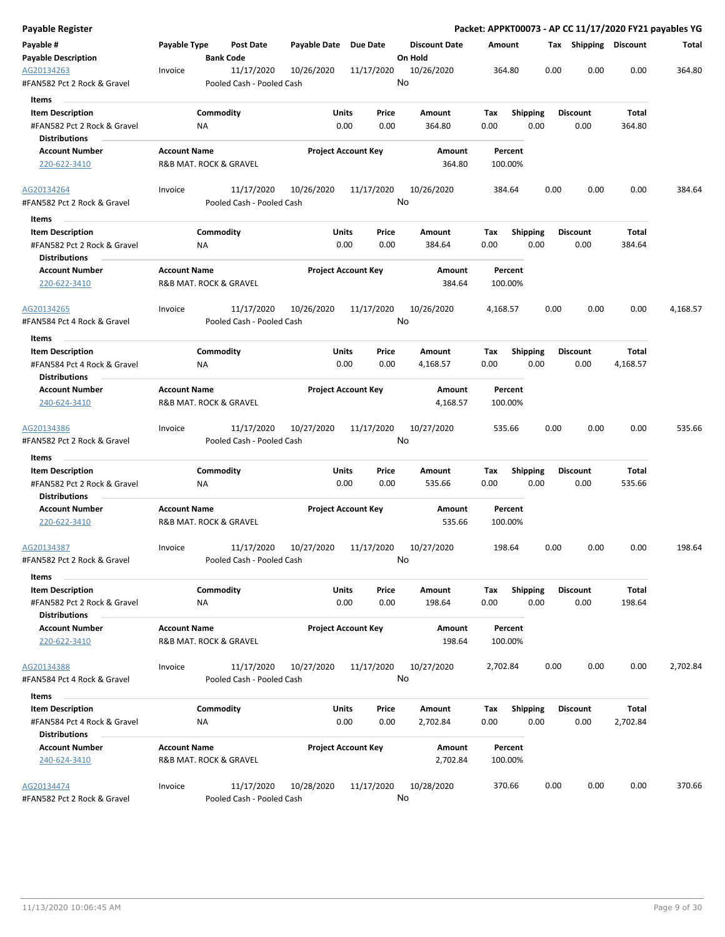| Payable Register                                    |                     |                                         |                       |                            |                      |          |                    |      |                       |          | Packet: APPKT00073 - AP CC 11/17/2020 FY21 payables YG |
|-----------------------------------------------------|---------------------|-----------------------------------------|-----------------------|----------------------------|----------------------|----------|--------------------|------|-----------------------|----------|--------------------------------------------------------|
| Payable #                                           | Payable Type        | Post Date                               | Payable Date Due Date |                            | <b>Discount Date</b> | Amount   |                    |      | Tax Shipping Discount |          | Total                                                  |
| <b>Payable Description</b>                          |                     | <b>Bank Code</b>                        |                       |                            | On Hold              |          |                    |      |                       |          |                                                        |
| AG20134263<br>#FAN582 Pct 2 Rock & Gravel           | Invoice             | 11/17/2020<br>Pooled Cash - Pooled Cash | 10/26/2020            | 11/17/2020                 | 10/26/2020<br>No     | 364.80   |                    | 0.00 | 0.00                  | 0.00     | 364.80                                                 |
| Items                                               |                     |                                         |                       |                            |                      |          |                    |      |                       |          |                                                        |
| <b>Item Description</b>                             |                     | Commodity                               | Units                 | Price                      | Amount               | Tax      | <b>Shipping</b>    |      | <b>Discount</b>       | Total    |                                                        |
| #FAN582 Pct 2 Rock & Gravel                         |                     | ΝA                                      |                       | 0.00<br>0.00               | 364.80               | 0.00     | 0.00               |      | 0.00                  | 364.80   |                                                        |
| <b>Distributions</b>                                |                     |                                         |                       |                            |                      |          |                    |      |                       |          |                                                        |
| <b>Account Number</b>                               | <b>Account Name</b> |                                         |                       | <b>Project Account Key</b> | Amount               |          | Percent            |      |                       |          |                                                        |
| 220-622-3410                                        |                     | R&B MAT. ROCK & GRAVEL                  |                       |                            | 364.80               |          | 100.00%            |      |                       |          |                                                        |
| AG20134264                                          | Invoice             | 11/17/2020                              | 10/26/2020            | 11/17/2020                 | 10/26/2020           | 384.64   |                    | 0.00 | 0.00                  | 0.00     | 384.64                                                 |
| #FAN582 Pct 2 Rock & Gravel<br>Items                |                     | Pooled Cash - Pooled Cash               |                       |                            | No                   |          |                    |      |                       |          |                                                        |
| <b>Item Description</b>                             |                     | Commodity                               | Units                 | Price                      | Amount               | Tax      | <b>Shipping</b>    |      | <b>Discount</b>       | Total    |                                                        |
| #FAN582 Pct 2 Rock & Gravel                         |                     | NA                                      |                       | 0.00<br>0.00               | 384.64               | 0.00     | 0.00               |      | 0.00                  | 384.64   |                                                        |
| <b>Distributions</b>                                |                     |                                         |                       |                            |                      |          |                    |      |                       |          |                                                        |
| <b>Account Number</b>                               | <b>Account Name</b> |                                         |                       | <b>Project Account Key</b> | Amount               |          | Percent            |      |                       |          |                                                        |
| 220-622-3410                                        |                     | R&B MAT. ROCK & GRAVEL                  |                       |                            | 384.64               |          | 100.00%            |      |                       |          |                                                        |
| AG20134265                                          | Invoice             | 11/17/2020                              | 10/26/2020            | 11/17/2020                 | 10/26/2020           | 4,168.57 |                    | 0.00 | 0.00                  | 0.00     | 4,168.57                                               |
| #FAN584 Pct 4 Rock & Gravel                         |                     | Pooled Cash - Pooled Cash               |                       |                            | No                   |          |                    |      |                       |          |                                                        |
| Items                                               |                     |                                         |                       |                            |                      |          |                    |      |                       |          |                                                        |
| <b>Item Description</b>                             |                     | Commodity                               | Units                 | Price                      | Amount               | Тах      | <b>Shipping</b>    |      | <b>Discount</b>       | Total    |                                                        |
| #FAN584 Pct 4 Rock & Gravel<br><b>Distributions</b> |                     | ΝA                                      |                       | 0.00<br>0.00               | 4,168.57             | 0.00     | 0.00               |      | 0.00                  | 4,168.57 |                                                        |
| <b>Account Number</b>                               | <b>Account Name</b> |                                         |                       | <b>Project Account Key</b> | Amount               |          | Percent            |      |                       |          |                                                        |
| 240-624-3410                                        |                     | R&B MAT. ROCK & GRAVEL                  |                       |                            | 4,168.57             |          | 100.00%            |      |                       |          |                                                        |
| AG20134386                                          | Invoice             | 11/17/2020                              | 10/27/2020            | 11/17/2020                 | 10/27/2020           | 535.66   |                    | 0.00 | 0.00                  | 0.00     | 535.66                                                 |
| #FAN582 Pct 2 Rock & Gravel                         |                     | Pooled Cash - Pooled Cash               |                       |                            | No                   |          |                    |      |                       |          |                                                        |
| Items                                               |                     |                                         |                       |                            |                      |          |                    |      |                       |          |                                                        |
| <b>Item Description</b>                             |                     | Commodity                               | Units                 | Price                      | Amount               | Tax      | <b>Shipping</b>    |      | Discount              | Total    |                                                        |
| #FAN582 Pct 2 Rock & Gravel                         |                     | ΝA                                      |                       | 0.00<br>0.00               | 535.66               | 0.00     | 0.00               |      | 0.00                  | 535.66   |                                                        |
| Distributions                                       |                     |                                         |                       |                            |                      |          |                    |      |                       |          |                                                        |
| <b>Account Number</b><br>220-622-3410               | <b>Account Name</b> | R&B MAT. ROCK & GRAVEL                  |                       | <b>Project Account Key</b> | Amount<br>535.66     |          | Percent<br>100.00% |      |                       |          |                                                        |
|                                                     |                     |                                         |                       |                            |                      |          |                    |      |                       |          |                                                        |
| AG20134387<br>#FAN582 Pct 2 Rock & Gravel           | Invoice             | 11/17/2020<br>Pooled Cash - Pooled Cash | 10/27/2020            | 11/17/2020                 | 10/27/2020<br>No     | 198.64   |                    | 0.00 | 0.00                  | 0.00     | 198.64                                                 |
| Items                                               |                     |                                         |                       |                            |                      |          |                    |      |                       |          |                                                        |
| <b>Item Description</b>                             |                     | Commodity                               | Units                 | Price                      | Amount               | Tax      | <b>Shipping</b>    |      | <b>Discount</b>       | Total    |                                                        |
| #FAN582 Pct 2 Rock & Gravel<br><b>Distributions</b> |                     | <b>NA</b>                               |                       | 0.00<br>0.00               | 198.64               | 0.00     | 0.00               |      | 0.00                  | 198.64   |                                                        |
| <b>Account Number</b>                               | <b>Account Name</b> |                                         |                       | <b>Project Account Key</b> | Amount               |          | Percent            |      |                       |          |                                                        |
| 220-622-3410                                        |                     | R&B MAT. ROCK & GRAVEL                  |                       |                            | 198.64               |          | 100.00%            |      |                       |          |                                                        |
| AG20134388                                          | Invoice             | 11/17/2020                              | 10/27/2020            | 11/17/2020                 | 10/27/2020           | 2,702.84 |                    | 0.00 | 0.00                  | 0.00     | 2,702.84                                               |
| #FAN584 Pct 4 Rock & Gravel                         |                     | Pooled Cash - Pooled Cash               |                       |                            | No                   |          |                    |      |                       |          |                                                        |
| Items                                               |                     |                                         |                       |                            |                      |          |                    |      |                       |          |                                                        |
| <b>Item Description</b>                             |                     | Commodity                               | Units                 | Price                      | Amount               | Tax      | <b>Shipping</b>    |      | <b>Discount</b>       | Total    |                                                        |
| #FAN584 Pct 4 Rock & Gravel                         |                     | ΝA                                      |                       | 0.00<br>0.00               | 2,702.84             | 0.00     | 0.00               |      | 0.00                  | 2,702.84 |                                                        |
| <b>Distributions</b>                                |                     |                                         |                       |                            |                      |          |                    |      |                       |          |                                                        |
| <b>Account Number</b>                               | <b>Account Name</b> |                                         |                       | <b>Project Account Key</b> | Amount               |          | Percent            |      |                       |          |                                                        |
| 240-624-3410                                        |                     | R&B MAT. ROCK & GRAVEL                  |                       |                            | 2,702.84             |          | 100.00%            |      |                       |          |                                                        |
| AG20134474                                          | Invoice             | 11/17/2020                              | 10/28/2020            | 11/17/2020                 | 10/28/2020           | 370.66   |                    | 0.00 | 0.00                  | 0.00     | 370.66                                                 |
| #FAN582 Pct 2 Rock & Gravel                         |                     | Pooled Cash - Pooled Cash               |                       |                            | No                   |          |                    |      |                       |          |                                                        |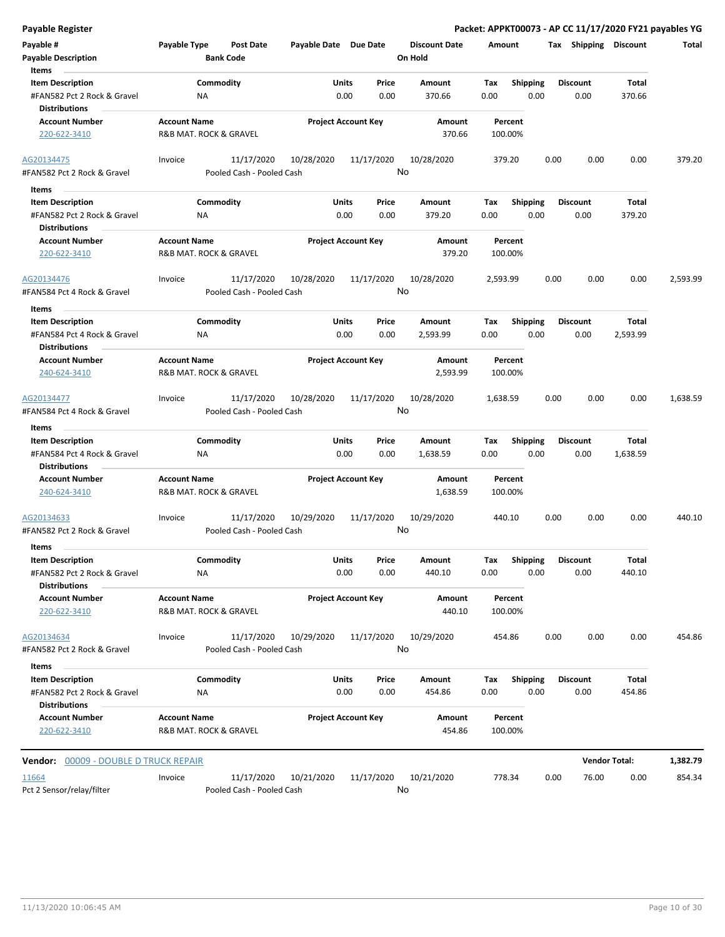| Payable Register                                       |                                               |                                         |                       |                            |                                 | Packet: APPKT00073 - AP CC 11/17/2020 FY21 payables YG |                         |      |                       |                      |          |  |  |  |
|--------------------------------------------------------|-----------------------------------------------|-----------------------------------------|-----------------------|----------------------------|---------------------------------|--------------------------------------------------------|-------------------------|------|-----------------------|----------------------|----------|--|--|--|
| Payable #<br><b>Payable Description</b>                | Payable Type                                  | Post Date<br><b>Bank Code</b>           | Payable Date Due Date |                            | <b>Discount Date</b><br>On Hold |                                                        | Amount                  |      | Tax Shipping Discount |                      | Total    |  |  |  |
| Items                                                  |                                               | Commodity                               | <b>Units</b>          | Price                      | Amount                          | Tax                                                    | <b>Shipping</b>         |      | <b>Discount</b>       | Total                |          |  |  |  |
| <b>Item Description</b><br>#FAN582 Pct 2 Rock & Gravel | ΝA                                            |                                         |                       | 0.00<br>0.00               | 370.66                          | 0.00                                                   | 0.00                    |      | 0.00                  | 370.66               |          |  |  |  |
| <b>Distributions</b><br><b>Account Number</b>          | <b>Account Name</b>                           |                                         |                       | <b>Project Account Key</b> | Amount                          |                                                        | Percent                 |      |                       |                      |          |  |  |  |
| 220-622-3410                                           | R&B MAT. ROCK & GRAVEL                        |                                         |                       |                            | 370.66                          |                                                        | 100.00%                 |      |                       |                      |          |  |  |  |
| AG20134475                                             | Invoice                                       | 11/17/2020                              | 10/28/2020            | 11/17/2020                 | 10/28/2020                      |                                                        | 379.20                  | 0.00 | 0.00                  | 0.00                 | 379.20   |  |  |  |
| #FAN582 Pct 2 Rock & Gravel                            |                                               | Pooled Cash - Pooled Cash               |                       |                            | No                              |                                                        |                         |      |                       |                      |          |  |  |  |
| Items                                                  |                                               |                                         |                       |                            |                                 |                                                        |                         |      |                       |                      |          |  |  |  |
| <b>Item Description</b><br>#FAN582 Pct 2 Rock & Gravel | ΝA                                            | Commodity                               | Units                 | Price<br>0.00<br>0.00      | Amount<br>379.20                | Tax<br>0.00                                            | <b>Shipping</b><br>0.00 |      | Discount<br>0.00      | Total<br>379.20      |          |  |  |  |
| <b>Distributions</b>                                   |                                               |                                         |                       |                            |                                 |                                                        |                         |      |                       |                      |          |  |  |  |
| <b>Account Number</b><br>220-622-3410                  | <b>Account Name</b><br>R&B MAT. ROCK & GRAVEL |                                         |                       | <b>Project Account Key</b> | Amount<br>379.20                |                                                        | Percent<br>100.00%      |      |                       |                      |          |  |  |  |
| AG20134476                                             | Invoice                                       | 11/17/2020                              | 10/28/2020            | 11/17/2020                 | 10/28/2020                      | 2,593.99                                               |                         | 0.00 | 0.00                  | 0.00                 | 2,593.99 |  |  |  |
| #FAN584 Pct 4 Rock & Gravel                            |                                               | Pooled Cash - Pooled Cash               |                       |                            | No                              |                                                        |                         |      |                       |                      |          |  |  |  |
| Items                                                  |                                               |                                         |                       |                            |                                 |                                                        |                         |      |                       |                      |          |  |  |  |
| <b>Item Description</b>                                |                                               | Commodity                               | Units                 | Price                      | <b>Amount</b>                   | Tax                                                    | <b>Shipping</b>         |      | <b>Discount</b>       | Total                |          |  |  |  |
| #FAN584 Pct 4 Rock & Gravel<br><b>Distributions</b>    | ΝA                                            |                                         |                       | 0.00<br>0.00               | 2,593.99                        | 0.00                                                   | 0.00                    |      | 0.00                  | 2,593.99             |          |  |  |  |
| <b>Account Number</b>                                  | <b>Account Name</b>                           |                                         |                       | <b>Project Account Key</b> | Amount                          |                                                        | Percent                 |      |                       |                      |          |  |  |  |
| 240-624-3410                                           | R&B MAT. ROCK & GRAVEL                        |                                         |                       |                            | 2,593.99                        |                                                        | 100.00%                 |      |                       |                      |          |  |  |  |
| AG20134477                                             | Invoice                                       | 11/17/2020                              | 10/28/2020            | 11/17/2020                 | 10/28/2020                      | 1,638.59                                               |                         | 0.00 | 0.00                  | 0.00                 | 1,638.59 |  |  |  |
| #FAN584 Pct 4 Rock & Gravel                            |                                               | Pooled Cash - Pooled Cash               |                       |                            | No                              |                                                        |                         |      |                       |                      |          |  |  |  |
| Items                                                  |                                               |                                         |                       |                            |                                 |                                                        |                         |      |                       |                      |          |  |  |  |
| <b>Item Description</b>                                |                                               | Commodity                               | Units                 | Price                      | Amount                          | Tax                                                    | <b>Shipping</b>         |      | <b>Discount</b>       | Total                |          |  |  |  |
| #FAN584 Pct 4 Rock & Gravel<br><b>Distributions</b>    | NA                                            |                                         |                       | 0.00<br>0.00               | 1,638.59                        | 0.00                                                   | 0.00                    |      | 0.00                  | 1,638.59             |          |  |  |  |
| <b>Account Number</b>                                  | <b>Account Name</b>                           |                                         |                       | <b>Project Account Key</b> | Amount                          |                                                        | Percent                 |      |                       |                      |          |  |  |  |
| 240-624-3410                                           | R&B MAT. ROCK & GRAVEL                        |                                         |                       |                            | 1,638.59                        |                                                        | 100.00%                 |      |                       |                      |          |  |  |  |
| AG20134633                                             | Invoice                                       | 11/17/2020                              | 10/29/2020            | 11/17/2020                 | 10/29/2020                      |                                                        | 440.10                  | 0.00 | 0.00                  | 0.00                 | 440.10   |  |  |  |
| #FAN582 Pct 2 Rock & Gravel                            |                                               | Pooled Cash - Pooled Cash               |                       |                            | No                              |                                                        |                         |      |                       |                      |          |  |  |  |
| Items                                                  |                                               |                                         |                       |                            |                                 |                                                        |                         |      |                       |                      |          |  |  |  |
| <b>Item Description</b>                                |                                               | Commodity                               | Units                 | Price                      | Amount                          | Tax                                                    | Shipping                |      | Discount              | <b>Total</b>         |          |  |  |  |
| #FAN582 Pct 2 Rock & Gravel                            | NA                                            |                                         |                       | 0.00<br>0.00               | 440.10                          | 0.00                                                   | 0.00                    |      | 0.00                  | 440.10               |          |  |  |  |
| <b>Distributions</b>                                   |                                               |                                         |                       |                            |                                 |                                                        |                         |      |                       |                      |          |  |  |  |
| <b>Account Number</b><br>220-622-3410                  | <b>Account Name</b><br>R&B MAT. ROCK & GRAVEL |                                         |                       | <b>Project Account Key</b> | Amount<br>440.10                |                                                        | Percent<br>100.00%      |      |                       |                      |          |  |  |  |
| AG20134634                                             | Invoice                                       | 11/17/2020                              | 10/29/2020            | 11/17/2020                 | 10/29/2020                      |                                                        | 454.86                  | 0.00 | 0.00                  | 0.00                 | 454.86   |  |  |  |
| #FAN582 Pct 2 Rock & Gravel<br>Items                   |                                               | Pooled Cash - Pooled Cash               |                       |                            | No                              |                                                        |                         |      |                       |                      |          |  |  |  |
| <b>Item Description</b>                                |                                               | Commodity                               | Units                 | Price                      | Amount                          | Тах                                                    | <b>Shipping</b>         |      | Discount              | Total                |          |  |  |  |
| #FAN582 Pct 2 Rock & Gravel<br><b>Distributions</b>    | NA                                            |                                         |                       | 0.00<br>0.00               | 454.86                          | 0.00                                                   | 0.00                    |      | 0.00                  | 454.86               |          |  |  |  |
| <b>Account Number</b><br>220-622-3410                  | <b>Account Name</b><br>R&B MAT. ROCK & GRAVEL |                                         |                       | <b>Project Account Key</b> | Amount<br>454.86                |                                                        | Percent<br>100.00%      |      |                       |                      |          |  |  |  |
| <b>Vendor: 00009 - DOUBLE D TRUCK REPAIR</b>           |                                               |                                         |                       |                            |                                 |                                                        |                         |      |                       | <b>Vendor Total:</b> | 1,382.79 |  |  |  |
|                                                        |                                               |                                         |                       |                            |                                 |                                                        |                         |      |                       |                      |          |  |  |  |
| 11664<br>Pct 2 Sensor/relay/filter                     | Invoice                                       | 11/17/2020<br>Pooled Cash - Pooled Cash | 10/21/2020            | 11/17/2020                 | 10/21/2020<br>No                |                                                        | 778.34                  | 0.00 | 76.00                 | 0.00                 | 854.34   |  |  |  |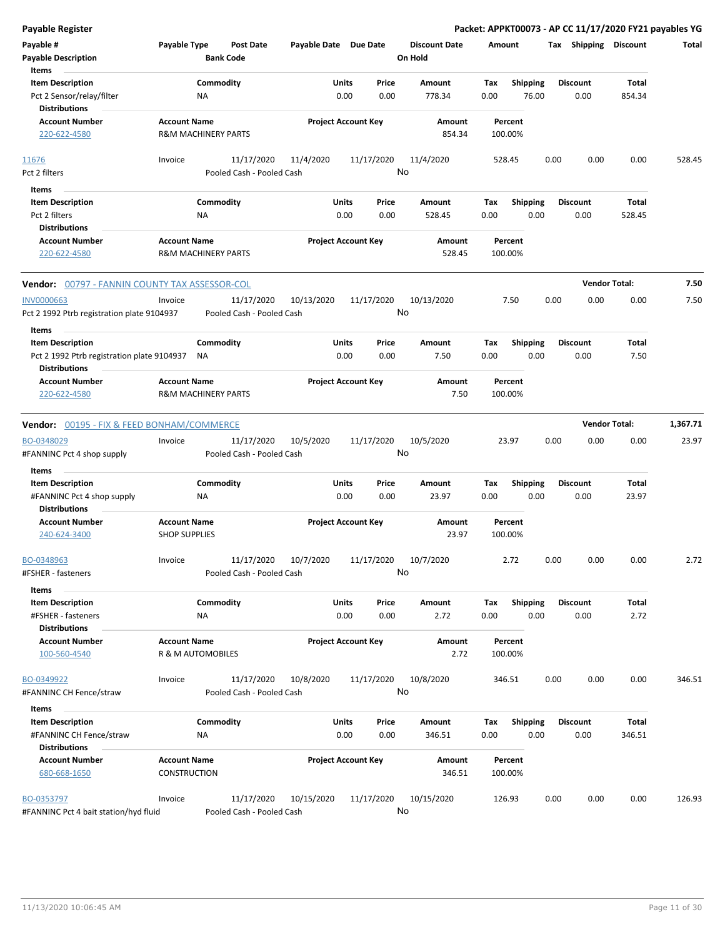| <b>Payable Register</b>                                         |                                                       |                                         |                       |                                |                                 |             |                         |      |                         | Packet: APPKT00073 - AP CC 11/17/2020 FY21 payables YG |          |
|-----------------------------------------------------------------|-------------------------------------------------------|-----------------------------------------|-----------------------|--------------------------------|---------------------------------|-------------|-------------------------|------|-------------------------|--------------------------------------------------------|----------|
| Payable #<br><b>Payable Description</b>                         | Payable Type                                          | <b>Post Date</b><br><b>Bank Code</b>    | Payable Date Due Date |                                | <b>Discount Date</b><br>On Hold | Amount      |                         |      | Tax Shipping Discount   |                                                        | Total    |
| Items<br><b>Item Description</b>                                |                                                       | Commodity                               |                       | Units<br>Price                 | Amount                          | Tax         | <b>Shipping</b>         |      | <b>Discount</b>         | Total                                                  |          |
| Pct 2 Sensor/relay/filter                                       | ΝA                                                    |                                         |                       | 0.00<br>0.00                   | 778.34                          | 0.00        | 76.00                   |      | 0.00                    | 854.34                                                 |          |
| <b>Distributions</b>                                            |                                                       |                                         |                       |                                |                                 |             |                         |      |                         |                                                        |          |
| <b>Account Number</b>                                           | <b>Account Name</b>                                   |                                         |                       | <b>Project Account Key</b>     | Amount                          |             | Percent                 |      |                         |                                                        |          |
| 220-622-4580                                                    | <b>R&amp;M MACHINERY PARTS</b>                        |                                         |                       |                                | 854.34                          |             | 100.00%                 |      |                         |                                                        |          |
| 11676                                                           | Invoice                                               | 11/17/2020                              | 11/4/2020             | 11/17/2020                     | 11/4/2020                       |             | 528.45                  | 0.00 | 0.00                    | 0.00                                                   | 528.45   |
| Pct 2 filters                                                   |                                                       | Pooled Cash - Pooled Cash               |                       |                                | No                              |             |                         |      |                         |                                                        |          |
| Items                                                           |                                                       |                                         |                       |                                |                                 |             |                         |      |                         |                                                        |          |
| <b>Item Description</b>                                         |                                                       | Commodity                               |                       | Units<br>Price                 | Amount                          | Tax         | <b>Shipping</b>         |      | <b>Discount</b>         | Total                                                  |          |
| Pct 2 filters                                                   | ΝA                                                    |                                         |                       | 0.00<br>0.00                   | 528.45                          | 0.00        | 0.00                    |      | 0.00                    | 528.45                                                 |          |
| <b>Distributions</b>                                            |                                                       |                                         |                       |                                |                                 |             |                         |      |                         |                                                        |          |
| <b>Account Number</b><br>220-622-4580                           | <b>Account Name</b><br><b>R&amp;M MACHINERY PARTS</b> |                                         |                       | <b>Project Account Key</b>     | Amount<br>528.45                |             | Percent<br>100.00%      |      |                         |                                                        |          |
| Vendor: 00797 - FANNIN COUNTY TAX ASSESSOR-COL                  |                                                       |                                         |                       |                                |                                 |             |                         |      |                         | <b>Vendor Total:</b>                                   | 7.50     |
| <b>INV0000663</b><br>Pct 2 1992 Ptrb registration plate 9104937 | Invoice                                               | 11/17/2020<br>Pooled Cash - Pooled Cash | 10/13/2020            | 11/17/2020                     | 10/13/2020<br>No                |             | 7.50                    | 0.00 | 0.00                    | 0.00                                                   | 7.50     |
| Items                                                           |                                                       |                                         |                       |                                |                                 |             |                         |      |                         |                                                        |          |
| <b>Item Description</b>                                         |                                                       | Commodity                               |                       | Units<br>Price                 | Amount                          | Tax         | <b>Shipping</b>         |      | <b>Discount</b>         | Total                                                  |          |
| Pct 2 1992 Ptrb registration plate 9104937                      | NA                                                    |                                         |                       | 0.00<br>0.00                   | 7.50                            | 0.00        | 0.00                    |      | 0.00                    | 7.50                                                   |          |
| <b>Distributions</b><br><b>Account Number</b>                   | <b>Account Name</b>                                   |                                         |                       | <b>Project Account Key</b>     | Amount                          |             | Percent                 |      |                         |                                                        |          |
| 220-622-4580                                                    | <b>R&amp;M MACHINERY PARTS</b>                        |                                         |                       |                                | 7.50                            |             | 100.00%                 |      |                         |                                                        |          |
| <b>Vendor: 00195 - FIX &amp; FEED BONHAM/COMMERCE</b>           |                                                       |                                         |                       |                                |                                 |             |                         |      |                         | <b>Vendor Total:</b>                                   | 1,367.71 |
| BO-0348029                                                      | Invoice                                               | 11/17/2020                              | 10/5/2020             | 11/17/2020                     | 10/5/2020                       |             | 23.97                   | 0.00 | 0.00                    | 0.00                                                   | 23.97    |
| #FANNINC Pct 4 shop supply                                      |                                                       | Pooled Cash - Pooled Cash               |                       |                                | No                              |             |                         |      |                         |                                                        |          |
| Items                                                           |                                                       |                                         |                       |                                |                                 |             |                         |      |                         |                                                        |          |
| <b>Item Description</b>                                         |                                                       | Commodity                               |                       | Units<br>Price                 | Amount                          | Tax         | Shipping                |      | <b>Discount</b>         | Total                                                  |          |
| #FANNINC Pct 4 shop supply<br><b>Distributions</b>              | ΝA                                                    |                                         |                       | 0.00<br>0.00                   | 23.97                           | 0.00        | 0.00                    |      | 0.00                    | 23.97                                                  |          |
| <b>Account Number</b><br>240-624-3400                           | <b>Account Name</b><br><b>SHOP SUPPLIES</b>           |                                         |                       | <b>Project Account Key</b>     | Amount<br>23.97                 |             | Percent<br>100.00%      |      |                         |                                                        |          |
| BO-0348963                                                      | Invoice                                               | 11/17/2020                              | 10/7/2020             | 11/17/2020                     | 10/7/2020                       |             | 2.72                    | 0.00 | 0.00                    | 0.00                                                   | 2.72     |
| #FSHER - fasteners                                              |                                                       | Pooled Cash - Pooled Cash               |                       |                                | No                              |             |                         |      |                         |                                                        |          |
| Items                                                           |                                                       |                                         |                       |                                |                                 |             |                         |      |                         |                                                        |          |
| <b>Item Description</b><br>#FSHER - fasteners                   | NA                                                    | Commodity                               |                       | Units<br>Price<br>0.00<br>0.00 | Amount<br>2.72                  | Tax<br>0.00 | Shipping<br>0.00        |      | <b>Discount</b><br>0.00 | Total<br>2.72                                          |          |
| <b>Distributions</b>                                            |                                                       |                                         |                       |                                |                                 |             | Percent                 |      |                         |                                                        |          |
| <b>Account Number</b><br>100-560-4540                           | <b>Account Name</b><br>R & M AUTOMOBILES              |                                         |                       | <b>Project Account Key</b>     | Amount<br>2.72                  |             | 100.00%                 |      |                         |                                                        |          |
| BO-0349922                                                      | Invoice                                               | 11/17/2020                              | 10/8/2020             | 11/17/2020                     | 10/8/2020                       |             | 346.51                  | 0.00 | 0.00                    | 0.00                                                   | 346.51   |
| #FANNINC CH Fence/straw                                         |                                                       | Pooled Cash - Pooled Cash               |                       |                                | No                              |             |                         |      |                         |                                                        |          |
| Items                                                           |                                                       |                                         |                       |                                |                                 |             |                         |      |                         |                                                        |          |
| <b>Item Description</b><br>#FANNINC CH Fence/straw              | ΝA                                                    | Commodity                               |                       | Units<br>Price<br>0.00<br>0.00 | Amount<br>346.51                | Тах<br>0.00 | <b>Shipping</b><br>0.00 |      | <b>Discount</b><br>0.00 | Total<br>346.51                                        |          |
| <b>Distributions</b>                                            |                                                       |                                         |                       |                                |                                 |             |                         |      |                         |                                                        |          |
| <b>Account Number</b><br>680-668-1650                           | <b>Account Name</b><br>CONSTRUCTION                   |                                         |                       | <b>Project Account Key</b>     | Amount<br>346.51                |             | Percent<br>100.00%      |      |                         |                                                        |          |
| BO-0353797<br>#FANNINC Pct 4 bait station/hyd fluid             | Invoice                                               | 11/17/2020<br>Pooled Cash - Pooled Cash | 10/15/2020            | 11/17/2020                     | 10/15/2020<br>No                |             | 126.93                  | 0.00 | 0.00                    | 0.00                                                   | 126.93   |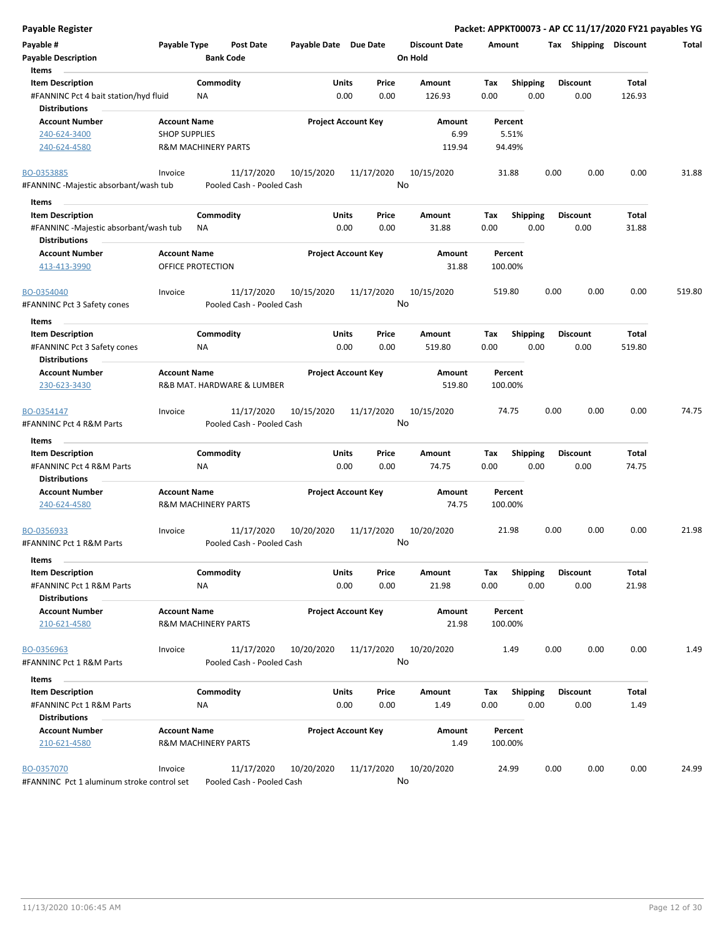| <b>Payable Register</b>                                                        |                                                       |                                         |                       |                            |                                 | Packet: APPKT00073 - AP CC 11/17/2020 FY21 payables YG |      |                         |                 |        |
|--------------------------------------------------------------------------------|-------------------------------------------------------|-----------------------------------------|-----------------------|----------------------------|---------------------------------|--------------------------------------------------------|------|-------------------------|-----------------|--------|
| Payable #<br><b>Payable Description</b>                                        | Payable Type<br><b>Bank Code</b>                      | <b>Post Date</b>                        | Payable Date Due Date |                            | <b>Discount Date</b><br>On Hold | Amount                                                 |      | Tax Shipping Discount   |                 | Total  |
| Items                                                                          |                                                       |                                         |                       |                            |                                 |                                                        |      |                         |                 |        |
| <b>Item Description</b>                                                        | Commodity                                             |                                         | Units                 | Price                      | Amount                          | Tax<br><b>Shipping</b>                                 |      | <b>Discount</b>         | Total           |        |
| #FANNINC Pct 4 bait station/hyd fluid<br><b>Distributions</b>                  | ΝA                                                    |                                         | 0.00                  | 0.00                       | 126.93                          | 0.00<br>0.00                                           |      | 0.00                    | 126.93          |        |
| <b>Account Number</b>                                                          | <b>Account Name</b>                                   |                                         |                       | <b>Project Account Key</b> | Amount                          | Percent                                                |      |                         |                 |        |
| 240-624-3400                                                                   | <b>SHOP SUPPLIES</b>                                  |                                         |                       |                            | 6.99                            | 5.51%                                                  |      |                         |                 |        |
| 240-624-4580                                                                   | <b>R&amp;M MACHINERY PARTS</b>                        |                                         |                       |                            | 119.94                          | 94.49%                                                 |      |                         |                 |        |
| BO-0353885                                                                     | Invoice                                               | 11/17/2020                              | 10/15/2020            | 11/17/2020                 | 10/15/2020                      | 31.88                                                  | 0.00 | 0.00                    | 0.00            | 31.88  |
| #FANNINC -Majestic absorbant/wash tub                                          |                                                       | Pooled Cash - Pooled Cash               |                       |                            | No                              |                                                        |      |                         |                 |        |
| Items                                                                          |                                                       |                                         |                       |                            |                                 |                                                        |      |                         |                 |        |
| <b>Item Description</b>                                                        | Commodity                                             |                                         | Units                 | Price                      | Amount                          | <b>Shipping</b><br>Tax                                 |      | <b>Discount</b>         | Total           |        |
| #FANNINC -Majestic absorbant/wash tub<br><b>Distributions</b>                  | NA                                                    |                                         | 0.00                  | 0.00                       | 31.88                           | 0.00<br>0.00                                           |      | 0.00                    | 31.88           |        |
| <b>Account Number</b><br>413-413-3990                                          | <b>Account Name</b><br>OFFICE PROTECTION              |                                         |                       | <b>Project Account Key</b> | Amount<br>31.88                 | Percent<br>100.00%                                     |      |                         |                 |        |
| BO-0354040<br>#FANNINC Pct 3 Safety cones                                      | Invoice                                               | 11/17/2020<br>Pooled Cash - Pooled Cash | 10/15/2020            | 11/17/2020                 | 10/15/2020<br>No                | 519.80                                                 | 0.00 | 0.00                    | 0.00            | 519.80 |
|                                                                                |                                                       |                                         |                       |                            |                                 |                                                        |      |                         |                 |        |
| Items                                                                          | Commodity                                             |                                         | Units                 |                            | <b>Amount</b>                   |                                                        |      |                         |                 |        |
| <b>Item Description</b><br>#FANNINC Pct 3 Safety cones<br><b>Distributions</b> | ΝA                                                    |                                         |                       | Price<br>0.00<br>0.00      | 519.80                          | <b>Shipping</b><br>Tax<br>0.00<br>0.00                 |      | <b>Discount</b><br>0.00 | Total<br>519.80 |        |
| <b>Account Number</b>                                                          | <b>Account Name</b>                                   |                                         |                       | <b>Project Account Key</b> | Amount                          | Percent                                                |      |                         |                 |        |
| 230-623-3430                                                                   | R&B MAT. HARDWARE & LUMBER                            |                                         |                       |                            | 519.80                          | 100.00%                                                |      |                         |                 |        |
| BO-0354147                                                                     | Invoice                                               | 11/17/2020                              | 10/15/2020            | 11/17/2020                 | 10/15/2020                      | 74.75                                                  | 0.00 | 0.00                    | 0.00            | 74.75  |
| #FANNINC Pct 4 R&M Parts                                                       |                                                       | Pooled Cash - Pooled Cash               |                       |                            | No                              |                                                        |      |                         |                 |        |
| Items                                                                          |                                                       |                                         |                       |                            |                                 |                                                        |      |                         |                 |        |
| <b>Item Description</b><br>#FANNINC Pct 4 R&M Parts                            | Commodity<br>ΝA                                       |                                         | Units<br>0.00         | Price<br>0.00              | Amount<br>74.75                 | Tax<br><b>Shipping</b><br>0.00<br>0.00                 |      | <b>Discount</b><br>0.00 | Total<br>74.75  |        |
| <b>Distributions</b>                                                           |                                                       |                                         |                       |                            |                                 |                                                        |      |                         |                 |        |
| <b>Account Number</b><br>240-624-4580                                          | <b>Account Name</b><br><b>R&amp;M MACHINERY PARTS</b> |                                         |                       | <b>Project Account Key</b> | Amount<br>74.75                 | Percent<br>100.00%                                     |      |                         |                 |        |
| BO-0356933                                                                     | Invoice                                               | 11/17/2020                              | 10/20/2020            | 11/17/2020                 | 10/20/2020<br>No                | 21.98                                                  | 0.00 | 0.00                    | 0.00            | 21.98  |
| #FANNINC Pct 1 R&M Parts<br>Items                                              |                                                       | Pooled Cash - Pooled Cash               |                       |                            |                                 |                                                        |      |                         |                 |        |
| <b>Item Description</b>                                                        | Commodity                                             |                                         | Units                 | Price                      | Amount                          | Tax<br><b>Shipping</b>                                 |      | <b>Discount</b>         | <b>Total</b>    |        |
| #FANNINC Pct 1 R&M Parts<br><b>Distributions</b>                               | ΝA                                                    |                                         |                       | 0.00<br>0.00               | 21.98                           | 0.00<br>0.00                                           |      | 0.00                    | 21.98           |        |
| <b>Account Number</b><br>210-621-4580                                          | <b>Account Name</b><br><b>R&amp;M MACHINERY PARTS</b> |                                         |                       | <b>Project Account Key</b> | Amount<br>21.98                 | Percent<br>100.00%                                     |      |                         |                 |        |
| BO-0356963                                                                     | Invoice                                               | 11/17/2020                              | 10/20/2020            | 11/17/2020                 | 10/20/2020                      | 1.49                                                   | 0.00 | 0.00                    | 0.00            | 1.49   |
| #FANNINC Pct 1 R&M Parts                                                       |                                                       | Pooled Cash - Pooled Cash               |                       |                            | No                              |                                                        |      |                         |                 |        |
| Items                                                                          |                                                       |                                         |                       |                            |                                 |                                                        |      |                         |                 |        |
| <b>Item Description</b><br>#FANNINC Pct 1 R&M Parts                            | Commodity<br>ΝA                                       |                                         | Units                 | Price<br>0.00<br>0.00      | Amount<br>1.49                  | <b>Shipping</b><br>Tax<br>0.00<br>0.00                 |      | <b>Discount</b><br>0.00 | Total<br>1.49   |        |
| <b>Distributions</b>                                                           |                                                       |                                         |                       |                            |                                 |                                                        |      |                         |                 |        |
| <b>Account Number</b><br>210-621-4580                                          | <b>Account Name</b><br><b>R&amp;M MACHINERY PARTS</b> |                                         |                       | <b>Project Account Key</b> | Amount<br>1.49                  | Percent<br>100.00%                                     |      |                         |                 |        |
| BO-0357070<br>#FANNINC Pct 1 aluminum stroke control set                       | Invoice                                               | 11/17/2020<br>Pooled Cash - Pooled Cash | 10/20/2020            | 11/17/2020                 | 10/20/2020<br>No                | 24.99                                                  | 0.00 | 0.00                    | 0.00            | 24.99  |

#FANNINC Pct 1 aluminum stroke control set Pooled Cash - Pooled Cash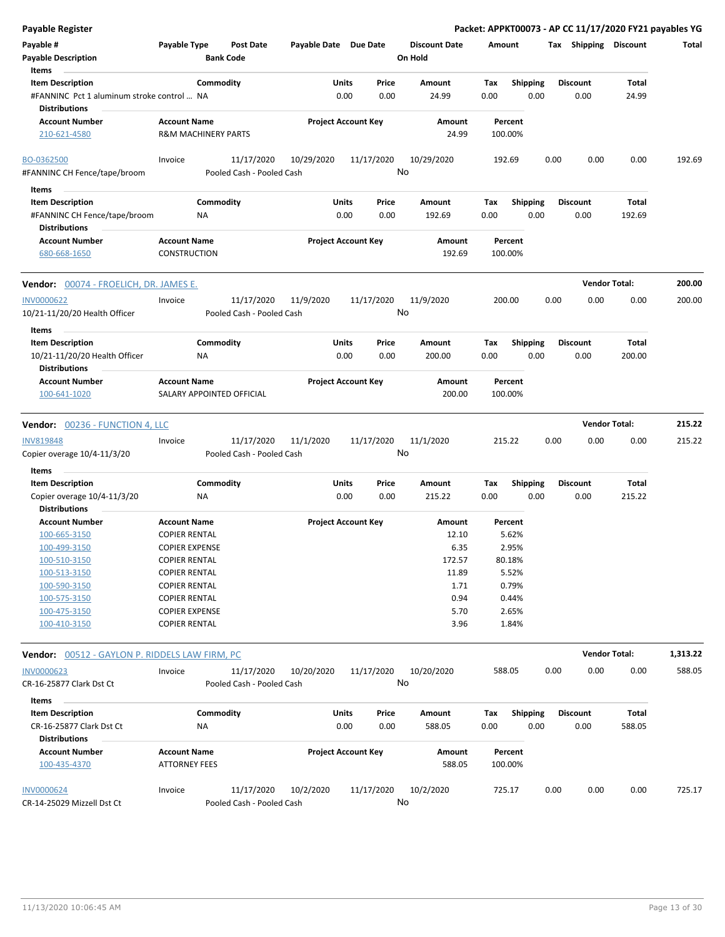| <b>Payable Register</b>                                                         |                                                  |                                         |                       |                                |    |                                 |                    |                         |      |                         | Packet: APPKT00073 - AP CC 11/17/2020 FY21 payables YG |          |
|---------------------------------------------------------------------------------|--------------------------------------------------|-----------------------------------------|-----------------------|--------------------------------|----|---------------------------------|--------------------|-------------------------|------|-------------------------|--------------------------------------------------------|----------|
| Payable #<br><b>Payable Description</b>                                         | Payable Type                                     | <b>Post Date</b><br><b>Bank Code</b>    | Payable Date Due Date |                                |    | <b>Discount Date</b><br>On Hold | Amount             |                         |      | Tax Shipping Discount   |                                                        | Total    |
| Items<br><b>Item Description</b>                                                | Commodity                                        |                                         | Units                 | Price                          |    | Amount                          | Tax                | <b>Shipping</b>         |      | <b>Discount</b>         | Total                                                  |          |
| #FANNINC Pct 1 aluminum stroke control  NA                                      |                                                  |                                         |                       | 0.00<br>0.00                   |    | 24.99                           | 0.00               | 0.00                    |      | 0.00                    | 24.99                                                  |          |
| <b>Distributions</b>                                                            |                                                  |                                         |                       |                                |    |                                 |                    |                         |      |                         |                                                        |          |
| <b>Account Number</b>                                                           | <b>Account Name</b>                              |                                         |                       | <b>Project Account Key</b>     |    | Amount                          | Percent            |                         |      |                         |                                                        |          |
| 210-621-4580                                                                    | <b>R&amp;M MACHINERY PARTS</b>                   |                                         |                       |                                |    | 24.99                           | 100.00%            |                         |      |                         |                                                        |          |
| BO-0362500                                                                      | Invoice                                          | 11/17/2020                              | 10/29/2020            | 11/17/2020                     |    | 10/29/2020                      | 192.69             |                         | 0.00 | 0.00                    | 0.00                                                   | 192.69   |
| #FANNINC CH Fence/tape/broom                                                    |                                                  | Pooled Cash - Pooled Cash               |                       |                                | No |                                 |                    |                         |      |                         |                                                        |          |
| Items                                                                           |                                                  |                                         |                       |                                |    |                                 |                    |                         |      |                         |                                                        |          |
| <b>Item Description</b><br>#FANNINC CH Fence/tape/broom<br><b>Distributions</b> | Commodity<br>ΝA                                  |                                         |                       | Units<br>Price<br>0.00<br>0.00 |    | Amount<br>192.69                | Tax<br>0.00        | Shipping<br>0.00        |      | <b>Discount</b><br>0.00 | Total<br>192.69                                        |          |
| <b>Account Number</b><br>680-668-1650                                           | <b>Account Name</b><br>CONSTRUCTION              |                                         |                       | <b>Project Account Key</b>     |    | Amount<br>192.69                | Percent<br>100.00% |                         |      |                         |                                                        |          |
| <b>Vendor: 00074 - FROELICH, DR. JAMES E.</b>                                   |                                                  |                                         |                       |                                |    |                                 |                    |                         |      |                         | <b>Vendor Total:</b>                                   | 200.00   |
| <b>INV0000622</b><br>10/21-11/20/20 Health Officer                              | Invoice                                          | 11/17/2020<br>Pooled Cash - Pooled Cash | 11/9/2020             | 11/17/2020                     | No | 11/9/2020                       | 200.00             |                         | 0.00 | 0.00                    | 0.00                                                   | 200.00   |
| Items                                                                           |                                                  |                                         |                       |                                |    |                                 |                    |                         |      |                         |                                                        |          |
| <b>Item Description</b><br>10/21-11/20/20 Health Officer                        | Commodity<br>ΝA                                  |                                         | <b>Units</b>          | Price<br>0.00<br>0.00          |    | Amount<br>200.00                | Tax<br>0.00        | <b>Shipping</b><br>0.00 |      | <b>Discount</b><br>0.00 | Total<br>200.00                                        |          |
| <b>Distributions</b>                                                            |                                                  |                                         |                       |                                |    |                                 |                    |                         |      |                         |                                                        |          |
| <b>Account Number</b><br>100-641-1020                                           | <b>Account Name</b><br>SALARY APPOINTED OFFICIAL |                                         |                       | <b>Project Account Key</b>     |    | Amount<br>200.00                | Percent<br>100.00% |                         |      |                         |                                                        |          |
| <b>Vendor: 00236 - FUNCTION 4, LLC</b>                                          |                                                  |                                         |                       |                                |    |                                 |                    |                         |      |                         | <b>Vendor Total:</b>                                   | 215.22   |
| <b>INV819848</b>                                                                | Invoice                                          | 11/17/2020                              | 11/1/2020             | 11/17/2020                     |    | 11/1/2020                       | 215.22             |                         | 0.00 | 0.00                    | 0.00                                                   | 215.22   |
| Copier overage 10/4-11/3/20                                                     |                                                  | Pooled Cash - Pooled Cash               |                       |                                | No |                                 |                    |                         |      |                         |                                                        |          |
| Items                                                                           |                                                  |                                         |                       |                                |    |                                 |                    |                         |      |                         |                                                        |          |
| <b>Item Description</b>                                                         | Commodity                                        |                                         |                       | Units<br>Price                 |    | Amount                          | Tax                | <b>Shipping</b>         |      | <b>Discount</b>         | Total                                                  |          |
| Copier overage 10/4-11/3/20<br><b>Distributions</b>                             | ΝA                                               |                                         |                       | 0.00<br>0.00                   |    | 215.22                          | 0.00               | 0.00                    |      | 0.00                    | 215.22                                                 |          |
| <b>Account Number</b>                                                           | <b>Account Name</b>                              |                                         |                       | <b>Project Account Key</b>     |    | Amount                          | Percent            |                         |      |                         |                                                        |          |
| 100-665-3150                                                                    | <b>COPIER RENTAL</b>                             |                                         |                       |                                |    | 12.10                           |                    | 5.62%                   |      |                         |                                                        |          |
| 100-499-3150                                                                    | <b>COPIER EXPENSE</b>                            |                                         |                       |                                |    | 6.35                            |                    | 2.95%                   |      |                         |                                                        |          |
| 100-510-3150                                                                    | <b>COPIER RENTAL</b>                             |                                         |                       |                                |    | 172.57                          |                    | 80.18%                  |      |                         |                                                        |          |
| 100-513-3150                                                                    | <b>COPIER RENTAL</b>                             |                                         |                       |                                |    | 11.89                           |                    | 5.52%                   |      |                         |                                                        |          |
| 100-590-3150                                                                    | <b>COPIER RENTAL</b>                             |                                         |                       |                                |    | 1.71                            |                    | 0.79%                   |      |                         |                                                        |          |
| 100-575-3150                                                                    | <b>COPIER RENTAL</b>                             |                                         |                       |                                |    | 0.94                            |                    | 0.44%                   |      |                         |                                                        |          |
| 100-475-3150<br>100-410-3150                                                    | <b>COPIER EXPENSE</b><br><b>COPIER RENTAL</b>    |                                         |                       |                                |    | 5.70<br>3.96                    |                    | 2.65%<br>1.84%          |      |                         |                                                        |          |
| Vendor: 00512 - GAYLON P. RIDDELS LAW FIRM, PC                                  |                                                  |                                         |                       |                                |    |                                 |                    |                         |      |                         | <b>Vendor Total:</b>                                   | 1,313.22 |
| <b>INV0000623</b>                                                               | Invoice                                          | 11/17/2020                              | 10/20/2020            | 11/17/2020                     |    | 10/20/2020                      | 588.05             |                         | 0.00 | 0.00                    | 0.00                                                   | 588.05   |
| CR-16-25877 Clark Dst Ct                                                        |                                                  | Pooled Cash - Pooled Cash               |                       |                                | No |                                 |                    |                         |      |                         |                                                        |          |
| Items                                                                           |                                                  |                                         |                       |                                |    |                                 |                    |                         |      |                         |                                                        |          |
| <b>Item Description</b>                                                         | Commodity                                        |                                         |                       | Units<br>Price                 |    | Amount                          | Tax                | <b>Shipping</b>         |      | Discount                | Total                                                  |          |
| CR-16-25877 Clark Dst Ct                                                        | ΝA                                               |                                         |                       | 0.00<br>0.00                   |    | 588.05                          | 0.00               | 0.00                    |      | 0.00                    | 588.05                                                 |          |
| <b>Distributions</b>                                                            |                                                  |                                         |                       |                                |    |                                 |                    |                         |      |                         |                                                        |          |
| Account Number<br>100-435-4370                                                  | <b>Account Name</b><br><b>ATTORNEY FEES</b>      |                                         |                       | <b>Project Account Key</b>     |    | Amount<br>588.05                | Percent<br>100.00% |                         |      |                         |                                                        |          |
| <b>INV0000624</b><br>CR-14-25029 Mizzell Dst Ct                                 | Invoice                                          | 11/17/2020<br>Pooled Cash - Pooled Cash | 10/2/2020             | 11/17/2020                     | No | 10/2/2020                       | 725.17             |                         | 0.00 | 0.00                    | 0.00                                                   | 725.17   |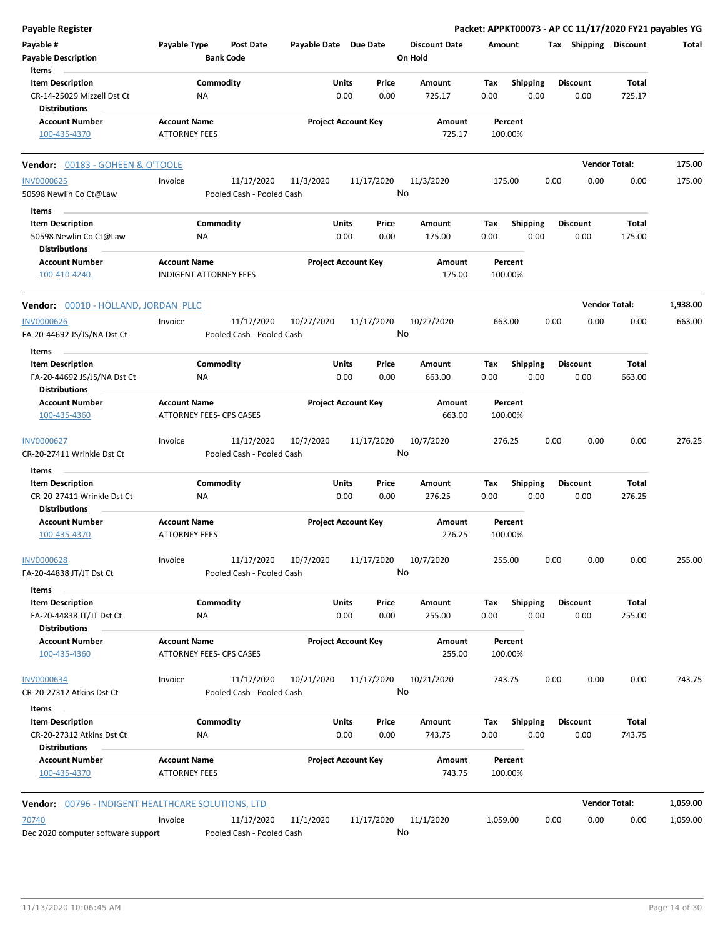| <b>Payable Register</b>                                                       |                                             |                                         |                       |                            |                                 | Packet: APPKT00073 - AP CC 11/17/2020 FY21 payables YG |      |                         |                      |          |
|-------------------------------------------------------------------------------|---------------------------------------------|-----------------------------------------|-----------------------|----------------------------|---------------------------------|--------------------------------------------------------|------|-------------------------|----------------------|----------|
| Payable #<br><b>Payable Description</b>                                       | Payable Type                                | <b>Post Date</b><br><b>Bank Code</b>    | Payable Date Due Date |                            | <b>Discount Date</b><br>On Hold | Amount                                                 |      | Tax Shipping Discount   |                      | Total    |
| Items                                                                         |                                             |                                         |                       |                            |                                 |                                                        |      |                         |                      |          |
| <b>Item Description</b><br>CR-14-25029 Mizzell Dst Ct<br><b>Distributions</b> |                                             | Commodity<br><b>NA</b>                  | Units                 | Price<br>0.00<br>0.00      | Amount<br>725.17                | Shipping<br>Tax<br>0.00<br>0.00                        |      | <b>Discount</b><br>0.00 | Total<br>725.17      |          |
| <b>Account Number</b><br>100-435-4370                                         | <b>Account Name</b><br><b>ATTORNEY FEES</b> |                                         |                       | <b>Project Account Key</b> | Amount<br>725.17                | Percent<br>100.00%                                     |      |                         |                      |          |
| Vendor: 00183 - GOHEEN & O'TOOLE                                              |                                             |                                         |                       |                            |                                 |                                                        |      |                         | <b>Vendor Total:</b> | 175.00   |
| <b>INV0000625</b>                                                             | Invoice                                     | 11/17/2020                              | 11/3/2020             | 11/17/2020                 | 11/3/2020                       | 175.00                                                 | 0.00 | 0.00                    | 0.00                 | 175.00   |
| 50598 Newlin Co Ct@Law                                                        |                                             | Pooled Cash - Pooled Cash               |                       |                            | No                              |                                                        |      |                         |                      |          |
|                                                                               |                                             |                                         |                       |                            |                                 |                                                        |      |                         |                      |          |
| Items<br><b>Item Description</b>                                              |                                             | Commodity                               | Units                 | Price                      | Amount                          | Tax<br><b>Shipping</b>                                 |      | <b>Discount</b>         | Total                |          |
| 50598 Newlin Co Ct@Law<br><b>Distributions</b>                                |                                             | ΝA                                      |                       | 0.00<br>0.00               | 175.00                          | 0.00<br>0.00                                           |      | 0.00                    | 175.00               |          |
| <b>Account Number</b><br>100-410-4240                                         | <b>Account Name</b>                         | <b>INDIGENT ATTORNEY FEES</b>           |                       | <b>Project Account Key</b> | Amount<br>175.00                | Percent<br>100.00%                                     |      |                         |                      |          |
| Vendor: 00010 - HOLLAND, JORDAN PLLC                                          |                                             |                                         |                       |                            |                                 |                                                        |      |                         | <b>Vendor Total:</b> | 1,938.00 |
| <b>INV0000626</b>                                                             | Invoice                                     | 11/17/2020                              | 10/27/2020            | 11/17/2020                 | 10/27/2020                      | 663.00                                                 | 0.00 | 0.00                    | 0.00                 | 663.00   |
| FA-20-44692 JS/JS/NA Dst Ct                                                   |                                             | Pooled Cash - Pooled Cash               |                       |                            | No                              |                                                        |      |                         |                      |          |
| Items                                                                         |                                             |                                         |                       |                            |                                 |                                                        |      |                         |                      |          |
| <b>Item Description</b><br>FA-20-44692 JS/JS/NA Dst Ct                        |                                             | Commodity<br>ΝA                         | Units                 | Price<br>0.00<br>0.00      | Amount<br>663.00                | <b>Shipping</b><br>Tax<br>0.00<br>0.00                 |      | <b>Discount</b><br>0.00 | Total<br>663.00      |          |
| <b>Distributions</b>                                                          |                                             |                                         |                       |                            |                                 |                                                        |      |                         |                      |          |
| <b>Account Number</b><br>100-435-4360                                         | <b>Account Name</b>                         | <b>ATTORNEY FEES- CPS CASES</b>         |                       | <b>Project Account Key</b> | Amount<br>663.00                | Percent<br>100.00%                                     |      |                         |                      |          |
| INV0000627<br>CR-20-27411 Wrinkle Dst Ct                                      | Invoice                                     | 11/17/2020<br>Pooled Cash - Pooled Cash | 10/7/2020             | 11/17/2020                 | 10/7/2020<br>No                 | 276.25                                                 | 0.00 | 0.00                    | 0.00                 | 276.25   |
|                                                                               |                                             |                                         |                       |                            |                                 |                                                        |      |                         |                      |          |
| Items<br><b>Item Description</b>                                              |                                             | Commodity                               | Units                 | Price                      | Amount                          | <b>Shipping</b><br>Tax                                 |      | <b>Discount</b>         | Total                |          |
| CR-20-27411 Wrinkle Dst Ct<br><b>Distributions</b>                            |                                             | NA                                      |                       | 0.00<br>0.00               | 276.25                          | 0.00<br>0.00                                           |      | 0.00                    | 276.25               |          |
| <b>Account Number</b><br>100-435-4370                                         | <b>Account Name</b><br><b>ATTORNEY FEES</b> |                                         |                       | <b>Project Account Key</b> | <b>Amount</b><br>276.25         | Percent<br>100.00%                                     |      |                         |                      |          |
| <b>INV0000628</b><br>FA-20-44838 JT/JT Dst Ct                                 | Invoice                                     | 11/17/2020<br>Pooled Cash - Pooled Cash | 10/7/2020             | 11/17/2020                 | 10/7/2020<br>No                 | 255.00                                                 | 0.00 | 0.00                    | 0.00                 | 255.00   |
| Items                                                                         |                                             |                                         |                       |                            |                                 |                                                        |      |                         |                      |          |
| <b>Item Description</b><br>FA-20-44838 JT/JT Dst Ct                           |                                             | Commodity<br>ΝA                         | Units                 | Price<br>0.00<br>0.00      | Amount<br>255.00                | <b>Shipping</b><br>Tax<br>0.00<br>0.00                 |      | <b>Discount</b><br>0.00 | Total<br>255.00      |          |
| <b>Distributions</b><br><b>Account Number</b>                                 | <b>Account Name</b>                         |                                         |                       | <b>Project Account Key</b> | Amount                          | Percent                                                |      |                         |                      |          |
| 100-435-4360                                                                  |                                             | ATTORNEY FEES- CPS CASES                |                       |                            | 255.00                          | 100.00%                                                |      |                         |                      |          |
| <b>INV0000634</b><br>CR-20-27312 Atkins Dst Ct                                | Invoice                                     | 11/17/2020<br>Pooled Cash - Pooled Cash | 10/21/2020            | 11/17/2020                 | 10/21/2020<br>No                | 743.75                                                 | 0.00 | 0.00                    | 0.00                 | 743.75   |
| Items                                                                         |                                             |                                         |                       |                            |                                 |                                                        |      |                         |                      |          |
| <b>Item Description</b><br>CR-20-27312 Atkins Dst Ct                          |                                             | Commodity<br>ΝA                         | Units                 | Price<br>0.00<br>0.00      | Amount<br>743.75                | <b>Shipping</b><br>Tax<br>0.00<br>0.00                 |      | <b>Discount</b><br>0.00 | Total<br>743.75      |          |
| <b>Distributions</b><br><b>Account Number</b><br>100-435-4370                 | <b>Account Name</b><br><b>ATTORNEY FEES</b> |                                         |                       | <b>Project Account Key</b> | Amount<br>743.75                | Percent<br>100.00%                                     |      |                         |                      |          |
| Vendor: 00796 - INDIGENT HEALTHCARE SOLUTIONS, LTD                            |                                             |                                         |                       |                            |                                 |                                                        |      |                         | <b>Vendor Total:</b> | 1,059.00 |
| 70740                                                                         | Invoice                                     | 11/17/2020                              | 11/1/2020             | 11/17/2020                 | 11/1/2020                       | 1,059.00                                               | 0.00 | 0.00                    | 0.00                 | 1,059.00 |
| Dec 2020 computer software support                                            |                                             | Pooled Cash - Pooled Cash               |                       |                            | No                              |                                                        |      |                         |                      |          |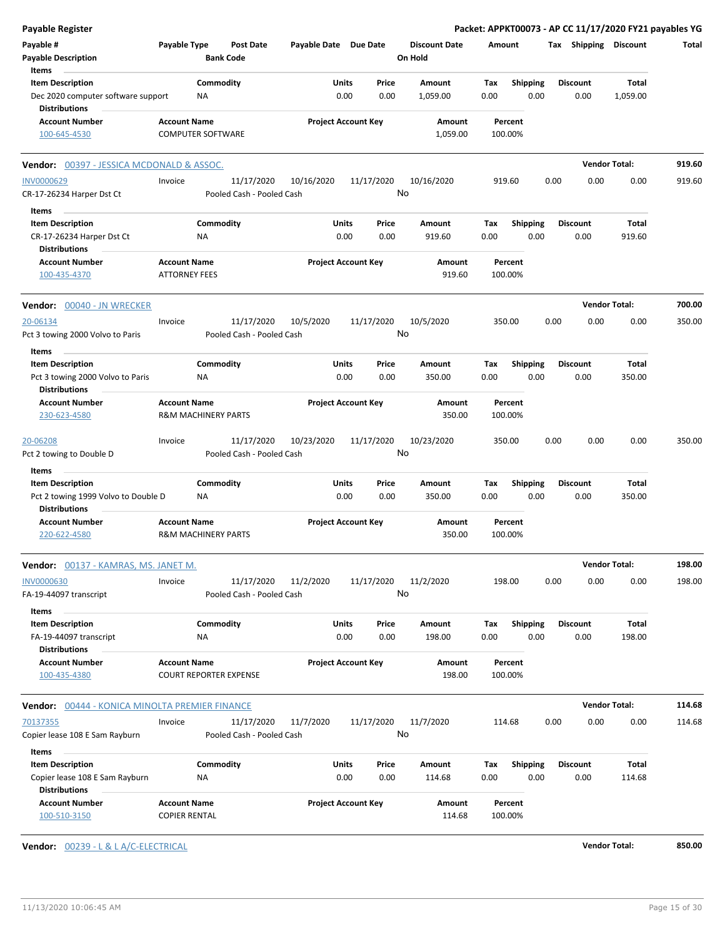| <b>Payable Register</b>                                                               |                                                       |                                         |                       |                            |                                 |                    |                         | Packet: APPKT00073 - AP CC 11/17/2020 FY21 payables YG |                      |        |
|---------------------------------------------------------------------------------------|-------------------------------------------------------|-----------------------------------------|-----------------------|----------------------------|---------------------------------|--------------------|-------------------------|--------------------------------------------------------|----------------------|--------|
| Payable #<br><b>Payable Description</b>                                               | Payable Type                                          | <b>Post Date</b><br><b>Bank Code</b>    | Payable Date Due Date |                            | <b>Discount Date</b><br>On Hold | Amount             |                         | Tax Shipping Discount                                  |                      | Total  |
| Items                                                                                 |                                                       |                                         |                       |                            |                                 |                    |                         |                                                        |                      |        |
| <b>Item Description</b><br>Dec 2020 computer software support<br><b>Distributions</b> | Commodity<br>ΝA                                       |                                         | Units<br>0.00         | Price<br>0.00              | Amount<br>1,059.00              | Tax<br>0.00        | <b>Shipping</b><br>0.00 | <b>Discount</b><br>0.00                                | Total<br>1,059.00    |        |
| <b>Account Number</b><br>100-645-4530                                                 | <b>Account Name</b><br><b>COMPUTER SOFTWARE</b>       |                                         |                       | <b>Project Account Key</b> | Amount<br>1,059.00              | Percent<br>100.00% |                         |                                                        |                      |        |
| Vendor: 00397 - JESSICA MCDONALD & ASSOC.                                             |                                                       |                                         |                       |                            |                                 |                    |                         |                                                        | <b>Vendor Total:</b> | 919.60 |
| <b>INV0000629</b>                                                                     | Invoice                                               | 11/17/2020                              | 10/16/2020            | 11/17/2020                 | 10/16/2020                      | 919.60             |                         | 0.00<br>0.00                                           | 0.00                 | 919.60 |
| CR-17-26234 Harper Dst Ct                                                             |                                                       | Pooled Cash - Pooled Cash               |                       |                            | No                              |                    |                         |                                                        |                      |        |
| Items                                                                                 |                                                       |                                         |                       |                            |                                 |                    |                         |                                                        |                      |        |
| <b>Item Description</b>                                                               | Commodity                                             |                                         | Units                 | Price                      | Amount                          | Tax                | Shipping                | <b>Discount</b>                                        | Total                |        |
| CR-17-26234 Harper Dst Ct<br><b>Distributions</b>                                     | ΝA                                                    |                                         | 0.00                  | 0.00                       | 919.60                          | 0.00               | 0.00                    | 0.00                                                   | 919.60               |        |
| <b>Account Number</b><br>100-435-4370                                                 | <b>Account Name</b><br><b>ATTORNEY FEES</b>           |                                         |                       | <b>Project Account Key</b> | Amount<br>919.60                | Percent<br>100.00% |                         |                                                        |                      |        |
| Vendor: 00040 - JN WRECKER                                                            |                                                       |                                         |                       |                            |                                 |                    |                         |                                                        | <b>Vendor Total:</b> | 700.00 |
| 20-06134<br>Pct 3 towing 2000 Volvo to Paris                                          | Invoice                                               | 11/17/2020<br>Pooled Cash - Pooled Cash | 10/5/2020             | 11/17/2020                 | 10/5/2020<br>No                 | 350.00             |                         | 0.00<br>0.00                                           | 0.00                 | 350.00 |
| Items                                                                                 |                                                       |                                         |                       |                            |                                 |                    |                         |                                                        |                      |        |
| <b>Item Description</b><br>Pct 3 towing 2000 Volvo to Paris<br><b>Distributions</b>   | Commodity<br>ΝA                                       |                                         | Units<br>0.00         | Price<br>0.00              | Amount<br>350.00                | Tax<br>0.00        | <b>Shipping</b><br>0.00 | <b>Discount</b><br>0.00                                | Total<br>350.00      |        |
| <b>Account Number</b><br>230-623-4580                                                 | <b>Account Name</b><br><b>R&amp;M MACHINERY PARTS</b> |                                         |                       | <b>Project Account Key</b> | Amount<br>350.00                | Percent<br>100.00% |                         |                                                        |                      |        |
| 20-06208<br>Pct 2 towing to Double D                                                  | Invoice                                               | 11/17/2020<br>Pooled Cash - Pooled Cash | 10/23/2020            | 11/17/2020                 | 10/23/2020<br>No                | 350.00             |                         | 0.00<br>0.00                                           | 0.00                 | 350.00 |
| Items<br><b>Item Description</b><br>Pct 2 towing 1999 Volvo to Double D               | Commodity<br>ΝA                                       |                                         | Units<br>0.00         | Price<br>0.00              | Amount<br>350.00                | Tax<br>0.00        | <b>Shipping</b><br>0.00 | <b>Discount</b><br>0.00                                | Total<br>350.00      |        |
| <b>Distributions</b><br><b>Account Number</b><br>220-622-4580                         | <b>Account Name</b><br><b>R&amp;M MACHINERY PARTS</b> |                                         |                       | <b>Project Account Key</b> | Amount<br>350.00                | Percent<br>100.00% |                         |                                                        |                      |        |
| <b>Vendor:</b> 00137 - KAMRAS, MS. JANET M.                                           |                                                       |                                         |                       |                            |                                 |                    |                         |                                                        | <b>Vendor Total:</b> | 198.00 |
| <b>INV0000630</b><br>FA-19-44097 transcript                                           | Invoice                                               | 11/17/2020<br>Pooled Cash - Pooled Cash | 11/2/2020             | 11/17/2020                 | 11/2/2020<br>No                 | 198.00             |                         | 0.00<br>0.00                                           | 0.00                 | 198.00 |
| Items<br><b>Item Description</b>                                                      | Commodity                                             |                                         | Units                 | Price                      | Amount                          | Tax                | Shipping                | <b>Discount</b>                                        | Total                |        |
| FA-19-44097 transcript<br><b>Distributions</b>                                        | NA                                                    |                                         | 0.00                  | 0.00                       | 198.00                          | 0.00               | 0.00                    | 0.00                                                   | 198.00               |        |
| <b>Account Number</b><br>100-435-4380                                                 | <b>Account Name</b><br><b>COURT REPORTER EXPENSE</b>  |                                         |                       | <b>Project Account Key</b> | Amount<br>198.00                | Percent<br>100.00% |                         |                                                        |                      |        |
| Vendor: 00444 - KONICA MINOLTA PREMIER FINANCE                                        |                                                       |                                         |                       |                            |                                 |                    |                         |                                                        | <b>Vendor Total:</b> | 114.68 |
| 70137355<br>Copier lease 108 E Sam Rayburn                                            | Invoice                                               | 11/17/2020<br>Pooled Cash - Pooled Cash | 11/7/2020             | 11/17/2020                 | 11/7/2020<br>No                 | 114.68             |                         | 0.00<br>0.00                                           | 0.00                 | 114.68 |
| Items                                                                                 |                                                       |                                         |                       |                            |                                 |                    |                         |                                                        |                      |        |
| <b>Item Description</b><br>Copier lease 108 E Sam Rayburn<br><b>Distributions</b>     | Commodity<br>NA                                       |                                         | Units<br>0.00         | Price<br>0.00              | Amount<br>114.68                | Tax<br>0.00        | <b>Shipping</b><br>0.00 | <b>Discount</b><br>0.00                                | Total<br>114.68      |        |
| <b>Account Number</b><br>100-510-3150                                                 | <b>Account Name</b><br><b>COPIER RENTAL</b>           |                                         |                       | <b>Project Account Key</b> | Amount<br>114.68                | Percent<br>100.00% |                         |                                                        |                      |        |

**Vendor:** 00239 - L & L A/C-ELECTRICAL **Vendor Total: 850.00**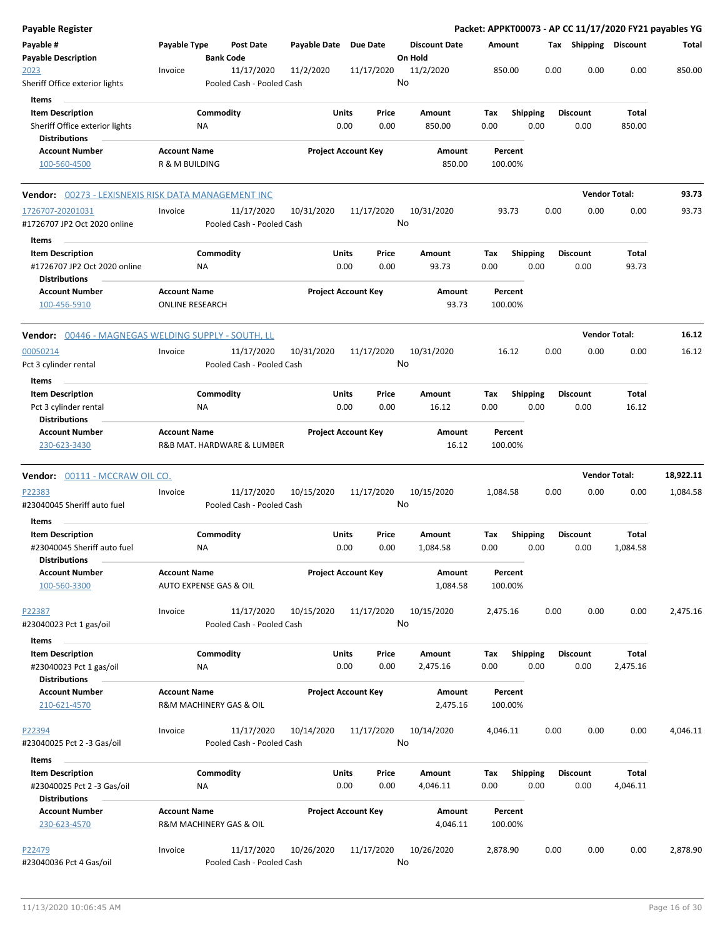| Payable Register                                                                  |                                               |                                         |                       |                                            |                                 | Packet: APPKT00073 - AP CC 11/17/2020 FY21 payables YG |                         |      |                         |                      |           |
|-----------------------------------------------------------------------------------|-----------------------------------------------|-----------------------------------------|-----------------------|--------------------------------------------|---------------------------------|--------------------------------------------------------|-------------------------|------|-------------------------|----------------------|-----------|
| Payable #<br><b>Payable Description</b>                                           | Payable Type                                  | <b>Post Date</b><br><b>Bank Code</b>    | Payable Date Due Date |                                            | <b>Discount Date</b><br>On Hold | Amount                                                 |                         |      | Tax Shipping Discount   |                      | Total     |
| 2023<br>Sheriff Office exterior lights                                            | Invoice                                       | 11/17/2020<br>Pooled Cash - Pooled Cash | 11/2/2020             | 11/17/2020                                 | 11/2/2020<br>No                 | 850.00                                                 |                         | 0.00 | 0.00                    | 0.00                 | 850.00    |
| Items                                                                             |                                               |                                         |                       |                                            |                                 |                                                        |                         |      |                         |                      |           |
| <b>Item Description</b><br>Sheriff Office exterior lights<br><b>Distributions</b> |                                               | Commodity<br>ΝA                         |                       | Units<br>Price<br>0.00<br>0.00             | Amount<br>850.00                | Tax<br>0.00                                            | <b>Shipping</b><br>0.00 |      | <b>Discount</b><br>0.00 | Total<br>850.00      |           |
| <b>Account Number</b><br>100-560-4500                                             | <b>Account Name</b><br>R & M BUILDING         |                                         |                       | <b>Project Account Key</b>                 | Amount<br>850.00                | Percent<br>100.00%                                     |                         |      |                         |                      |           |
| Vendor: 00273 - LEXISNEXIS RISK DATA MANAGEMENT INC                               |                                               |                                         |                       |                                            |                                 |                                                        |                         |      |                         | <b>Vendor Total:</b> | 93.73     |
| 1726707-20201031<br>#1726707 JP2 Oct 2020 online<br>Items                         | Invoice                                       | 11/17/2020<br>Pooled Cash - Pooled Cash | 10/31/2020            | 11/17/2020                                 | 10/31/2020<br>No                | 93.73                                                  |                         | 0.00 | 0.00                    | 0.00                 | 93.73     |
| <b>Item Description</b><br>#1726707 JP2 Oct 2020 online<br><b>Distributions</b>   |                                               | Commodity<br>ΝA                         |                       | Units<br>Price<br>0.00<br>0.00             | Amount<br>93.73                 | Tax<br>0.00                                            | Shipping<br>0.00        |      | <b>Discount</b><br>0.00 | Total<br>93.73       |           |
| <b>Account Number</b><br>100-456-5910                                             | <b>Account Name</b><br><b>ONLINE RESEARCH</b> |                                         |                       | <b>Project Account Key</b>                 | Amount<br>93.73                 | Percent<br>100.00%                                     |                         |      |                         |                      |           |
| <b>Vendor:</b> 00446 - MAGNEGAS WELDING SUPPLY - SOUTH, LL                        |                                               |                                         |                       |                                            |                                 |                                                        |                         |      |                         | <b>Vendor Total:</b> | 16.12     |
| 00050214<br>Pct 3 cylinder rental<br>Items                                        | Invoice                                       | 11/17/2020<br>Pooled Cash - Pooled Cash | 10/31/2020            | 11/17/2020                                 | 10/31/2020<br>No                | 16.12                                                  |                         | 0.00 | 0.00                    | 0.00                 | 16.12     |
| <b>Item Description</b>                                                           |                                               | Commodity                               |                       | Units<br>Price                             | Amount                          | Tax                                                    | <b>Shipping</b>         |      | Discount                | Total                |           |
| Pct 3 cylinder rental<br><b>Distributions</b>                                     |                                               | ΝA                                      |                       | 0.00<br>0.00                               | 16.12                           | 0.00                                                   | 0.00                    |      | 0.00                    | 16.12                |           |
| <b>Account Number</b><br>230-623-3430                                             | <b>Account Name</b>                           | R&B MAT. HARDWARE & LUMBER              |                       | <b>Project Account Key</b>                 | Amount<br>16.12                 | Percent<br>100.00%                                     |                         |      |                         |                      |           |
| <b>Vendor:</b> 00111 - MCCRAW OIL CO.                                             |                                               |                                         |                       |                                            |                                 |                                                        |                         |      |                         | <b>Vendor Total:</b> | 18,922.11 |
| P22383<br>#23040045 Sheriff auto fuel                                             | Invoice                                       | 11/17/2020<br>Pooled Cash - Pooled Cash | 10/15/2020            | 11/17/2020                                 | 10/15/2020<br>No                | 1,084.58                                               |                         | 0.00 | 0.00                    | 0.00                 | 1,084.58  |
| Items<br><b>Item Description</b>                                                  |                                               |                                         |                       | Units<br>Price                             | <b>Amount</b>                   |                                                        |                         |      | <b>Discount</b>         | Total                |           |
| #23040045 Sheriff auto fuel<br><b>Distributions</b>                               |                                               | Commodity<br>ΝA                         |                       | 0.00<br>0.00                               | 1,084.58                        | Tax<br>0.00                                            | <b>Shipping</b><br>0.00 |      | 0.00                    | 1,084.58             |           |
| <b>Account Number</b><br>100-560-3300                                             | <b>Account Name</b>                           | <b>AUTO EXPENSE GAS &amp; OIL</b>       |                       | <b>Project Account Key</b>                 | Amount<br>1,084.58              | Percent<br>100.00%                                     |                         |      |                         |                      |           |
| P22387<br>#23040023 Pct 1 gas/oil                                                 | Invoice                                       | 11/17/2020<br>Pooled Cash - Pooled Cash | 10/15/2020            | 11/17/2020                                 | 10/15/2020<br>No                | 2,475.16                                               |                         | 0.00 | 0.00                    | 0.00                 | 2,475.16  |
| Items<br><b>Item Description</b>                                                  |                                               | Commodity                               |                       | Units<br>Price                             | Amount                          | Tax                                                    | <b>Shipping</b>         |      | <b>Discount</b>         | Total                |           |
| #23040023 Pct 1 gas/oil<br><b>Distributions</b><br><b>Account Number</b>          | <b>Account Name</b>                           | ΝA                                      |                       | 0.00<br>0.00<br><b>Project Account Key</b> | 2,475.16<br>Amount              | 0.00<br>Percent                                        | 0.00                    |      | 0.00                    | 2,475.16             |           |
| 210-621-4570                                                                      |                                               | R&M MACHINERY GAS & OIL                 |                       |                                            | 2,475.16                        | 100.00%                                                |                         |      |                         |                      |           |
| P22394<br>#23040025 Pct 2 -3 Gas/oil                                              | Invoice                                       | 11/17/2020<br>Pooled Cash - Pooled Cash | 10/14/2020            | 11/17/2020                                 | 10/14/2020<br>No                | 4,046.11                                               |                         | 0.00 | 0.00                    | 0.00                 | 4,046.11  |
| Items<br><b>Item Description</b><br>#23040025 Pct 2 -3 Gas/oil                    |                                               | Commodity<br>NA                         |                       | Units<br>Price<br>0.00<br>0.00             | Amount<br>4,046.11              | Tax<br>0.00                                            | <b>Shipping</b><br>0.00 |      | <b>Discount</b><br>0.00 | Total<br>4,046.11    |           |
| <b>Distributions</b><br><b>Account Number</b><br>230-623-4570                     | <b>Account Name</b>                           | R&M MACHINERY GAS & OIL                 |                       | <b>Project Account Key</b>                 | Amount<br>4,046.11              | Percent<br>100.00%                                     |                         |      |                         |                      |           |
| P22479<br>#23040036 Pct 4 Gas/oil                                                 | Invoice                                       | 11/17/2020<br>Pooled Cash - Pooled Cash | 10/26/2020            | 11/17/2020                                 | 10/26/2020<br>No                | 2,878.90                                               |                         | 0.00 | 0.00                    | 0.00                 | 2,878.90  |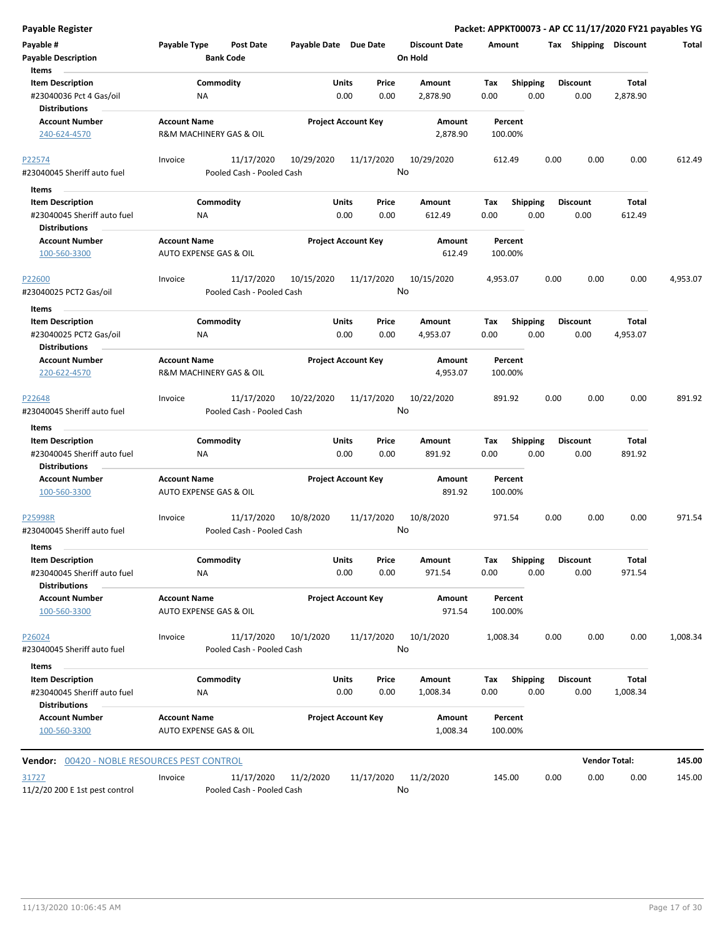| Payable Register                                                                        |                                                          |                                         |                       |                                       |                                 | Packet: APPKT00073 - AP CC 11/17/2020 FY21 payables YG |      |                         |                          |          |
|-----------------------------------------------------------------------------------------|----------------------------------------------------------|-----------------------------------------|-----------------------|---------------------------------------|---------------------------------|--------------------------------------------------------|------|-------------------------|--------------------------|----------|
| Payable #<br><b>Payable Description</b>                                                 | Payable Type                                             | <b>Post Date</b><br><b>Bank Code</b>    | Payable Date Due Date |                                       | <b>Discount Date</b><br>On Hold | Amount                                                 |      | Tax Shipping Discount   |                          | Total    |
| Items<br><b>Item Description</b><br>#23040036 Pct 4 Gas/oil<br><b>Distributions</b>     | NA                                                       | Commodity                               |                       | Units<br>Price<br>0.00<br>0.00        | Amount<br>2,878.90              | Shipping<br>Tax<br>0.00                                | 0.00 | <b>Discount</b><br>0.00 | Total<br>2,878.90        |          |
| <b>Account Number</b><br>240-624-4570                                                   | <b>Account Name</b>                                      | R&M MACHINERY GAS & OIL                 |                       | <b>Project Account Key</b>            | Amount<br>2,878.90              | Percent<br>100.00%                                     |      |                         |                          |          |
| P22574<br>#23040045 Sheriff auto fuel                                                   | Invoice                                                  | 11/17/2020<br>Pooled Cash - Pooled Cash | 10/29/2020            | 11/17/2020                            | 10/29/2020<br>No                | 612.49                                                 | 0.00 | 0.00                    | 0.00                     | 612.49   |
| Items<br><b>Item Description</b><br>#23040045 Sheriff auto fuel<br><b>Distributions</b> | ΝA                                                       | Commodity                               |                       | Units<br>Price<br>0.00<br>0.00        | Amount<br>612.49                | Tax<br><b>Shipping</b><br>0.00                         | 0.00 | <b>Discount</b><br>0.00 | Total<br>612.49          |          |
| <b>Account Number</b><br>100-560-3300                                                   | <b>Account Name</b><br><b>AUTO EXPENSE GAS &amp; OIL</b> |                                         |                       | <b>Project Account Key</b>            | Amount<br>612.49                | Percent<br>100.00%                                     |      |                         |                          |          |
| P22600<br>#23040025 PCT2 Gas/oil                                                        | Invoice                                                  | 11/17/2020<br>Pooled Cash - Pooled Cash | 10/15/2020            | 11/17/2020                            | 10/15/2020<br>No                | 4,953.07                                               | 0.00 | 0.00                    | 0.00                     | 4,953.07 |
| Items<br><b>Item Description</b><br>#23040025 PCT2 Gas/oil<br><b>Distributions</b>      | ΝA                                                       | Commodity                               |                       | Units<br>Price<br>0.00<br>0.00        | Amount<br>4,953.07              | Tax<br><b>Shipping</b><br>0.00                         | 0.00 | <b>Discount</b><br>0.00 | <b>Total</b><br>4,953.07 |          |
| <b>Account Number</b><br>220-622-4570                                                   | <b>Account Name</b>                                      | R&M MACHINERY GAS & OIL                 |                       | <b>Project Account Key</b>            | Amount<br>4,953.07              | Percent<br>100.00%                                     |      |                         |                          |          |
| P22648<br>#23040045 Sheriff auto fuel                                                   | Invoice                                                  | 11/17/2020<br>Pooled Cash - Pooled Cash | 10/22/2020            | 11/17/2020                            | 10/22/2020<br>No                | 891.92                                                 | 0.00 | 0.00                    | 0.00                     | 891.92   |
| Items<br><b>Item Description</b><br>#23040045 Sheriff auto fuel<br><b>Distributions</b> | ΝA                                                       | Commodity                               |                       | <b>Units</b><br>Price<br>0.00<br>0.00 | Amount<br>891.92                | <b>Shipping</b><br>Tax<br>0.00                         | 0.00 | <b>Discount</b><br>0.00 | <b>Total</b><br>891.92   |          |
| <b>Account Number</b><br>100-560-3300                                                   | <b>Account Name</b><br>AUTO EXPENSE GAS & OIL            |                                         |                       | <b>Project Account Key</b>            | Amount<br>891.92                | Percent<br>100.00%                                     |      |                         |                          |          |
| P25998R<br>#23040045 Sheriff auto fuel                                                  | Invoice                                                  | 11/17/2020<br>Pooled Cash - Pooled Cash | 10/8/2020             | 11/17/2020                            | 10/8/2020<br>No                 | 971.54                                                 | 0.00 | 0.00                    | 0.00                     | 971.54   |
| Items<br><b>Item Description</b><br>#23040045 Sheriff auto fuel<br><b>Distributions</b> | ΝA                                                       | Commodity                               |                       | Units<br>Price<br>0.00<br>0.00        | Amount<br>971.54                | Shipping<br>Tax<br>0.00                                | 0.00 | <b>Discount</b><br>0.00 | Total<br>971.54          |          |
| <b>Account Number</b><br>100-560-3300                                                   | <b>Account Name</b><br>AUTO EXPENSE GAS & OIL            |                                         |                       | <b>Project Account Key</b>            | Amount<br>971.54                | Percent<br>100.00%                                     |      |                         |                          |          |
| P26024<br>#23040045 Sheriff auto fuel                                                   | Invoice                                                  | 11/17/2020<br>Pooled Cash - Pooled Cash | 10/1/2020             | 11/17/2020                            | 10/1/2020<br>No                 | 1,008.34                                               | 0.00 | 0.00                    | 0.00                     | 1,008.34 |
| Items<br><b>Item Description</b><br>#23040045 Sheriff auto fuel<br><b>Distributions</b> | ΝA                                                       | Commodity                               |                       | Units<br>Price<br>0.00<br>0.00        | Amount<br>1,008.34              | <b>Shipping</b><br>Tax<br>0.00                         | 0.00 | <b>Discount</b><br>0.00 | <b>Total</b><br>1,008.34 |          |
| <b>Account Number</b><br>100-560-3300                                                   | <b>Account Name</b><br>AUTO EXPENSE GAS & OIL            |                                         |                       | <b>Project Account Key</b>            | Amount<br>1,008.34              | Percent<br>100.00%                                     |      |                         |                          |          |
| <b>Vendor: 00420 - NOBLE RESOURCES PEST CONTROL</b>                                     |                                                          |                                         |                       |                                       |                                 |                                                        |      |                         | <b>Vendor Total:</b>     | 145.00   |
| 31727<br>11/2/20 200 E 1st pest control                                                 | Invoice                                                  | 11/17/2020<br>Pooled Cash - Pooled Cash | 11/2/2020             | 11/17/2020                            | 11/2/2020<br>No                 | 145.00                                                 | 0.00 | 0.00                    | 0.00                     | 145.00   |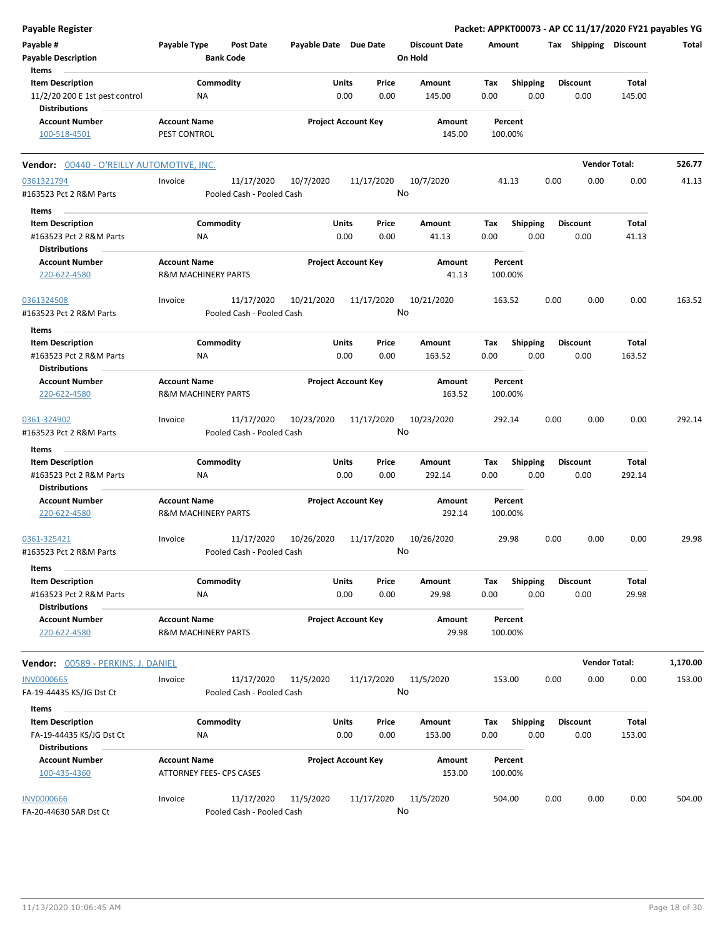| <b>Payable Register</b>                                                           |                                                       |                                         |                       |                            |                                 | Packet: APPKT00073 - AP CC 11/17/2020 FY21 payables YG |      |                         |                      |          |
|-----------------------------------------------------------------------------------|-------------------------------------------------------|-----------------------------------------|-----------------------|----------------------------|---------------------------------|--------------------------------------------------------|------|-------------------------|----------------------|----------|
| Payable #<br><b>Payable Description</b>                                           | Payable Type                                          | <b>Post Date</b><br><b>Bank Code</b>    | Payable Date Due Date |                            | <b>Discount Date</b><br>On Hold | Amount                                                 |      | Tax Shipping Discount   |                      | Total    |
| Items                                                                             |                                                       |                                         |                       |                            |                                 |                                                        |      |                         |                      |          |
| <b>Item Description</b><br>11/2/20 200 E 1st pest control<br><b>Distributions</b> | Commodity<br>NA                                       |                                         | Units                 | Price<br>0.00<br>0.00      | <b>Amount</b><br>145.00         | Tax<br><b>Shipping</b><br>0.00                         | 0.00 | <b>Discount</b><br>0.00 | Total<br>145.00      |          |
| <b>Account Number</b><br>100-518-4501                                             | <b>Account Name</b><br>PEST CONTROL                   |                                         |                       | <b>Project Account Key</b> | Amount<br>145.00                | Percent<br>100.00%                                     |      |                         |                      |          |
| <b>Vendor: 00440 - O'REILLY AUTOMOTIVE, INC.</b>                                  |                                                       |                                         |                       |                            |                                 |                                                        |      |                         | <b>Vendor Total:</b> | 526.77   |
| 0361321794                                                                        | Invoice                                               | 11/17/2020                              | 10/7/2020             | 11/17/2020                 | 10/7/2020                       | 41.13                                                  | 0.00 | 0.00                    | 0.00                 | 41.13    |
| #163523 Pct 2 R&M Parts                                                           |                                                       | Pooled Cash - Pooled Cash               |                       |                            | No                              |                                                        |      |                         |                      |          |
| Items                                                                             |                                                       |                                         |                       |                            |                                 |                                                        |      |                         |                      |          |
| <b>Item Description</b><br>#163523 Pct 2 R&M Parts<br><b>Distributions</b>        | Commodity<br>ΝA                                       |                                         | Units                 | Price<br>0.00<br>0.00      | Amount<br>41.13                 | Tax<br><b>Shipping</b><br>0.00                         | 0.00 | <b>Discount</b><br>0.00 | Total<br>41.13       |          |
| <b>Account Number</b><br>220-622-4580                                             | <b>Account Name</b><br><b>R&amp;M MACHINERY PARTS</b> |                                         |                       | <b>Project Account Key</b> | Amount<br>41.13                 | Percent<br>100.00%                                     |      |                         |                      |          |
| 0361324508<br>#163523 Pct 2 R&M Parts                                             | Invoice                                               | 11/17/2020<br>Pooled Cash - Pooled Cash | 10/21/2020            | 11/17/2020                 | 10/21/2020<br>No                | 163.52                                                 | 0.00 | 0.00                    | 0.00                 | 163.52   |
| Items                                                                             |                                                       |                                         |                       |                            |                                 |                                                        |      |                         |                      |          |
| <b>Item Description</b>                                                           | Commodity                                             |                                         | Units                 | Price                      | Amount                          | <b>Shipping</b><br>Tax                                 |      | <b>Discount</b>         | Total                |          |
| #163523 Pct 2 R&M Parts<br><b>Distributions</b>                                   | ΝA                                                    |                                         |                       | 0.00<br>0.00               | 163.52                          | 0.00                                                   | 0.00 | 0.00                    | 163.52               |          |
| <b>Account Number</b><br>220-622-4580                                             | <b>Account Name</b><br><b>R&amp;M MACHINERY PARTS</b> |                                         |                       | <b>Project Account Key</b> | Amount<br>163.52                | Percent<br>100.00%                                     |      |                         |                      |          |
| 0361-324902<br>#163523 Pct 2 R&M Parts                                            | Invoice                                               | 11/17/2020<br>Pooled Cash - Pooled Cash | 10/23/2020            | 11/17/2020                 | 10/23/2020<br>No                | 292.14                                                 | 0.00 | 0.00                    | 0.00                 | 292.14   |
| Items                                                                             |                                                       |                                         |                       |                            |                                 |                                                        |      |                         |                      |          |
| <b>Item Description</b>                                                           | Commodity                                             |                                         | Units                 | Price                      | Amount                          | <b>Shipping</b><br>Tax                                 |      | <b>Discount</b>         | Total                |          |
| #163523 Pct 2 R&M Parts<br><b>Distributions</b>                                   | NA                                                    |                                         |                       | 0.00<br>0.00               | 292.14                          | 0.00                                                   | 0.00 | 0.00                    | 292.14               |          |
| <b>Account Number</b><br>220-622-4580                                             | <b>Account Name</b><br><b>R&amp;M MACHINERY PARTS</b> |                                         |                       | <b>Project Account Key</b> | Amount<br>292.14                | Percent<br>100.00%                                     |      |                         |                      |          |
| 0361-325421<br>#163523 Pct 2 R&M Parts                                            | Invoice                                               | 11/17/2020<br>Pooled Cash - Pooled Cash | 10/26/2020            | 11/17/2020                 | 10/26/2020<br>No.               | 29.98                                                  | 0.00 | 0.00                    | 0.00                 | 29.98    |
| Items                                                                             |                                                       |                                         |                       |                            |                                 |                                                        |      |                         |                      |          |
| <b>Item Description</b>                                                           | Commodity                                             |                                         | Units                 | Price                      | Amount                          | <b>Shipping</b><br>Tax                                 |      | <b>Discount</b>         | Total                |          |
| #163523 Pct 2 R&M Parts<br><b>Distributions</b>                                   | NA                                                    |                                         |                       | 0.00<br>0.00               | 29.98                           | 0.00                                                   | 0.00 | 0.00                    | 29.98                |          |
| <b>Account Number</b><br>220-622-4580                                             | <b>Account Name</b><br><b>R&amp;M MACHINERY PARTS</b> |                                         |                       | <b>Project Account Key</b> | Amount<br>29.98                 | Percent<br>100.00%                                     |      |                         |                      |          |
| <b>Vendor: 00589 - PERKINS, J. DANIEL</b>                                         |                                                       |                                         |                       |                            |                                 |                                                        |      |                         | <b>Vendor Total:</b> | 1,170.00 |
| <b>INV0000665</b>                                                                 | Invoice                                               | 11/17/2020                              | 11/5/2020             | 11/17/2020                 | 11/5/2020                       | 153.00                                                 | 0.00 | 0.00                    | 0.00                 | 153.00   |
| FA-19-44435 KS/JG Dst Ct                                                          |                                                       | Pooled Cash - Pooled Cash               |                       |                            | No                              |                                                        |      |                         |                      |          |
| Items                                                                             |                                                       |                                         |                       |                            |                                 |                                                        |      |                         |                      |          |
| <b>Item Description</b><br>FA-19-44435 KS/JG Dst Ct<br><b>Distributions</b>       | Commodity<br>NA                                       |                                         | Units                 | Price<br>0.00<br>0.00      | Amount<br>153.00                | <b>Shipping</b><br>Tax<br>0.00                         | 0.00 | <b>Discount</b><br>0.00 | Total<br>153.00      |          |
| <b>Account Number</b><br>100-435-4360                                             | <b>Account Name</b><br>ATTORNEY FEES- CPS CASES       |                                         |                       | <b>Project Account Key</b> | Amount<br>153.00                | Percent<br>100.00%                                     |      |                         |                      |          |
| <b>INV0000666</b><br>FA-20-44630 SAR Dst Ct                                       | Invoice                                               | 11/17/2020<br>Pooled Cash - Pooled Cash | 11/5/2020             | 11/17/2020                 | 11/5/2020<br>No                 | 504.00                                                 | 0.00 | 0.00                    | 0.00                 | 504.00   |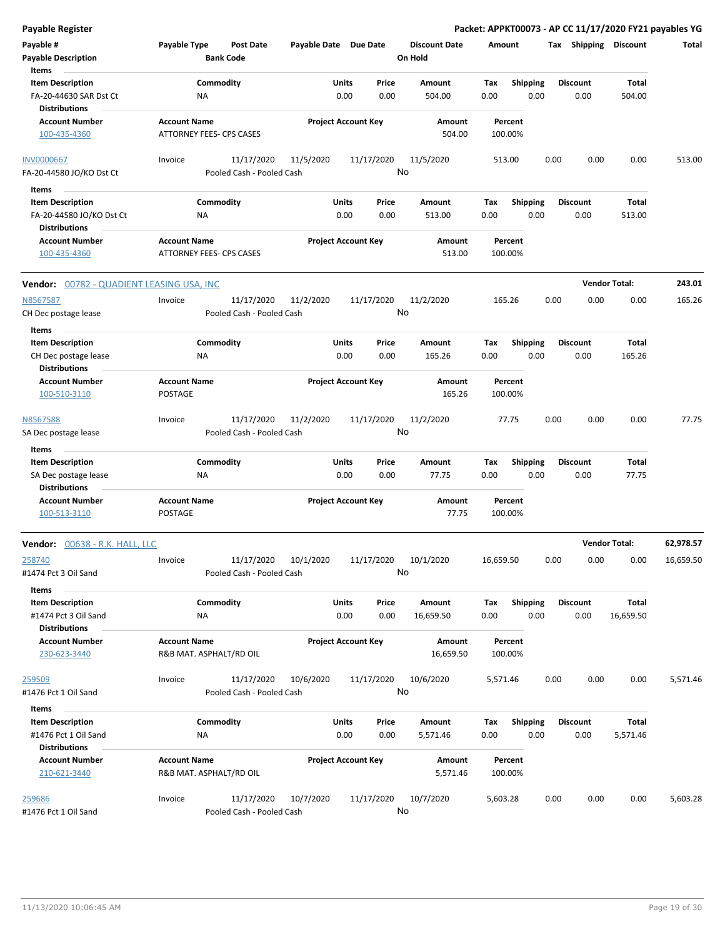| Payable #                                        | Payable Type                                           | Post Date                 | Payable Date Due Date |                            |         | <b>Discount Date</b> | Amount    |                 | Tax Shipping    | <b>Discount</b>      | Total     |
|--------------------------------------------------|--------------------------------------------------------|---------------------------|-----------------------|----------------------------|---------|----------------------|-----------|-----------------|-----------------|----------------------|-----------|
| <b>Payable Description</b>                       |                                                        | <b>Bank Code</b>          |                       |                            | On Hold |                      |           |                 |                 |                      |           |
| Items                                            |                                                        |                           |                       |                            |         |                      |           |                 |                 |                      |           |
| <b>Item Description</b>                          |                                                        | Commodity                 |                       | Units<br>Price             |         | Amount               | Tax       | <b>Shipping</b> | <b>Discount</b> | Total                |           |
| FA-20-44630 SAR Dst Ct                           | ΝA                                                     |                           |                       | 0.00<br>0.00               |         | 504.00               | 0.00      | 0.00            | 0.00            | 504.00               |           |
| <b>Distributions</b>                             |                                                        |                           |                       |                            |         | Amount               |           | Percent         |                 |                      |           |
| <b>Account Number</b><br>100-435-4360            | <b>Account Name</b><br><b>ATTORNEY FEES- CPS CASES</b> |                           |                       | <b>Project Account Key</b> |         | 504.00               |           | 100.00%         |                 |                      |           |
|                                                  |                                                        |                           |                       |                            |         |                      |           |                 |                 |                      |           |
| <b>INV0000667</b>                                | Invoice                                                | 11/17/2020                | 11/5/2020             | 11/17/2020                 |         | 11/5/2020            |           | 513.00          | 0.00<br>0.00    | 0.00                 | 513.00    |
| FA-20-44580 JO/KO Dst Ct                         |                                                        | Pooled Cash - Pooled Cash |                       |                            | No      |                      |           |                 |                 |                      |           |
| Items                                            |                                                        |                           |                       |                            |         |                      |           |                 |                 |                      |           |
| <b>Item Description</b>                          |                                                        | Commodity                 |                       | Units<br>Price             |         | Amount               | Tax       | <b>Shipping</b> | <b>Discount</b> | Total                |           |
| FA-20-44580 JO/KO Dst Ct                         | <b>NA</b>                                              |                           |                       | 0.00<br>0.00               |         | 513.00               | 0.00      | 0.00            | 0.00            | 513.00               |           |
| <b>Distributions</b>                             |                                                        |                           |                       |                            |         |                      |           |                 |                 |                      |           |
| <b>Account Number</b>                            | <b>Account Name</b>                                    |                           |                       | <b>Project Account Key</b> |         | Amount               |           | Percent         |                 |                      |           |
| 100-435-4360                                     | ATTORNEY FEES- CPS CASES                               |                           |                       |                            |         | 513.00               |           | 100.00%         |                 |                      |           |
| <b>Vendor: 00782 - QUADIENT LEASING USA, INC</b> |                                                        |                           |                       |                            |         |                      |           |                 |                 | <b>Vendor Total:</b> | 243.01    |
| N8567587                                         | Invoice                                                | 11/17/2020                | 11/2/2020             | 11/17/2020                 |         | 11/2/2020            |           | 165.26          | 0.00<br>0.00    | 0.00                 | 165.26    |
| CH Dec postage lease                             |                                                        | Pooled Cash - Pooled Cash |                       |                            | No      |                      |           |                 |                 |                      |           |
| Items                                            |                                                        |                           |                       |                            |         |                      |           |                 |                 |                      |           |
| <b>Item Description</b>                          |                                                        | Commodity                 |                       | Units<br>Price             |         | Amount               | Tax       | <b>Shipping</b> | Discount        | Total                |           |
| CH Dec postage lease                             | ΝA                                                     |                           |                       | 0.00<br>0.00               |         | 165.26               | 0.00      | 0.00            | 0.00            | 165.26               |           |
| <b>Distributions</b>                             |                                                        |                           |                       |                            |         |                      |           |                 |                 |                      |           |
| <b>Account Number</b>                            | <b>Account Name</b>                                    |                           |                       | <b>Project Account Key</b> |         | Amount               |           | Percent         |                 |                      |           |
| 100-510-3110                                     | POSTAGE                                                |                           |                       |                            |         | 165.26               |           | 100.00%         |                 |                      |           |
| N8567588                                         | Invoice                                                | 11/17/2020                | 11/2/2020             | 11/17/2020                 |         | 11/2/2020            |           | 77.75           | 0.00<br>0.00    | 0.00                 | 77.75     |
| SA Dec postage lease                             |                                                        | Pooled Cash - Pooled Cash |                       |                            | No      |                      |           |                 |                 |                      |           |
| Items                                            |                                                        |                           |                       |                            |         |                      |           |                 |                 |                      |           |
| <b>Item Description</b>                          |                                                        | Commodity                 |                       | Units<br>Price             |         | Amount               | Tax       | <b>Shipping</b> | <b>Discount</b> | Total                |           |
| SA Dec postage lease<br><b>Distributions</b>     | NA                                                     |                           |                       | 0.00<br>0.00               |         | 77.75                | 0.00      | 0.00            | 0.00            | 77.75                |           |
| <b>Account Number</b>                            | <b>Account Name</b>                                    |                           |                       | <b>Project Account Key</b> |         | Amount               |           | Percent         |                 |                      |           |
| 100-513-3110                                     | <b>POSTAGE</b>                                         |                           |                       |                            |         | 77.75                |           | 100.00%         |                 |                      |           |
| Vendor: 00638 - R.K. HALL, LLC                   |                                                        |                           |                       |                            |         |                      |           |                 |                 | <b>Vendor Total:</b> | 62,978.57 |
| 258740                                           | Invoice                                                | 11/17/2020                | 10/1/2020             | 11/17/2020                 |         | 10/1/2020            | 16,659.50 |                 | 0.00<br>0.00    | 0.00                 | 16,659.50 |
| #1474 Pct 3 Oil Sand                             |                                                        | Pooled Cash - Pooled Cash |                       |                            | No l    |                      |           |                 |                 |                      |           |
| Items                                            |                                                        |                           |                       |                            |         |                      |           |                 |                 |                      |           |
| <b>Item Description</b>                          |                                                        | Commodity                 |                       | Units<br>Price             |         | Amount               | Tax       | <b>Shipping</b> | <b>Discount</b> | Total                |           |
| #1474 Pct 3 Oil Sand                             | NA                                                     |                           |                       | 0.00<br>0.00               |         | 16,659.50            | 0.00      | 0.00            | 0.00            | 16,659.50            |           |
| <b>Distributions</b><br><b>Account Number</b>    | <b>Account Name</b>                                    |                           |                       | <b>Project Account Key</b> |         | Amount               |           | Percent         |                 |                      |           |
| 230-623-3440                                     | R&B MAT. ASPHALT/RD OIL                                |                           |                       |                            |         | 16,659.50            |           | 100.00%         |                 |                      |           |
|                                                  |                                                        |                           |                       |                            |         |                      |           |                 |                 |                      |           |
| 259509                                           | Invoice                                                | 11/17/2020                | 10/6/2020             | 11/17/2020                 |         | 10/6/2020            | 5,571.46  |                 | 0.00<br>0.00    | 0.00                 | 5,571.46  |
| #1476 Pct 1 Oil Sand                             |                                                        | Pooled Cash - Pooled Cash |                       |                            | No      |                      |           |                 |                 |                      |           |
| Items                                            |                                                        |                           |                       |                            |         |                      |           |                 |                 |                      |           |
| <b>Item Description</b>                          |                                                        | Commodity                 |                       | Units<br>Price             |         | Amount               | Tax       | <b>Shipping</b> | <b>Discount</b> | Total                |           |
| #1476 Pct 1 Oil Sand                             | NA                                                     |                           |                       | 0.00<br>0.00               |         | 5,571.46             | 0.00      | 0.00            | 0.00            | 5,571.46             |           |
| <b>Distributions</b>                             |                                                        |                           |                       |                            |         |                      |           |                 |                 |                      |           |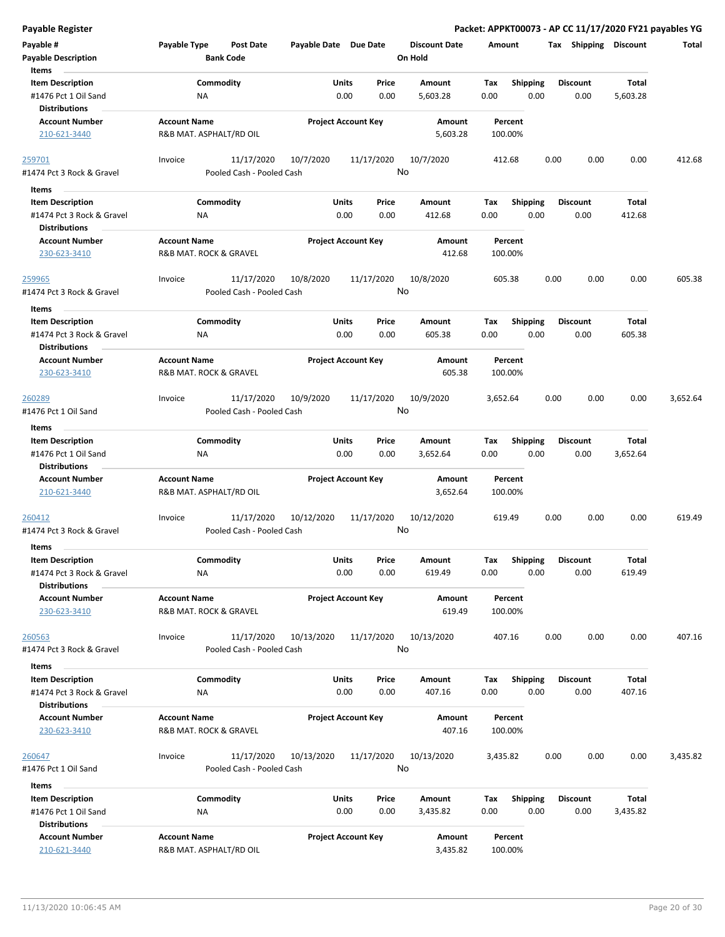| Payable #<br><b>Payable Description</b><br>Items  | Payable Type<br>Post Date<br><b>Bank Code</b>      | Payable Date Due Date      | <b>Discount Date</b><br>On Hold | Amount                 | <b>Shipping</b><br>Тах | Discount | Total    |
|---------------------------------------------------|----------------------------------------------------|----------------------------|---------------------------------|------------------------|------------------------|----------|----------|
| <b>Item Description</b>                           | Commodity                                          | Units<br>Price             | Amount                          | Tax<br><b>Shipping</b> | <b>Discount</b>        | Total    |          |
| #1476 Pct 1 Oil Sand                              | ΝA                                                 | 0.00<br>0.00               | 5,603.28                        | 0.00<br>0.00           | 0.00                   | 5,603.28 |          |
| <b>Distributions</b>                              |                                                    |                            |                                 |                        |                        |          |          |
| <b>Account Number</b>                             |                                                    | <b>Project Account Key</b> | Amount                          | Percent                |                        |          |          |
|                                                   | <b>Account Name</b>                                |                            | 5,603.28                        |                        |                        |          |          |
| 210-621-3440                                      | R&B MAT. ASPHALT/RD OIL                            |                            |                                 | 100.00%                |                        |          |          |
| 259701<br>#1474 Pct 3 Rock & Gravel               | 11/17/2020<br>Invoice<br>Pooled Cash - Pooled Cash | 10/7/2020<br>11/17/2020    | 10/7/2020<br>No                 | 412.68                 | 0.00<br>0.00           | 0.00     | 412.68   |
|                                                   |                                                    |                            |                                 |                        |                        |          |          |
| Items                                             |                                                    |                            |                                 |                        |                        |          |          |
| <b>Item Description</b>                           | Commodity                                          | Units<br>Price             | Amount                          | <b>Shipping</b><br>Tax | <b>Discount</b>        | Total    |          |
| #1474 Pct 3 Rock & Gravel                         | ΝA                                                 | 0.00<br>0.00               | 412.68                          | 0.00<br>0.00           | 0.00                   | 412.68   |          |
| <b>Distributions</b>                              |                                                    |                            |                                 |                        |                        |          |          |
| <b>Account Number</b>                             | <b>Account Name</b>                                | <b>Project Account Key</b> | Amount                          | Percent                |                        |          |          |
| 230-623-3410                                      | R&B MAT. ROCK & GRAVEL                             |                            | 412.68                          | 100.00%                |                        |          |          |
|                                                   |                                                    |                            |                                 |                        |                        |          |          |
| 259965                                            | 11/17/2020<br>Invoice                              | 11/17/2020<br>10/8/2020    | 10/8/2020                       | 605.38                 | 0.00<br>0.00           | 0.00     | 605.38   |
| #1474 Pct 3 Rock & Gravel                         | Pooled Cash - Pooled Cash                          |                            | No                              |                        |                        |          |          |
| Items                                             |                                                    |                            |                                 |                        |                        |          |          |
| <b>Item Description</b>                           | Commodity                                          | Units<br>Price             | Amount                          | Tax<br><b>Shipping</b> | <b>Discount</b>        | Total    |          |
|                                                   |                                                    |                            |                                 |                        |                        |          |          |
| #1474 Pct 3 Rock & Gravel                         | ΝA                                                 | 0.00<br>0.00               | 605.38                          | 0.00<br>0.00           | 0.00                   | 605.38   |          |
| <b>Distributions</b>                              |                                                    |                            |                                 |                        |                        |          |          |
| <b>Account Number</b>                             | <b>Account Name</b>                                | <b>Project Account Key</b> | Amount                          | Percent                |                        |          |          |
| 230-623-3410                                      | R&B MAT. ROCK & GRAVEL                             |                            | 605.38                          | 100.00%                |                        |          |          |
|                                                   |                                                    |                            |                                 |                        |                        |          |          |
| <u> 260289</u>                                    | 11/17/2020<br>Invoice                              | 10/9/2020<br>11/17/2020    | 10/9/2020                       | 3,652.64               | 0.00<br>0.00           | 0.00     | 3,652.64 |
| #1476 Pct 1 Oil Sand                              | Pooled Cash - Pooled Cash                          |                            | No                              |                        |                        |          |          |
| Items                                             |                                                    |                            |                                 |                        |                        |          |          |
| <b>Item Description</b>                           | Commodity                                          | Units<br>Price             | Amount                          | <b>Shipping</b><br>Tax | Discount               | Total    |          |
| #1476 Pct 1 Oil Sand                              | <b>NA</b>                                          | 0.00<br>0.00               | 3,652.64                        | 0.00<br>0.00           | 0.00                   | 3,652.64 |          |
| <b>Distributions</b>                              |                                                    |                            |                                 |                        |                        |          |          |
| <b>Account Number</b>                             | <b>Account Name</b>                                | <b>Project Account Key</b> | Amount                          | Percent                |                        |          |          |
| 210-621-3440                                      | R&B MAT. ASPHALT/RD OIL                            |                            | 3,652.64                        | 100.00%                |                        |          |          |
|                                                   |                                                    |                            |                                 |                        |                        |          |          |
| 260412                                            | 11/17/2020<br>Invoice                              | 10/12/2020<br>11/17/2020   | 10/12/2020                      | 619.49                 | 0.00<br>0.00           | 0.00     | 619.49   |
| #1474 Pct 3 Rock & Gravel                         | Pooled Cash - Pooled Cash                          |                            | No                              |                        |                        |          |          |
|                                                   |                                                    |                            |                                 |                        |                        |          |          |
| Items                                             |                                                    |                            |                                 |                        |                        |          |          |
| <b>Item Description</b>                           | Commodity                                          | Units<br>Price             | Amount                          | <b>Shipping</b><br>Tax | <b>Discount</b>        | Total    |          |
| #1474 Pct 3 Rock & Gravel                         | <b>NA</b>                                          | 0.00<br>0.00               | 619.49                          | 0.00<br>0.00           | 0.00                   | 619.49   |          |
| <b>Distributions</b>                              |                                                    |                            |                                 |                        |                        |          |          |
| <b>Account Number</b>                             | <b>Account Name</b>                                | <b>Project Account Key</b> | Amount                          | Percent                |                        |          |          |
| 230-623-3410                                      | R&B MAT. ROCK & GRAVEL                             |                            | 619.49                          | 100.00%                |                        |          |          |
|                                                   |                                                    |                            |                                 |                        |                        |          |          |
| 260563                                            | 11/17/2020<br>Invoice                              | 10/13/2020<br>11/17/2020   | 10/13/2020                      | 407.16                 | 0.00<br>0.00           | 0.00     | 407.16   |
| #1474 Pct 3 Rock & Gravel                         | Pooled Cash - Pooled Cash                          |                            | No                              |                        |                        |          |          |
| Items                                             |                                                    |                            |                                 |                        |                        |          |          |
| <b>Item Description</b>                           | Commodity                                          | Units<br>Price             | Amount                          | <b>Shipping</b><br>Tax | <b>Discount</b>        | Total    |          |
|                                                   |                                                    | 0.00                       |                                 | 0.00                   |                        | 407.16   |          |
| #1474 Pct 3 Rock & Gravel<br><b>Distributions</b> | <b>NA</b>                                          | 0.00                       | 407.16                          | 0.00                   | 0.00                   |          |          |
|                                                   |                                                    |                            |                                 |                        |                        |          |          |
| <b>Account Number</b>                             | <b>Account Name</b>                                | <b>Project Account Key</b> | Amount                          | Percent                |                        |          |          |
| 230-623-3410                                      | R&B MAT. ROCK & GRAVEL                             |                            | 407.16                          | 100.00%                |                        |          |          |
|                                                   |                                                    |                            |                                 |                        |                        |          |          |
| 260647                                            | 11/17/2020<br>Invoice                              | 10/13/2020<br>11/17/2020   | 10/13/2020                      | 3,435.82               | 0.00<br>0.00           | 0.00     | 3,435.82 |
| #1476 Pct 1 Oil Sand                              | Pooled Cash - Pooled Cash                          |                            | No                              |                        |                        |          |          |
| Items                                             |                                                    |                            |                                 |                        |                        |          |          |
| <b>Item Description</b>                           | Commodity                                          | Units<br>Price             | Amount                          | Tax<br><b>Shipping</b> | Discount               | Total    |          |
| #1476 Pct 1 Oil Sand                              | ΝA                                                 | 0.00<br>0.00               | 3,435.82                        | 0.00<br>0.00           | 0.00                   | 3,435.82 |          |
| <b>Distributions</b>                              |                                                    |                            |                                 |                        |                        |          |          |
| <b>Account Number</b>                             | <b>Account Name</b>                                | <b>Project Account Key</b> | Amount                          | Percent                |                        |          |          |
| 210-621-3440                                      | R&B MAT. ASPHALT/RD OIL                            |                            | 3,435.82                        | 100.00%                |                        |          |          |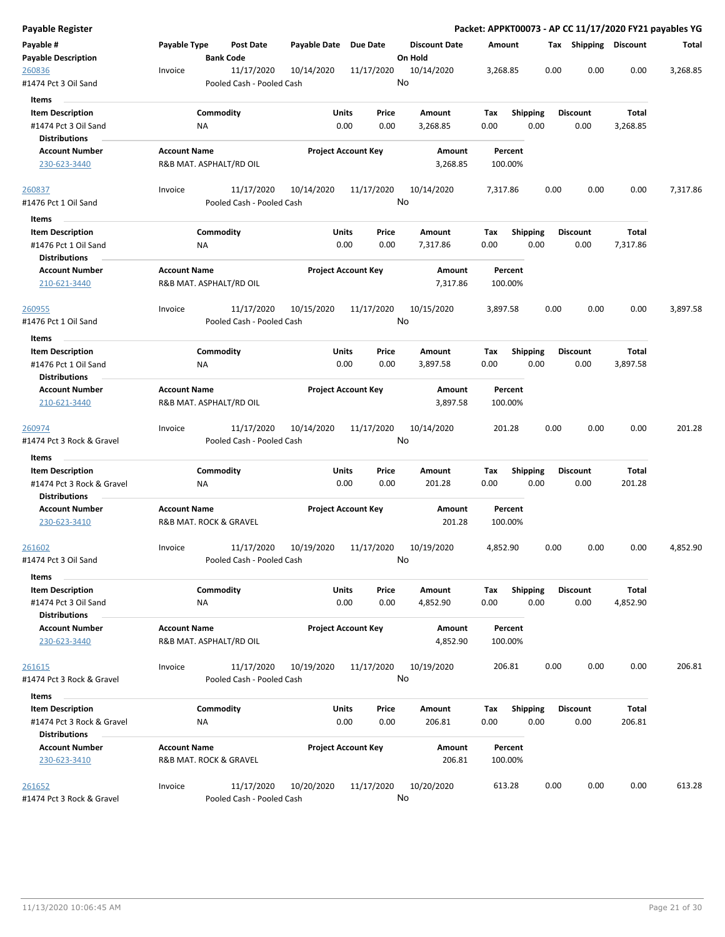| Payable Register                              |                                  |                                                       |                            |                                 | Packet: APPKT00073 - AP CC 11/17/2020 FY21 payables YG |                 |                       |          |          |
|-----------------------------------------------|----------------------------------|-------------------------------------------------------|----------------------------|---------------------------------|--------------------------------------------------------|-----------------|-----------------------|----------|----------|
| Payable #<br>Payable Description              | Payable Type<br><b>Bank Code</b> | <b>Post Date</b><br>Payable Date                      | <b>Due Date</b>            | <b>Discount Date</b><br>On Hold | Amount                                                 |                 | Tax Shipping Discount |          | Total    |
| <u> 260836</u>                                | Invoice                          | 11/17/2020<br>10/14/2020                              | 11/17/2020                 | 10/14/2020                      | 3,268.85                                               | 0.00            | 0.00                  | 0.00     | 3,268.85 |
| #1474 Pct 3 Oil Sand                          |                                  | Pooled Cash - Pooled Cash                             |                            | No                              |                                                        |                 |                       |          |          |
| Items                                         |                                  |                                                       |                            |                                 |                                                        |                 |                       |          |          |
| <b>Item Description</b>                       | Commodity                        |                                                       | Units<br>Price             | Amount                          | Tax                                                    | <b>Shipping</b> | <b>Discount</b>       | Total    |          |
| #1474 Pct 3 Oil Sand                          | ΝA                               |                                                       | 0.00<br>0.00               | 3,268.85                        | 0.00                                                   | 0.00            | 0.00                  | 3,268.85 |          |
| Distributions                                 |                                  |                                                       |                            |                                 |                                                        |                 |                       |          |          |
| <b>Account Number</b>                         | <b>Account Name</b>              |                                                       | <b>Project Account Key</b> | Amount                          | Percent                                                |                 |                       |          |          |
| 230-623-3440                                  | R&B MAT. ASPHALT/RD OIL          |                                                       |                            | 3,268.85                        | 100.00%                                                |                 |                       |          |          |
| 260837                                        | Invoice                          | 11/17/2020<br>10/14/2020                              | 11/17/2020                 | 10/14/2020                      | 7,317.86                                               | 0.00            | 0.00                  | 0.00     | 7,317.86 |
| #1476 Pct 1 Oil Sand                          |                                  | Pooled Cash - Pooled Cash                             |                            | No                              |                                                        |                 |                       |          |          |
| Items                                         |                                  |                                                       |                            |                                 |                                                        |                 |                       |          |          |
| <b>Item Description</b>                       | Commodity                        |                                                       | <b>Units</b><br>Price      | Amount                          | Tax                                                    | <b>Shipping</b> | <b>Discount</b>       | Total    |          |
| #1476 Pct 1 Oil Sand                          | ΝA                               |                                                       | 0.00<br>0.00               | 7,317.86                        | 0.00                                                   | 0.00            | 0.00                  | 7,317.86 |          |
| <b>Distributions</b>                          |                                  |                                                       |                            |                                 |                                                        |                 |                       |          |          |
| <b>Account Number</b>                         | <b>Account Name</b>              |                                                       | <b>Project Account Key</b> | Amount                          | Percent                                                |                 |                       |          |          |
| 210-621-3440                                  | R&B MAT. ASPHALT/RD OIL          |                                                       |                            | 7,317.86                        | 100.00%                                                |                 |                       |          |          |
| 260955                                        | Invoice                          | 11/17/2020<br>10/15/2020                              | 11/17/2020                 | 10/15/2020                      | 3,897.58                                               | 0.00            | 0.00                  | 0.00     | 3,897.58 |
| #1476 Pct 1 Oil Sand                          |                                  | Pooled Cash - Pooled Cash                             |                            | No                              |                                                        |                 |                       |          |          |
| Items                                         |                                  |                                                       |                            |                                 |                                                        |                 |                       |          |          |
| <b>Item Description</b>                       | Commodity                        |                                                       | Units<br>Price             | Amount                          | Tax                                                    | <b>Shipping</b> | <b>Discount</b>       | Total    |          |
| #1476 Pct 1 Oil Sand                          | NA                               |                                                       | 0.00<br>0.00               | 3,897.58                        | 0.00                                                   | 0.00            | 0.00                  | 3,897.58 |          |
| Distributions                                 |                                  |                                                       |                            |                                 |                                                        |                 |                       |          |          |
| <b>Account Number</b>                         | <b>Account Name</b>              |                                                       | <b>Project Account Key</b> | Amount                          | Percent                                                |                 |                       |          |          |
| 210-621-3440                                  | R&B MAT. ASPHALT/RD OIL          |                                                       |                            | 3,897.58                        | 100.00%                                                |                 |                       |          |          |
| 260974                                        | Invoice                          | 11/17/2020<br>10/14/2020                              | 11/17/2020                 | 10/14/2020                      | 201.28                                                 | 0.00            | 0.00                  | 0.00     | 201.28   |
| #1474 Pct 3 Rock & Gravel                     |                                  | Pooled Cash - Pooled Cash                             |                            | No                              |                                                        |                 |                       |          |          |
| Items                                         |                                  |                                                       |                            |                                 |                                                        |                 |                       |          |          |
| <b>Item Description</b>                       | Commodity                        |                                                       | Units<br>Price             | Amount                          | Tax                                                    | <b>Shipping</b> | <b>Discount</b>       | Total    |          |
| #1474 Pct 3 Rock & Gravel                     | ΝA                               |                                                       | 0.00<br>0.00               | 201.28                          | 0.00                                                   | 0.00            | 0.00                  | 201.28   |          |
| Distributions                                 |                                  |                                                       |                            |                                 |                                                        |                 |                       |          |          |
| <b>Account Number</b>                         | <b>Account Name</b>              |                                                       | <b>Project Account Key</b> | Amount                          | Percent                                                |                 |                       |          |          |
| 230-623-3410                                  | R&B MAT. ROCK & GRAVEL           |                                                       |                            | 201.28                          | 100.00%                                                |                 |                       |          |          |
|                                               |                                  | 11/17/2020                                            | 11/17/2020                 | 10/19/2020                      |                                                        | 0.00            |                       | 0.00     |          |
| <u> 261602</u><br>#1474 Pct 3 Oil Sand        | Invoice                          | 10/19/2020<br>Pooled Cash - Pooled Cash               |                            | No                              | 4,852.90                                               |                 | 0.00                  |          | 4,852.90 |
|                                               |                                  |                                                       |                            |                                 |                                                        |                 |                       |          |          |
| Items<br><b>Item Description</b>              | Commodity                        |                                                       | Units<br>Price             | Amount                          | Tax                                                    | <b>Shipping</b> | <b>Discount</b>       | Total    |          |
| #1474 Pct 3 Oil Sand                          | ΝA                               |                                                       | 0.00<br>0.00               | 4,852.90                        | 0.00                                                   | 0.00            | 0.00                  | 4,852.90 |          |
| <b>Distributions</b>                          |                                  |                                                       |                            |                                 |                                                        |                 |                       |          |          |
| <b>Account Number</b>                         | <b>Account Name</b>              |                                                       | <b>Project Account Key</b> | Amount                          | Percent                                                |                 |                       |          |          |
| 230-623-3440                                  | R&B MAT. ASPHALT/RD OIL          |                                                       |                            | 4,852.90                        | 100.00%                                                |                 |                       |          |          |
|                                               |                                  |                                                       |                            |                                 |                                                        |                 |                       |          |          |
| <u> 261615</u>                                | Invoice                          | 11/17/2020<br>10/19/2020<br>Pooled Cash - Pooled Cash | 11/17/2020                 | 10/19/2020<br>No                | 206.81                                                 | 0.00            | 0.00                  | 0.00     | 206.81   |
| #1474 Pct 3 Rock & Gravel                     |                                  |                                                       |                            |                                 |                                                        |                 |                       |          |          |
| Items                                         |                                  |                                                       |                            |                                 |                                                        |                 |                       |          |          |
| <b>Item Description</b>                       | Commodity                        |                                                       | Units<br>Price             | Amount                          | Тах                                                    | <b>Shipping</b> | <b>Discount</b>       | Total    |          |
| #1474 Pct 3 Rock & Gravel                     | ΝA                               |                                                       | 0.00<br>0.00               | 206.81                          | 0.00                                                   | 0.00            | 0.00                  | 206.81   |          |
| <b>Distributions</b><br><b>Account Number</b> | <b>Account Name</b>              |                                                       | <b>Project Account Key</b> | Amount                          | Percent                                                |                 |                       |          |          |
| 230-623-3410                                  | R&B MAT. ROCK & GRAVEL           |                                                       |                            | 206.81                          | 100.00%                                                |                 |                       |          |          |
|                                               |                                  |                                                       |                            |                                 |                                                        |                 |                       |          |          |
| 261652                                        | Invoice                          | 11/17/2020<br>10/20/2020                              | 11/17/2020                 | 10/20/2020                      | 613.28                                                 | 0.00            | 0.00                  | 0.00     | 613.28   |
| #1474 Pct 3 Rock & Gravel                     |                                  | Pooled Cash - Pooled Cash                             |                            | No                              |                                                        |                 |                       |          |          |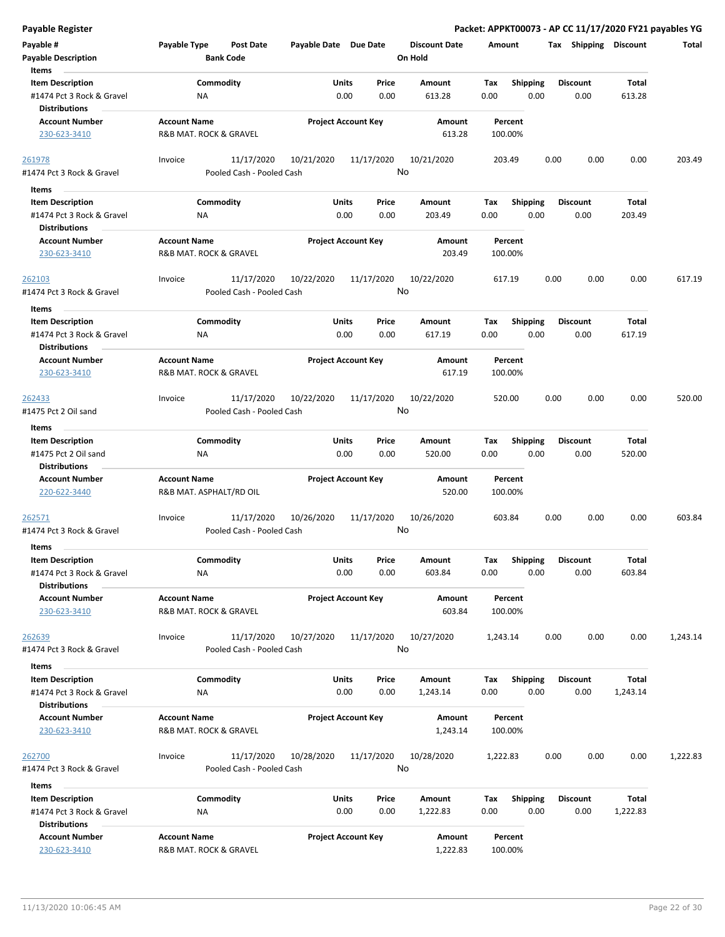| <b>Payable Register</b>                                                               |                                                |                                         |                       |                                |      |                                 |             |                         |      |                         |                   | Packet: APPKT00073 - AP CC 11/17/2020 FY21 payables YG |
|---------------------------------------------------------------------------------------|------------------------------------------------|-----------------------------------------|-----------------------|--------------------------------|------|---------------------------------|-------------|-------------------------|------|-------------------------|-------------------|--------------------------------------------------------|
| Payable #<br><b>Payable Description</b>                                               | Payable Type                                   | <b>Post Date</b><br><b>Bank Code</b>    | Payable Date Due Date |                                |      | <b>Discount Date</b><br>On Hold | Amount      |                         |      | Tax Shipping Discount   |                   | Total                                                  |
| Items<br><b>Item Description</b><br>#1474 Pct 3 Rock & Gravel                         | ΝA                                             | Commodity                               |                       | Price<br>Units<br>0.00         | 0.00 | Amount<br>613.28                | Tax<br>0.00 | <b>Shipping</b><br>0.00 |      | <b>Discount</b><br>0.00 | Total<br>613.28   |                                                        |
| <b>Distributions</b><br><b>Account Number</b><br>230-623-3410                         | <b>Account Name</b><br>R&B MAT. ROCK & GRAVEL  |                                         |                       | <b>Project Account Key</b>     |      | Amount<br>613.28                |             | Percent<br>100.00%      |      |                         |                   |                                                        |
| 261978<br>#1474 Pct 3 Rock & Gravel                                                   | Invoice                                        | 11/17/2020<br>Pooled Cash - Pooled Cash | 10/21/2020            | 11/17/2020                     | No   | 10/21/2020                      |             | 203.49                  | 0.00 | 0.00                    | 0.00              | 203.49                                                 |
| Items<br><b>Item Description</b><br>#1474 Pct 3 Rock & Gravel                         | ΝA                                             | Commodity                               |                       | Units<br>Price<br>0.00         | 0.00 | Amount<br>203.49                | Tax<br>0.00 | <b>Shipping</b><br>0.00 |      | <b>Discount</b><br>0.00 | Total<br>203.49   |                                                        |
| <b>Distributions</b><br><b>Account Number</b><br>230-623-3410                         | <b>Account Name</b><br>R&B MAT. ROCK & GRAVEL  |                                         |                       | <b>Project Account Key</b>     |      | Amount<br>203.49                |             | Percent<br>100.00%      |      |                         |                   |                                                        |
| 262103<br>#1474 Pct 3 Rock & Gravel                                                   | Invoice                                        | 11/17/2020<br>Pooled Cash - Pooled Cash | 10/22/2020            | 11/17/2020                     | No   | 10/22/2020                      |             | 617.19                  | 0.00 | 0.00                    | 0.00              | 617.19                                                 |
| Items<br><b>Item Description</b><br>#1474 Pct 3 Rock & Gravel<br><b>Distributions</b> | NA                                             | Commodity                               |                       | Units<br>Price<br>0.00<br>0.00 |      | Amount<br>617.19                | Tax<br>0.00 | <b>Shipping</b><br>0.00 |      | <b>Discount</b><br>0.00 | Total<br>617.19   |                                                        |
| <b>Account Number</b><br>230-623-3410                                                 | <b>Account Name</b><br>R&B MAT. ROCK & GRAVEL  |                                         |                       | <b>Project Account Key</b>     |      | <b>Amount</b><br>617.19         |             | Percent<br>100.00%      |      |                         |                   |                                                        |
| 262433<br>#1475 Pct 2 Oil sand                                                        | Invoice                                        | 11/17/2020<br>Pooled Cash - Pooled Cash | 10/22/2020            | 11/17/2020                     | No   | 10/22/2020                      |             | 520.00                  | 0.00 | 0.00                    | 0.00              | 520.00                                                 |
| Items<br><b>Item Description</b><br>#1475 Pct 2 Oil sand<br><b>Distributions</b>      | ΝA                                             | Commodity                               |                       | Units<br>Price<br>0.00<br>0.00 |      | Amount<br>520.00                | Tax<br>0.00 | <b>Shipping</b><br>0.00 |      | <b>Discount</b><br>0.00 | Total<br>520.00   |                                                        |
| <b>Account Number</b><br>220-622-3440                                                 | <b>Account Name</b><br>R&B MAT. ASPHALT/RD OIL |                                         |                       | <b>Project Account Key</b>     |      | Amount<br>520.00                |             | Percent<br>100.00%      |      |                         |                   |                                                        |
| 262571<br>#1474 Pct 3 Rock & Gravel                                                   | Invoice                                        | 11/17/2020<br>Pooled Cash - Pooled Cash | 10/26/2020            | 11/17/2020                     | No   | 10/26/2020                      |             | 603.84                  | 0.00 | 0.00                    | 0.00              | 603.84                                                 |
| Items<br><b>Item Description</b><br>#1474 Pct 3 Rock & Gravel<br><b>Distributions</b> | NA                                             | Commodity                               |                       | Units<br>Price<br>0.00         | 0.00 | Amount<br>603.84                | Tax<br>0.00 | Shipping<br>0.00        |      | <b>Discount</b><br>0.00 | Total<br>603.84   |                                                        |
| <b>Account Number</b><br>230-623-3410                                                 | <b>Account Name</b><br>R&B MAT. ROCK & GRAVEL  |                                         |                       | <b>Project Account Key</b>     |      | Amount<br>603.84                |             | Percent<br>100.00%      |      |                         |                   |                                                        |
| 262639<br>#1474 Pct 3 Rock & Gravel                                                   | Invoice                                        | 11/17/2020<br>Pooled Cash - Pooled Cash | 10/27/2020            | 11/17/2020                     | No   | 10/27/2020                      | 1,243.14    |                         | 0.00 | 0.00                    | 0.00              | 1,243.14                                               |
| Items<br><b>Item Description</b><br>#1474 Pct 3 Rock & Gravel<br><b>Distributions</b> | NA                                             | Commodity                               |                       | Units<br>Price<br>0.00         | 0.00 | Amount<br>1,243.14              | Tax<br>0.00 | <b>Shipping</b><br>0.00 |      | <b>Discount</b><br>0.00 | Total<br>1,243.14 |                                                        |
| <b>Account Number</b><br>230-623-3410                                                 | <b>Account Name</b><br>R&B MAT. ROCK & GRAVEL  |                                         |                       | <b>Project Account Key</b>     |      | Amount<br>1,243.14              |             | Percent<br>100.00%      |      |                         |                   |                                                        |
| 262700<br>#1474 Pct 3 Rock & Gravel                                                   | Invoice                                        | 11/17/2020<br>Pooled Cash - Pooled Cash | 10/28/2020            | 11/17/2020                     | No   | 10/28/2020                      | 1,222.83    |                         | 0.00 | 0.00                    | 0.00              | 1,222.83                                               |
| Items                                                                                 |                                                |                                         |                       |                                |      |                                 |             |                         |      |                         |                   |                                                        |
| <b>Item Description</b><br>#1474 Pct 3 Rock & Gravel<br><b>Distributions</b>          | ΝA                                             | Commodity                               |                       | Units<br>Price<br>0.00         | 0.00 | Amount<br>1,222.83              | Tax<br>0.00 | <b>Shipping</b><br>0.00 |      | <b>Discount</b><br>0.00 | Total<br>1,222.83 |                                                        |
| <b>Account Number</b><br>230-623-3410                                                 | <b>Account Name</b><br>R&B MAT. ROCK & GRAVEL  |                                         |                       | <b>Project Account Key</b>     |      | Amount<br>1,222.83              |             | Percent<br>100.00%      |      |                         |                   |                                                        |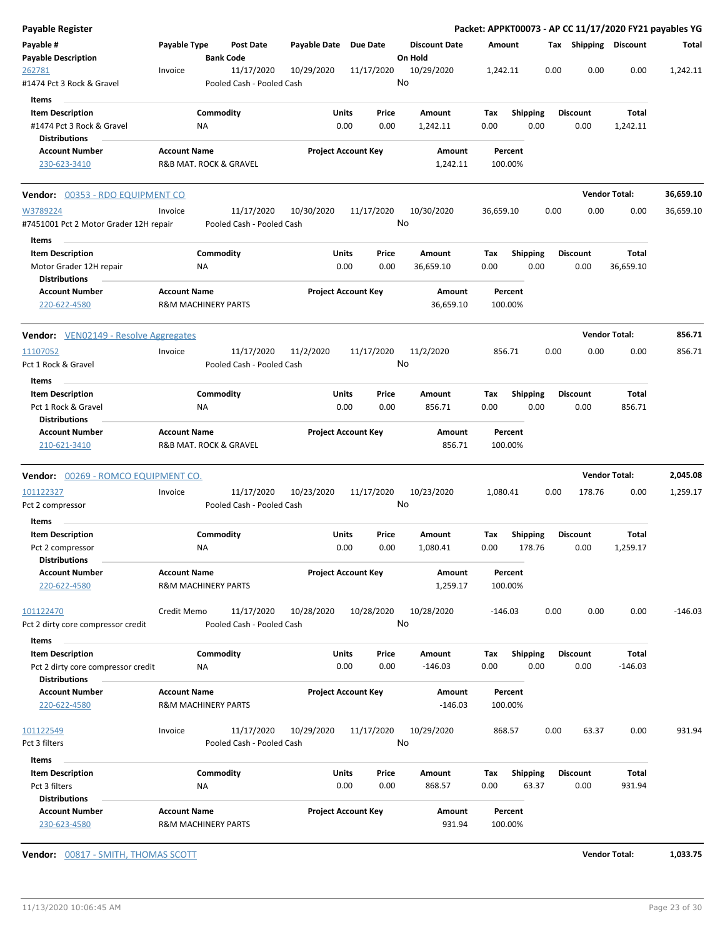| Payable Register                                              |                     |                                         |                       |                            |                                 |                    |                         |                         |                      | Packet: APPKT00073 - AP CC 11/17/2020 FY21 payables YG |
|---------------------------------------------------------------|---------------------|-----------------------------------------|-----------------------|----------------------------|---------------------------------|--------------------|-------------------------|-------------------------|----------------------|--------------------------------------------------------|
| Payable #<br>Payable Description                              | Payable Type        | Post Date<br><b>Bank Code</b>           | Payable Date Due Date |                            | <b>Discount Date</b><br>On Hold | Amount             |                         | Tax Shipping Discount   |                      | Total                                                  |
| <u> 262781</u><br>#1474 Pct 3 Rock & Gravel                   | Invoice             | 11/17/2020<br>Pooled Cash - Pooled Cash | 10/29/2020            | 11/17/2020                 | 10/29/2020<br>No                | 1,242.11           | 0.00                    | 0.00                    | 0.00                 | 1,242.11                                               |
| Items                                                         |                     |                                         |                       |                            |                                 |                    |                         |                         |                      |                                                        |
| <b>Item Description</b>                                       |                     | Commodity                               | Units                 | Price                      | Amount                          | Тах                | Shipping                | Discount                | Total                |                                                        |
| #1474 Pct 3 Rock & Gravel                                     |                     | ΝA                                      |                       | 0.00<br>0.00               | 1,242.11                        | 0.00               | 0.00                    | 0.00                    | 1,242.11             |                                                        |
| <b>Distributions</b><br><b>Account Number</b>                 | <b>Account Name</b> |                                         |                       | <b>Project Account Key</b> | Amount                          | Percent            |                         |                         |                      |                                                        |
| 230-623-3410                                                  |                     | R&B MAT. ROCK & GRAVEL                  |                       |                            | 1,242.11                        | 100.00%            |                         |                         |                      |                                                        |
| <b>Vendor:</b> 00353 - RDO EQUIPMENT CO                       |                     |                                         |                       |                            |                                 |                    |                         |                         | <b>Vendor Total:</b> | 36,659.10                                              |
| W3789224<br>#7451001 Pct 2 Motor Grader 12H repair            | Invoice             | 11/17/2020<br>Pooled Cash - Pooled Cash | 10/30/2020            | 11/17/2020                 | 10/30/2020<br>No                | 36,659.10          | 0.00                    | 0.00                    | 0.00                 | 36,659.10                                              |
| Items                                                         |                     |                                         |                       |                            |                                 |                    |                         |                         |                      |                                                        |
| <b>Item Description</b><br>Motor Grader 12H repair            |                     | Commodity<br>ΝA                         | Units                 | Price<br>0.00<br>0.00      | Amount<br>36,659.10             | Tax<br>0.00        | <b>Shipping</b><br>0.00 | Discount<br>0.00        | Total<br>36,659.10   |                                                        |
| <b>Distributions</b>                                          |                     |                                         |                       |                            |                                 |                    |                         |                         |                      |                                                        |
| <b>Account Number</b><br>220-622-4580                         | <b>Account Name</b> | <b>R&amp;M MACHINERY PARTS</b>          |                       | <b>Project Account Key</b> | Amount<br>36,659.10             | Percent<br>100.00% |                         |                         |                      |                                                        |
| <b>Vendor:</b> VEN02149 - Resolve Aggregates                  |                     |                                         |                       |                            |                                 |                    |                         |                         | <b>Vendor Total:</b> | 856.71                                                 |
| 11107052                                                      | Invoice             | 11/17/2020                              | 11/2/2020             | 11/17/2020                 | 11/2/2020                       | 856.71             | 0.00                    | 0.00                    | 0.00                 | 856.71                                                 |
| Pct 1 Rock & Gravel                                           |                     | Pooled Cash - Pooled Cash               |                       |                            | No                              |                    |                         |                         |                      |                                                        |
| Items                                                         |                     |                                         |                       |                            |                                 |                    |                         |                         |                      |                                                        |
| <b>Item Description</b>                                       |                     | Commodity                               | Units                 | Price                      | Amount                          | Tax                | <b>Shipping</b>         | Discount                | Total                |                                                        |
| Pct 1 Rock & Gravel<br><b>Distributions</b>                   |                     | ΝA                                      |                       | 0.00<br>0.00               | 856.71                          | 0.00               | 0.00                    | 0.00                    | 856.71               |                                                        |
| <b>Account Number</b><br>210-621-3410                         | <b>Account Name</b> | R&B MAT. ROCK & GRAVEL                  |                       | <b>Project Account Key</b> | Amount<br>856.71                | Percent<br>100.00% |                         |                         |                      |                                                        |
| Vendor: 00269 - ROMCO EQUIPMENT CO.                           |                     |                                         |                       |                            |                                 |                    |                         |                         | <b>Vendor Total:</b> | 2,045.08                                               |
| 101122327                                                     | Invoice             | 11/17/2020                              | 10/23/2020            | 11/17/2020                 | 10/23/2020                      | 1,080.41           | 0.00                    | 178.76                  | 0.00                 | 1,259.17                                               |
| Pct 2 compressor                                              |                     | Pooled Cash - Pooled Cash               |                       |                            | No                              |                    |                         |                         |                      |                                                        |
| Items                                                         |                     |                                         |                       |                            |                                 |                    |                         |                         |                      |                                                        |
| <b>Item Description</b>                                       |                     | Commodity                               | Units                 | Price                      | Amount                          | Tax                | <b>Shipping</b>         | <b>Discount</b>         | Total                |                                                        |
| Pct 2 compressor<br><b>Distributions</b>                      |                     | ΝA                                      | 0.00                  | 0.00                       | 1,080.41                        | 0.00               | 178.76                  | 0.00                    | 1,259.17             |                                                        |
| <b>Account Number</b><br>220-622-4580                         | <b>Account Name</b> | <b>R&amp;M MACHINERY PARTS</b>          |                       | <b>Project Account Key</b> | Amount<br>1,259.17              | Percent<br>100.00% |                         |                         |                      |                                                        |
| 101122470                                                     | Credit Memo         | 11/17/2020                              | 10/28/2020            | 10/28/2020                 | 10/28/2020                      | -146.03            | 0.00                    | 0.00                    | 0.00                 | $-146.03$                                              |
| Pct 2 dirty core compressor credit                            |                     | Pooled Cash - Pooled Cash               |                       |                            | No                              |                    |                         |                         |                      |                                                        |
| Items                                                         |                     |                                         |                       |                            |                                 |                    |                         |                         |                      |                                                        |
| <b>Item Description</b><br>Pct 2 dirty core compressor credit |                     | Commodity<br>ΝA                         | Units                 | Price<br>0.00<br>0.00      | Amount<br>$-146.03$             | Tax<br>0.00        | <b>Shipping</b><br>0.00 | <b>Discount</b><br>0.00 | Total<br>$-146.03$   |                                                        |
| <b>Distributions</b><br><b>Account Number</b>                 |                     |                                         |                       |                            |                                 |                    |                         |                         |                      |                                                        |
| 220-622-4580                                                  | <b>Account Name</b> | <b>R&amp;M MACHINERY PARTS</b>          |                       | <b>Project Account Key</b> | Amount<br>$-146.03$             | Percent<br>100.00% |                         |                         |                      |                                                        |
| 101122549                                                     | Invoice             | 11/17/2020                              | 10/29/2020            | 11/17/2020                 | 10/29/2020                      | 868.57             | 0.00                    | 63.37                   | 0.00                 | 931.94                                                 |
| Pct 3 filters                                                 |                     | Pooled Cash - Pooled Cash               |                       |                            | No                              |                    |                         |                         |                      |                                                        |
| Items                                                         |                     |                                         |                       |                            |                                 |                    |                         |                         |                      |                                                        |
| <b>Item Description</b>                                       |                     | Commodity                               | <b>Units</b>          | Price                      | Amount                          | Tax                | <b>Shipping</b>         | <b>Discount</b>         | Total                |                                                        |
| Pct 3 filters                                                 |                     | ΝA                                      |                       | 0.00<br>0.00               | 868.57                          | 0.00               | 63.37                   | 0.00                    | 931.94               |                                                        |
| <b>Distributions</b><br><b>Account Number</b>                 | <b>Account Name</b> |                                         |                       | <b>Project Account Key</b> |                                 |                    |                         |                         |                      |                                                        |
| 230-623-4580                                                  |                     | <b>R&amp;M MACHINERY PARTS</b>          |                       |                            | Amount<br>931.94                | Percent<br>100.00% |                         |                         |                      |                                                        |

**Vendor:** 00817 - SMITH, THOMAS SCOTT **Vendor Total: 1,033.75**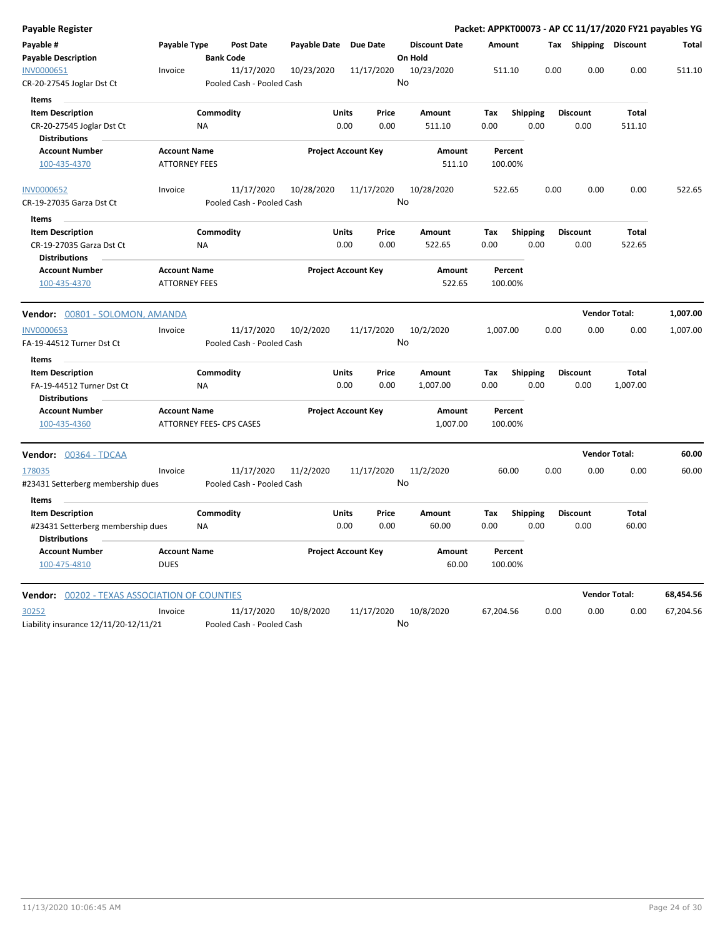| Payable Register                                                            |                                             |                  |                                         |              |                            |                 |                                 |                  |             |                 |      | Packet: APPKT00073 - AP CC 11/17/2020 FY21 payables YG |                        |           |
|-----------------------------------------------------------------------------|---------------------------------------------|------------------|-----------------------------------------|--------------|----------------------------|-----------------|---------------------------------|------------------|-------------|-----------------|------|--------------------------------------------------------|------------------------|-----------|
| Payable #<br><b>Payable Description</b>                                     | Payable Type                                | <b>Bank Code</b> | <b>Post Date</b>                        | Payable Date |                            | <b>Due Date</b> | <b>Discount Date</b><br>On Hold |                  | Amount      |                 |      | Tax                                                    | Shipping Discount      | Total     |
| INV0000651<br>CR-20-27545 Joglar Dst Ct                                     | Invoice                                     |                  | 11/17/2020<br>Pooled Cash - Pooled Cash | 10/23/2020   |                            | 11/17/2020      | 10/23/2020<br>No                |                  | 511.10      |                 | 0.00 | 0.00                                                   | 0.00                   | 511.10    |
| Items                                                                       |                                             |                  |                                         |              |                            |                 |                                 |                  |             |                 |      |                                                        |                        |           |
| <b>Item Description</b>                                                     |                                             | Commodity        |                                         |              | <b>Units</b>               | Price           | Amount                          |                  | Tax         | <b>Shipping</b> |      | <b>Discount</b>                                        | <b>Total</b>           |           |
| CR-20-27545 Joglar Dst Ct<br><b>Distributions</b>                           |                                             | NA               |                                         |              | 0.00                       | 0.00            | 511.10                          |                  | 0.00        |                 | 0.00 | 0.00                                                   | 511.10                 |           |
| <b>Account Number</b>                                                       | <b>Account Name</b>                         |                  |                                         |              | <b>Project Account Key</b> |                 |                                 | Amount           |             | Percent         |      |                                                        |                        |           |
| 100-435-4370                                                                | <b>ATTORNEY FEES</b>                        |                  |                                         |              |                            |                 |                                 | 511.10           | 100.00%     |                 |      |                                                        |                        |           |
| <b>INV0000652</b>                                                           | Invoice                                     |                  | 11/17/2020                              | 10/28/2020   |                            | 11/17/2020      | 10/28/2020                      |                  | 522.65      |                 | 0.00 | 0.00                                                   | 0.00                   | 522.65    |
| CR-19-27035 Garza Dst Ct                                                    |                                             |                  | Pooled Cash - Pooled Cash               |              |                            |                 | No                              |                  |             |                 |      |                                                        |                        |           |
| <b>Items</b>                                                                |                                             |                  |                                         |              |                            |                 |                                 |                  |             |                 |      |                                                        |                        |           |
| <b>Item Description</b><br>CR-19-27035 Garza Dst Ct<br><b>Distributions</b> |                                             | Commodity<br>NA  |                                         |              | <b>Units</b><br>0.00       | Price<br>0.00   | Amount<br>522.65                |                  | Tax<br>0.00 | <b>Shipping</b> | 0.00 | <b>Discount</b><br>0.00                                | <b>Total</b><br>522.65 |           |
| <b>Account Number</b><br>100-435-4370                                       | <b>Account Name</b><br><b>ATTORNEY FEES</b> |                  |                                         |              | <b>Project Account Key</b> |                 |                                 | Amount<br>522.65 | 100.00%     | Percent         |      |                                                        |                        |           |
| Vendor: 00801 - SOLOMON, AMANDA                                             |                                             |                  |                                         |              |                            |                 |                                 |                  |             |                 |      |                                                        | <b>Vendor Total:</b>   | 1,007.00  |
| <b>INV0000653</b>                                                           | Invoice                                     |                  | 11/17/2020                              | 10/2/2020    |                            | 11/17/2020      | 10/2/2020                       |                  | 1,007.00    |                 | 0.00 | 0.00                                                   | 0.00                   | 1,007.00  |
| FA-19-44512 Turner Dst Ct                                                   |                                             |                  | Pooled Cash - Pooled Cash               |              |                            |                 | No                              |                  |             |                 |      |                                                        |                        |           |
| Items                                                                       |                                             |                  |                                         |              |                            |                 |                                 |                  |             |                 |      |                                                        |                        |           |
| <b>Item Description</b>                                                     |                                             | Commodity        |                                         |              | Units                      | Price           | Amount                          |                  | Tax         | <b>Shipping</b> |      | <b>Discount</b>                                        | Total                  |           |
| FA-19-44512 Turner Dst Ct<br><b>Distributions</b>                           |                                             | <b>NA</b>        |                                         |              | 0.00                       | 0.00            | 1,007.00                        |                  | 0.00        |                 | 0.00 | 0.00                                                   | 1,007.00               |           |
| <b>Account Number</b>                                                       | <b>Account Name</b>                         |                  |                                         |              | <b>Project Account Key</b> |                 |                                 | Amount           |             | Percent         |      |                                                        |                        |           |
| 100-435-4360                                                                | <b>ATTORNEY FEES- CPS CASES</b>             |                  |                                         |              |                            |                 |                                 | 1,007.00         | 100.00%     |                 |      |                                                        |                        |           |
| Vendor: 00364 - TDCAA                                                       |                                             |                  |                                         |              |                            |                 |                                 |                  |             |                 |      |                                                        | <b>Vendor Total:</b>   | 60.00     |
| 178035                                                                      | Invoice                                     |                  | 11/17/2020                              | 11/2/2020    |                            | 11/17/2020      | 11/2/2020                       |                  |             | 60.00           | 0.00 | 0.00                                                   | 0.00                   | 60.00     |
| #23431 Setterberg membership dues                                           |                                             |                  | Pooled Cash - Pooled Cash               |              |                            |                 | No                              |                  |             |                 |      |                                                        |                        |           |
| Items                                                                       |                                             |                  |                                         |              |                            |                 |                                 |                  |             |                 |      |                                                        |                        |           |
| <b>Item Description</b>                                                     |                                             | Commodity        |                                         |              | Units                      | Price           | Amount                          |                  | Tax         | <b>Shipping</b> |      | <b>Discount</b>                                        | Total                  |           |
| #23431 Setterberg membership dues<br><b>Distributions</b>                   |                                             | <b>NA</b>        |                                         |              | 0.00                       | 0.00            | 60.00                           |                  | 0.00        |                 | 0.00 | 0.00                                                   | 60.00                  |           |
| <b>Account Number</b><br>100-475-4810                                       | <b>Account Name</b><br><b>DUES</b>          |                  |                                         |              | <b>Project Account Key</b> |                 |                                 | Amount<br>60.00  | 100.00%     | Percent         |      |                                                        |                        |           |
| Vendor: 00202 - TEXAS ASSOCIATION OF COUNTIES                               |                                             |                  |                                         |              |                            |                 |                                 |                  |             |                 |      |                                                        | <b>Vendor Total:</b>   | 68,454.56 |
|                                                                             |                                             |                  |                                         |              |                            |                 |                                 |                  |             |                 | 0.00 | 0.00                                                   | 0.00                   | 67,204.56 |
| 30252                                                                       | Invoice                                     |                  | 11/17/2020                              | 10/8/2020    |                            | 11/17/2020      | 10/8/2020                       |                  | 67,204.56   |                 |      |                                                        |                        |           |

Liability insurance 12/11/20-12/11/21 Pooled Cash - Pooled Cash

No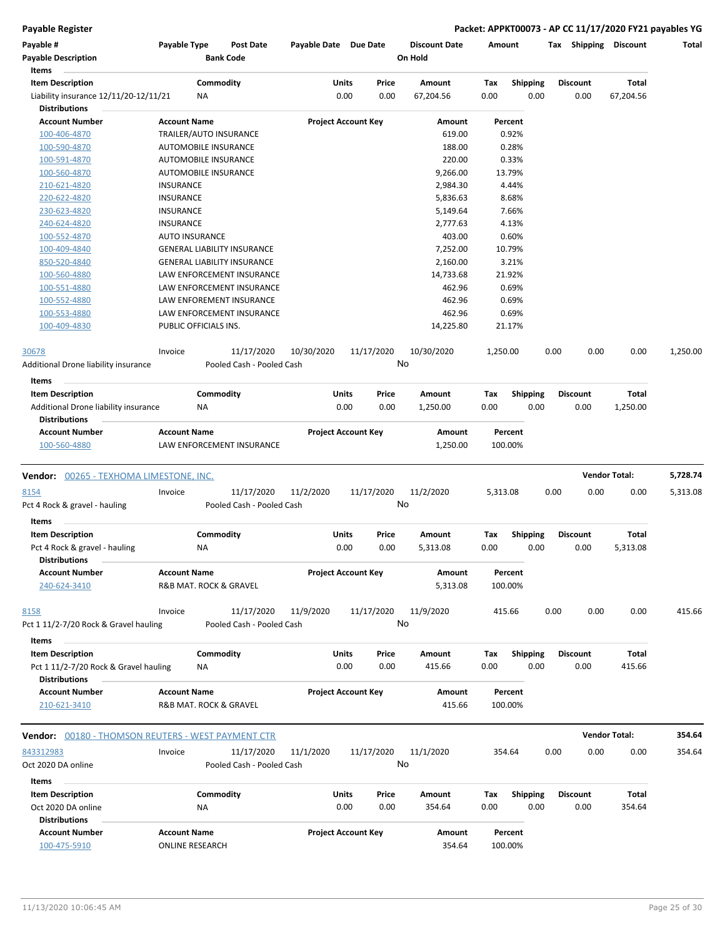| Payable #                                                     | Payable Type                                  |           | Post Date                               | Payable Date Due Date |                            |                            |        | <b>Discount Date</b> | Amount   |                    |      | Tax Shipping    | <b>Discount</b>      | Total    |
|---------------------------------------------------------------|-----------------------------------------------|-----------|-----------------------------------------|-----------------------|----------------------------|----------------------------|--------|----------------------|----------|--------------------|------|-----------------|----------------------|----------|
| <b>Payable Description</b><br>Items                           |                                               |           | <b>Bank Code</b>                        |                       |                            |                            |        | On Hold              |          |                    |      |                 |                      |          |
| <b>Item Description</b>                                       |                                               | Commodity |                                         |                       | Units                      |                            | Price  | Amount               | Tax      | <b>Shipping</b>    |      | <b>Discount</b> | Total                |          |
| Liability insurance 12/11/20-12/11/21<br><b>Distributions</b> |                                               | ΝA        |                                         |                       | 0.00                       |                            | 0.00   | 67,204.56            | 0.00     | 0.00               |      | 0.00            | 67,204.56            |          |
| <b>Account Number</b>                                         | <b>Account Name</b>                           |           |                                         |                       | <b>Project Account Key</b> |                            | Amount |                      | Percent  |                    |      |                 |                      |          |
| 100-406-4870                                                  | TRAILER/AUTO INSURANCE                        |           |                                         |                       |                            |                            |        | 619.00               |          | 0.92%              |      |                 |                      |          |
| 100-590-4870                                                  | <b>AUTOMOBILE INSURANCE</b>                   |           |                                         |                       |                            |                            |        | 188.00               |          | 0.28%              |      |                 |                      |          |
| 100-591-4870                                                  | <b>AUTOMOBILE INSURANCE</b>                   |           |                                         |                       |                            |                            |        | 220.00               |          | 0.33%              |      |                 |                      |          |
| 100-560-4870                                                  | AUTOMOBILE INSURANCE                          |           |                                         |                       |                            |                            |        | 9,266.00             |          | 13.79%             |      |                 |                      |          |
| 210-621-4820                                                  | <b>INSURANCE</b>                              |           |                                         |                       |                            |                            |        | 2,984.30             |          | 4.44%              |      |                 |                      |          |
| 220-622-4820                                                  | <b>INSURANCE</b>                              |           |                                         |                       |                            |                            |        | 5,836.63             |          | 8.68%              |      |                 |                      |          |
| 230-623-4820                                                  | <b>INSURANCE</b>                              |           |                                         |                       |                            |                            |        | 5,149.64             |          | 7.66%              |      |                 |                      |          |
| 240-624-4820                                                  | <b>INSURANCE</b>                              |           |                                         |                       |                            |                            |        | 2,777.63             |          | 4.13%              |      |                 |                      |          |
| 100-552-4870                                                  | <b>AUTO INSURANCE</b>                         |           |                                         |                       |                            |                            |        | 403.00               |          | 0.60%              |      |                 |                      |          |
| 100-409-4840                                                  |                                               |           | <b>GENERAL LIABILITY INSURANCE</b>      |                       |                            |                            |        | 7,252.00             |          | 10.79%             |      |                 |                      |          |
| 850-520-4840                                                  |                                               |           | <b>GENERAL LIABILITY INSURANCE</b>      |                       |                            |                            |        | 2,160.00             |          | 3.21%              |      |                 |                      |          |
| 100-560-4880                                                  |                                               |           | LAW ENFORCEMENT INSURANCE               |                       |                            |                            |        | 14,733.68            |          | 21.92%             |      |                 |                      |          |
| 100-551-4880                                                  |                                               |           | LAW ENFORCEMENT INSURANCE               |                       |                            |                            |        | 462.96               |          | 0.69%              |      |                 |                      |          |
| 100-552-4880                                                  |                                               |           | LAW ENFOREMENT INSURANCE                |                       |                            |                            |        | 462.96               |          | 0.69%              |      |                 |                      |          |
| 100-553-4880                                                  |                                               |           | LAW ENFORCEMENT INSURANCE               |                       |                            |                            |        | 462.96               |          | 0.69%              |      |                 |                      |          |
| 100-409-4830                                                  | PUBLIC OFFICIALS INS.                         |           |                                         |                       |                            |                            |        | 14,225.80            |          | 21.17%             |      |                 |                      |          |
| 30678                                                         | Invoice                                       |           | 11/17/2020                              | 10/30/2020            |                            | 11/17/2020                 |        | 10/30/2020           | 1,250.00 |                    | 0.00 | 0.00            | 0.00                 | 1,250.00 |
| Additional Drone liability insurance                          |                                               |           | Pooled Cash - Pooled Cash               |                       |                            |                            |        | No                   |          |                    |      |                 |                      |          |
| Items                                                         |                                               |           |                                         |                       |                            |                            |        |                      |          |                    |      |                 |                      |          |
| <b>Item Description</b>                                       |                                               | Commodity |                                         |                       | <b>Units</b>               |                            | Price  | Amount               | Tax      | <b>Shipping</b>    |      | Discount        | Total                |          |
| Additional Drone liability insurance                          |                                               | ΝA        |                                         |                       | 0.00                       |                            | 0.00   | 1,250.00             | 0.00     | 0.00               |      | 0.00            | 1,250.00             |          |
| <b>Distributions</b>                                          |                                               |           |                                         |                       |                            |                            |        |                      |          |                    |      |                 |                      |          |
| <b>Account Number</b>                                         | <b>Account Name</b>                           |           |                                         |                       |                            | <b>Project Account Key</b> |        | Amount               |          | Percent            |      |                 |                      |          |
| 100-560-4880                                                  |                                               |           | LAW ENFORCEMENT INSURANCE               |                       |                            |                            |        | 1,250.00             |          | 100.00%            |      |                 |                      |          |
| <b>Vendor: 00265 - TEXHOMA LIMESTONE, INC.</b>                |                                               |           |                                         |                       |                            |                            |        |                      |          |                    |      |                 | <b>Vendor Total:</b> | 5,728.74 |
| 8154                                                          | Invoice                                       |           | 11/17/2020                              | 11/2/2020             |                            | 11/17/2020                 |        | 11/2/2020            | 5,313.08 |                    | 0.00 | 0.00            | 0.00                 | 5,313.08 |
| Pct 4 Rock & gravel - hauling                                 |                                               |           | Pooled Cash - Pooled Cash               |                       |                            |                            |        | No                   |          |                    |      |                 |                      |          |
| Items                                                         |                                               |           |                                         |                       |                            |                            |        |                      |          |                    |      |                 |                      |          |
| <b>Item Description</b>                                       |                                               | Commodity |                                         |                       | <b>Units</b>               |                            | Price  | Amount               | Tax      | <b>Shipping</b>    |      | <b>Discount</b> | Total                |          |
| Pct 4 Rock & gravel - hauling                                 |                                               | NA        |                                         |                       | 0.00                       |                            | 0.00   | 5,313.08             | 0.00     | 0.00               |      | 0.00            | 5,313.08             |          |
| <b>Distributions</b>                                          |                                               |           |                                         |                       |                            |                            |        |                      |          |                    |      |                 |                      |          |
| <b>Account Number</b><br>240-624-3410                         | <b>Account Name</b><br>R&B MAT. ROCK & GRAVEL |           |                                         |                       |                            | <b>Project Account Key</b> |        | Amount<br>5,313.08   |          | Percent<br>100.00% |      |                 |                      |          |
|                                                               |                                               |           |                                         |                       |                            |                            |        |                      |          |                    |      |                 |                      |          |
| 8158                                                          | Invoice                                       |           | 11/17/2020<br>Pooled Cash - Pooled Cash | 11/9/2020             |                            | 11/17/2020                 |        | 11/9/2020<br>No      |          | 415.66             | 0.00 | 0.00            | 0.00                 | 415.66   |
| Pct 1 11/2-7/20 Rock & Gravel hauling                         |                                               |           |                                         |                       |                            |                            |        |                      |          |                    |      |                 |                      |          |
| Items                                                         |                                               |           |                                         |                       |                            |                            |        |                      |          |                    |      |                 |                      |          |
| <b>Item Description</b>                                       |                                               | Commodity |                                         |                       | Units                      |                            | Price  | Amount               | Tax      | <b>Shipping</b>    |      | <b>Discount</b> | Total                |          |
| Pct 1 11/2-7/20 Rock & Gravel hauling                         |                                               | ΝA        |                                         |                       | 0.00                       |                            | 0.00   | 415.66               | 0.00     | 0.00               |      | 0.00            | 415.66               |          |
| <b>Distributions</b>                                          |                                               |           |                                         |                       |                            |                            |        |                      |          |                    |      |                 |                      |          |
| <b>Account Number</b>                                         | <b>Account Name</b>                           |           |                                         |                       |                            | <b>Project Account Key</b> |        | Amount               |          | Percent            |      |                 |                      |          |
| 210-621-3410                                                  | R&B MAT. ROCK & GRAVEL                        |           |                                         |                       |                            |                            |        | 415.66               |          | 100.00%            |      |                 |                      |          |
| <b>Vendor: 00180 - THOMSON REUTERS - WEST PAYMENT CTR</b>     |                                               |           |                                         |                       |                            |                            |        |                      |          |                    |      |                 | <b>Vendor Total:</b> | 354.64   |
| 843312983                                                     | Invoice                                       |           | 11/17/2020                              | 11/1/2020             |                            | 11/17/2020                 |        | 11/1/2020            |          | 354.64             | 0.00 | 0.00            | 0.00                 | 354.64   |
| Oct 2020 DA online                                            |                                               |           | Pooled Cash - Pooled Cash               |                       |                            |                            |        | No                   |          |                    |      |                 |                      |          |
| Items                                                         |                                               |           |                                         |                       |                            |                            |        |                      |          |                    |      |                 |                      |          |
| <b>Item Description</b>                                       |                                               | Commodity |                                         |                       | <b>Units</b>               |                            | Price  | Amount               | Tax      | <b>Shipping</b>    |      | <b>Discount</b> | Total                |          |
| Oct 2020 DA online                                            |                                               | NA        |                                         |                       | 0.00                       |                            | 0.00   | 354.64               | 0.00     | 0.00               |      | 0.00            | 354.64               |          |
| <b>Distributions</b>                                          |                                               |           |                                         |                       |                            |                            |        |                      |          |                    |      |                 |                      |          |
| <b>Account Number</b>                                         | <b>Account Name</b>                           |           |                                         |                       |                            | <b>Project Account Key</b> |        | Amount               |          | Percent            |      |                 |                      |          |
| 100-475-5910                                                  | <b>ONLINE RESEARCH</b>                        |           |                                         |                       |                            |                            |        | 354.64               |          | 100.00%            |      |                 |                      |          |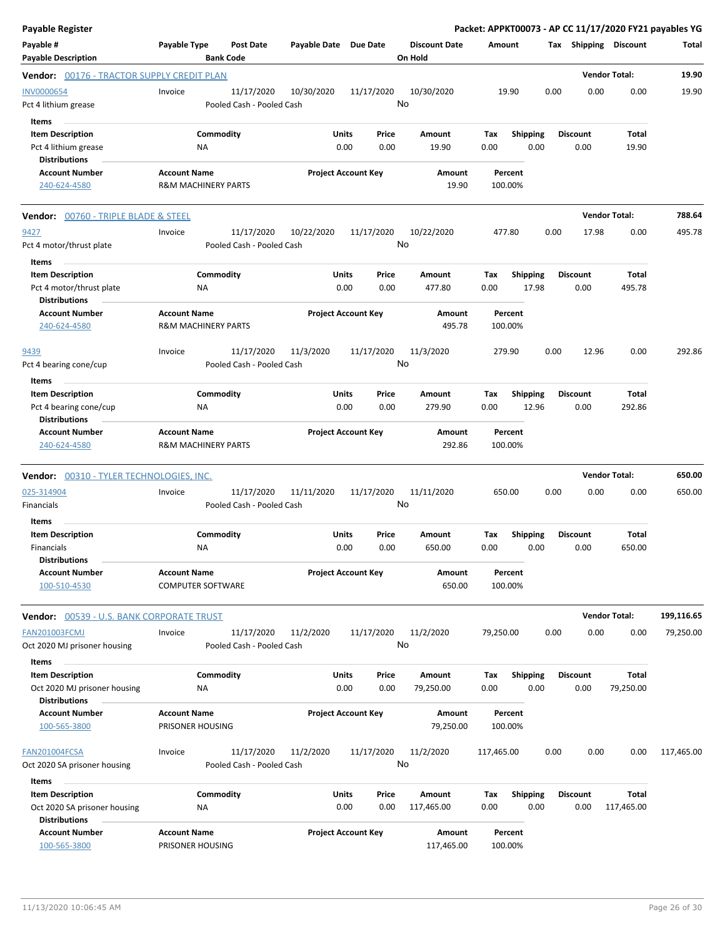| <b>Payable Register</b>                              |                     |                                         |                       |                            |               |                                 |                    |                          |      |                         |                      | Packet: APPKT00073 - AP CC 11/17/2020 FY21 payables YG |
|------------------------------------------------------|---------------------|-----------------------------------------|-----------------------|----------------------------|---------------|---------------------------------|--------------------|--------------------------|------|-------------------------|----------------------|--------------------------------------------------------|
| Payable #<br><b>Payable Description</b>              | Payable Type        | <b>Post Date</b><br><b>Bank Code</b>    | Payable Date Due Date |                            |               | <b>Discount Date</b><br>On Hold | Amount             |                          |      | Tax Shipping Discount   |                      | Total                                                  |
| Vendor: 00176 - TRACTOR SUPPLY CREDIT PLAN           |                     |                                         |                       |                            |               |                                 |                    |                          |      |                         | <b>Vendor Total:</b> | 19.90                                                  |
| <b>INV0000654</b><br>Pct 4 lithium grease            | Invoice             | 11/17/2020<br>Pooled Cash - Pooled Cash | 10/30/2020            | 11/17/2020                 | No            | 10/30/2020                      | 19.90              |                          | 0.00 | 0.00                    | 0.00                 | 19.90                                                  |
| Items                                                |                     |                                         |                       |                            |               |                                 |                    |                          |      |                         |                      |                                                        |
| <b>Item Description</b>                              |                     | Commodity                               |                       | Units                      | Price         | Amount                          | Tax                | <b>Shipping</b>          |      | <b>Discount</b>         | Total                |                                                        |
| Pct 4 lithium grease                                 |                     | NA                                      |                       | 0.00                       | 0.00          | 19.90                           | 0.00               | 0.00                     |      | 0.00                    | 19.90                |                                                        |
| <b>Distributions</b>                                 |                     |                                         |                       |                            |               |                                 |                    |                          |      |                         |                      |                                                        |
| <b>Account Number</b><br>240-624-4580                | <b>Account Name</b> | <b>R&amp;M MACHINERY PARTS</b>          |                       | <b>Project Account Key</b> |               | Amount<br>19.90                 | Percent<br>100.00% |                          |      |                         |                      |                                                        |
| <b>Vendor: 00760 - TRIPLE BLADE &amp; STEEL</b>      |                     |                                         |                       |                            |               |                                 |                    |                          |      |                         | <b>Vendor Total:</b> | 788.64                                                 |
| 9427                                                 | Invoice             | 11/17/2020                              | 10/22/2020            | 11/17/2020                 |               | 10/22/2020                      | 477.80             |                          | 0.00 | 17.98                   | 0.00                 | 495.78                                                 |
| Pct 4 motor/thrust plate                             |                     | Pooled Cash - Pooled Cash               |                       |                            | No            |                                 |                    |                          |      |                         |                      |                                                        |
| Items                                                |                     |                                         |                       |                            |               |                                 |                    |                          |      |                         |                      |                                                        |
| <b>Item Description</b>                              |                     | Commodity                               |                       | Units                      | Price         | Amount                          | Tax                | <b>Shipping</b>          |      | <b>Discount</b>         | Total                |                                                        |
| Pct 4 motor/thrust plate<br><b>Distributions</b>     |                     | NA                                      |                       | 0.00                       | 0.00          | 477.80                          | 0.00               | 17.98                    |      | 0.00                    | 495.78               |                                                        |
| <b>Account Number</b><br>240-624-4580                | <b>Account Name</b> | <b>R&amp;M MACHINERY PARTS</b>          |                       | <b>Project Account Key</b> |               | Amount<br>495.78                | Percent<br>100.00% |                          |      |                         |                      |                                                        |
|                                                      |                     |                                         |                       |                            |               |                                 |                    |                          |      |                         |                      |                                                        |
| 9439<br>Pct 4 bearing cone/cup                       | Invoice             | 11/17/2020<br>Pooled Cash - Pooled Cash | 11/3/2020             | 11/17/2020                 | No            | 11/3/2020                       | 279.90             |                          | 0.00 | 12.96                   | 0.00                 | 292.86                                                 |
| Items                                                |                     |                                         |                       |                            |               |                                 |                    |                          |      |                         |                      |                                                        |
| <b>Item Description</b><br>Pct 4 bearing cone/cup    |                     | Commodity<br>NA                         |                       | Units<br>0.00              | Price<br>0.00 | Amount<br>279.90                | Tax<br>0.00        | <b>Shipping</b><br>12.96 |      | <b>Discount</b><br>0.00 | Total<br>292.86      |                                                        |
| <b>Distributions</b>                                 |                     |                                         |                       |                            |               |                                 |                    |                          |      |                         |                      |                                                        |
| <b>Account Number</b><br>240-624-4580                | <b>Account Name</b> | <b>R&amp;M MACHINERY PARTS</b>          |                       | <b>Project Account Key</b> |               | Amount<br>292.86                | Percent<br>100.00% |                          |      |                         |                      |                                                        |
| Vendor: 00310 - TYLER TECHNOLOGIES, INC.             |                     |                                         |                       |                            |               |                                 |                    |                          |      |                         | <b>Vendor Total:</b> | 650.00                                                 |
| 025-314904<br>Financials                             | Invoice             | 11/17/2020<br>Pooled Cash - Pooled Cash | 11/11/2020            | 11/17/2020                 | No            | 11/11/2020                      | 650.00             |                          | 0.00 | 0.00                    | 0.00                 | 650.00                                                 |
| Items                                                |                     |                                         |                       |                            |               |                                 |                    |                          |      |                         |                      |                                                        |
| <b>Item Description</b>                              |                     | Commodity                               |                       | Units                      | Price         | Amount                          | Tax                | <b>Shipping</b>          |      | <b>Discount</b>         | Total                |                                                        |
| Financials                                           |                     | NA                                      |                       | 0.00                       | 0.00          | 650.00                          | 0.00               | 0.00                     |      | 0.00                    | 650.00               |                                                        |
| <b>Distributions</b>                                 |                     |                                         |                       |                            |               |                                 |                    |                          |      |                         |                      |                                                        |
| Account Number<br>100-510-4530                       | <b>Account Name</b> | <b>COMPUTER SOFTWARE</b>                |                       | <b>Project Account Key</b> |               | Amount<br>650.00                | Percent<br>100.00% |                          |      |                         |                      |                                                        |
| Vendor: 00539 - U.S. BANK CORPORATE TRUST            |                     |                                         |                       |                            |               |                                 |                    |                          |      |                         | <b>Vendor Total:</b> | 199,116.65                                             |
| <b>FAN201003FCMJ</b>                                 | Invoice             | 11/17/2020                              | 11/2/2020             | 11/17/2020                 |               | 11/2/2020                       | 79,250.00          |                          | 0.00 | 0.00                    | 0.00                 | 79,250.00                                              |
| Oct 2020 MJ prisoner housing                         |                     | Pooled Cash - Pooled Cash               |                       |                            | No            |                                 |                    |                          |      |                         |                      |                                                        |
| Items                                                |                     |                                         |                       |                            |               |                                 |                    |                          |      |                         |                      |                                                        |
| <b>Item Description</b>                              |                     | Commodity                               |                       | Units                      | Price         | Amount                          | Tax                | <b>Shipping</b>          |      | <b>Discount</b>         | Total                |                                                        |
| Oct 2020 MJ prisoner housing<br><b>Distributions</b> |                     | NA                                      |                       | 0.00                       | 0.00          | 79,250.00                       | 0.00               | 0.00                     |      | 0.00                    | 79,250.00            |                                                        |
| <b>Account Number</b>                                | <b>Account Name</b> |                                         |                       | <b>Project Account Key</b> |               | Amount                          | Percent            |                          |      |                         |                      |                                                        |
| 100-565-3800                                         | PRISONER HOUSING    |                                         |                       |                            |               | 79,250.00                       | 100.00%            |                          |      |                         |                      |                                                        |
| FAN201004FCSA<br>Oct 2020 SA prisoner housing        | Invoice             | 11/17/2020<br>Pooled Cash - Pooled Cash | 11/2/2020             | 11/17/2020                 | No            | 11/2/2020                       | 117,465.00         |                          | 0.00 | 0.00                    | 0.00                 | 117,465.00                                             |
| Items                                                |                     |                                         |                       |                            |               |                                 |                    |                          |      |                         |                      |                                                        |
| <b>Item Description</b>                              |                     | Commodity                               |                       | Units                      | Price         | Amount                          | Tax                | <b>Shipping</b>          |      | Discount                | Total                |                                                        |
| Oct 2020 SA prisoner housing<br><b>Distributions</b> |                     | NA                                      |                       | 0.00                       | 0.00          | 117,465.00                      | 0.00               | 0.00                     |      | 0.00                    | 117,465.00           |                                                        |
| <b>Account Number</b>                                | <b>Account Name</b> |                                         |                       | <b>Project Account Key</b> |               | Amount                          | Percent            |                          |      |                         |                      |                                                        |
| 100-565-3800                                         | PRISONER HOUSING    |                                         |                       |                            |               | 117,465.00                      | 100.00%            |                          |      |                         |                      |                                                        |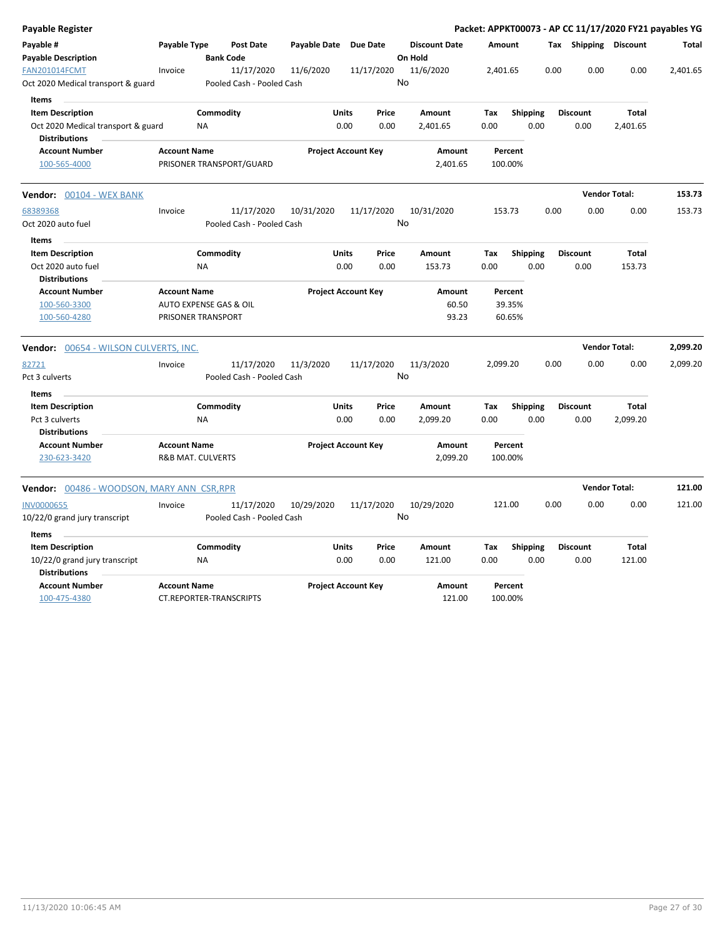| <b>Payable Register</b>                                                           |                     |                                              |              |                                       |                 |                           |             |                             |      |                         |                          | Packet: APPKT00073 - AP CC 11/17/2020 FY21 payables YG |
|-----------------------------------------------------------------------------------|---------------------|----------------------------------------------|--------------|---------------------------------------|-----------------|---------------------------|-------------|-----------------------------|------|-------------------------|--------------------------|--------------------------------------------------------|
| Payable #<br><b>Payable Description</b>                                           | Payable Type        | <b>Post Date</b><br><b>Bank Code</b>         | Payable Date | <b>Due Date</b>                       | On Hold         | <b>Discount Date</b>      | Amount      |                             |      | Tax Shipping Discount   |                          | <b>Total</b>                                           |
| FAN201014FCMT<br>Oct 2020 Medical transport & guard<br>Items                      | Invoice             | 11/17/2020<br>Pooled Cash - Pooled Cash      | 11/6/2020    | 11/17/2020                            | 11/6/2020<br>No |                           | 2,401.65    |                             | 0.00 | 0.00                    | 0.00                     | 2,401.65                                               |
| <b>Item Description</b><br>Oct 2020 Medical transport & guard                     |                     | Commodity<br><b>NA</b>                       |              | <b>Units</b><br>Price<br>0.00<br>0.00 |                 | <b>Amount</b><br>2,401.65 | Tax<br>0.00 | <b>Shipping</b><br>0.00     |      | <b>Discount</b><br>0.00 | <b>Total</b><br>2,401.65 |                                                        |
| <b>Distributions</b><br><b>Account Number</b><br>100-565-4000                     | <b>Account Name</b> | PRISONER TRANSPORT/GUARD                     |              | <b>Project Account Key</b>            |                 | Amount<br>2,401.65        |             | Percent<br>100.00%          |      |                         |                          |                                                        |
| Vendor: 00104 - WEX BANK                                                          |                     |                                              |              |                                       |                 |                           |             |                             |      |                         | <b>Vendor Total:</b>     | 153.73                                                 |
| 68389368<br>Oct 2020 auto fuel                                                    | Invoice             | 11/17/2020<br>Pooled Cash - Pooled Cash      | 10/31/2020   | 11/17/2020                            | No              | 10/31/2020                |             | 153.73                      | 0.00 | 0.00                    | 0.00                     | 153.73                                                 |
| Items<br><b>Item Description</b><br>Oct 2020 auto fuel<br><b>Distributions</b>    |                     | Commodity<br><b>NA</b>                       |              | <b>Units</b><br>Price<br>0.00<br>0.00 |                 | Amount<br>153.73          | Tax<br>0.00 | Shipping<br>0.00            |      | <b>Discount</b><br>0.00 | Total<br>153.73          |                                                        |
| <b>Account Number</b><br>100-560-3300<br>100-560-4280                             | <b>Account Name</b> | AUTO EXPENSE GAS & OIL<br>PRISONER TRANSPORT |              | <b>Project Account Key</b>            |                 | Amount<br>60.50<br>93.23  |             | Percent<br>39.35%<br>60.65% |      |                         |                          |                                                        |
| Vendor: 00654 - WILSON CULVERTS, INC.                                             |                     |                                              |              |                                       |                 |                           |             |                             |      |                         | <b>Vendor Total:</b>     | 2,099.20                                               |
| 82721<br>Pct 3 culverts                                                           | Invoice             | 11/17/2020<br>Pooled Cash - Pooled Cash      | 11/3/2020    | 11/17/2020                            | 11/3/2020<br>No |                           | 2,099.20    |                             | 0.00 | 0.00                    | 0.00                     | 2,099.20                                               |
| <b>Items</b><br><b>Item Description</b><br>Pct 3 culverts<br><b>Distributions</b> |                     | Commodity<br><b>NA</b>                       |              | Units<br>Price<br>0.00<br>0.00        |                 | Amount<br>2,099.20        | Tax<br>0.00 | <b>Shipping</b><br>0.00     |      | <b>Discount</b><br>0.00 | <b>Total</b><br>2,099.20 |                                                        |
| <b>Account Number</b><br>230-623-3420                                             | <b>Account Name</b> | <b>R&amp;B MAT. CULVERTS</b>                 |              | <b>Project Account Key</b>            |                 | Amount<br>2,099.20        |             | Percent<br>100.00%          |      |                         |                          |                                                        |
| Vendor: 00486 - WOODSON, MARY ANN CSR, RPR                                        |                     |                                              |              |                                       |                 |                           |             |                             |      |                         | <b>Vendor Total:</b>     | 121.00                                                 |
| <b>INV0000655</b><br>10/22/0 grand jury transcript                                | Invoice             | 11/17/2020<br>Pooled Cash - Pooled Cash      | 10/29/2020   | 11/17/2020                            | No              | 10/29/2020                |             | 121.00                      | 0.00 | 0.00                    | 0.00                     | 121.00                                                 |
| Items<br><b>Item Description</b>                                                  |                     | Commodity                                    |              | <b>Units</b><br>Price                 |                 | Amount                    | Tax         | <b>Shipping</b>             |      | <b>Discount</b>         | Total                    |                                                        |
| 10/22/0 grand jury transcript<br><b>Distributions</b>                             |                     | <b>NA</b>                                    |              | 0.00<br>0.00                          |                 | 121.00                    | 0.00        | 0.00                        |      | 0.00                    | 121.00                   |                                                        |
| <b>Account Number</b><br>100-475-4380                                             | <b>Account Name</b> | <b>CT.REPORTER-TRANSCRIPTS</b>               |              | <b>Project Account Key</b>            |                 | Amount<br>121.00          |             | Percent<br>100.00%          |      |                         |                          |                                                        |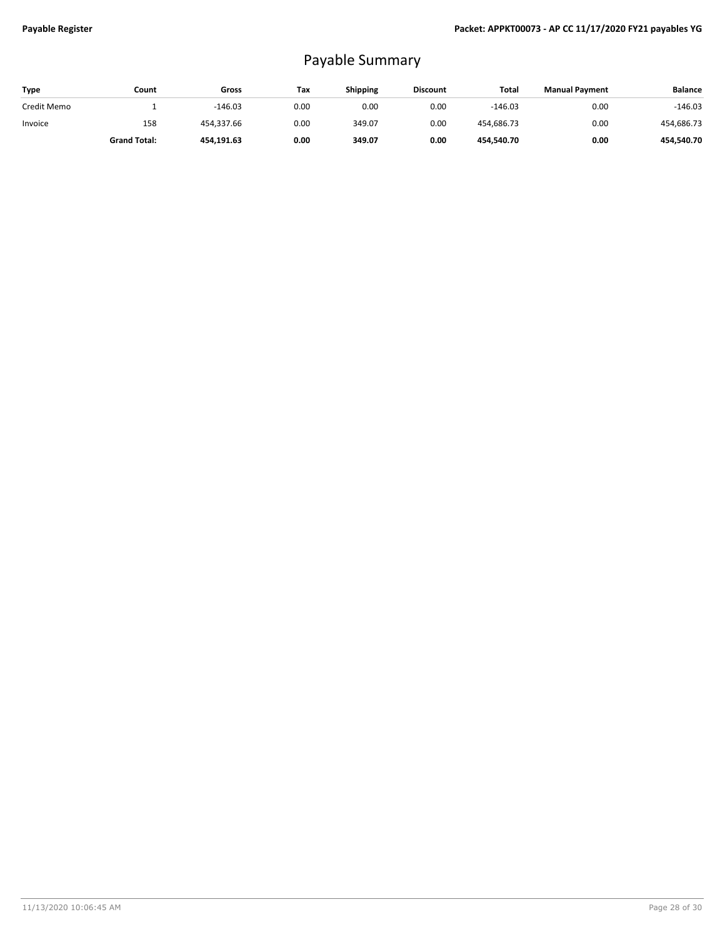## Payable Summary

| Type        | Count               | Gross      | Tax  | <b>Shipping</b> | <b>Discount</b> | Total      | <b>Manual Payment</b> | <b>Balance</b> |
|-------------|---------------------|------------|------|-----------------|-----------------|------------|-----------------------|----------------|
| Credit Memo |                     | $-146.03$  | 0.00 | 0.00            | 0.00            | $-146.03$  | 0.00                  | $-146.03$      |
| Invoice     | 158                 | 454.337.66 | 0.00 | 349.07          | 0.00            | 454,686.73 | 0.00                  | 454,686.73     |
|             | <b>Grand Total:</b> | 454.191.63 | 0.00 | 349.07          | 0.00            | 454,540.70 | 0.00                  | 454.540.70     |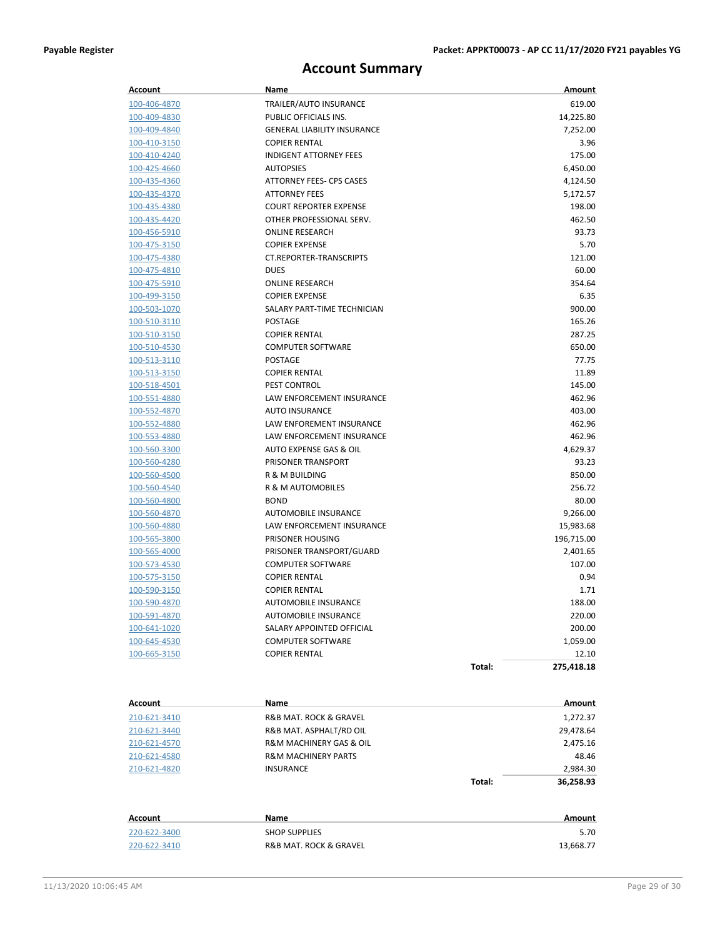### **Account Summary**

| Account             | Name                                  |        | Amount     |
|---------------------|---------------------------------------|--------|------------|
| 100-406-4870        | TRAILER/AUTO INSURANCE                |        | 619.00     |
| 100-409-4830        | PUBLIC OFFICIALS INS.                 |        | 14,225.80  |
| 100-409-4840        | <b>GENERAL LIABILITY INSURANCE</b>    |        | 7,252.00   |
| 100-410-3150        | <b>COPIER RENTAL</b>                  |        | 3.96       |
| 100-410-4240        | <b>INDIGENT ATTORNEY FEES</b>         |        | 175.00     |
| 100-425-4660        | <b>AUTOPSIES</b>                      |        | 6,450.00   |
| 100-435-4360        | ATTORNEY FEES- CPS CASES              |        | 4,124.50   |
| 100-435-4370        | <b>ATTORNEY FEES</b>                  |        | 5,172.57   |
| 100-435-4380        | <b>COURT REPORTER EXPENSE</b>         |        | 198.00     |
| 100-435-4420        | OTHER PROFESSIONAL SERV.              |        | 462.50     |
| 100-456-5910        | <b>ONLINE RESEARCH</b>                |        | 93.73      |
| 100-475-3150        | <b>COPIER EXPENSE</b>                 |        | 5.70       |
| 100-475-4380        | CT.REPORTER-TRANSCRIPTS               |        | 121.00     |
| 100-475-4810        | <b>DUES</b>                           |        | 60.00      |
| 100-475-5910        | <b>ONLINE RESEARCH</b>                |        | 354.64     |
| 100-499-3150        | <b>COPIER EXPENSE</b>                 |        | 6.35       |
| 100-503-1070        | SALARY PART-TIME TECHNICIAN           |        | 900.00     |
| 100-510-3110        | <b>POSTAGE</b>                        |        | 165.26     |
| 100-510-3150        | <b>COPIER RENTAL</b>                  |        | 287.25     |
| 100-510-4530        | <b>COMPUTER SOFTWARE</b>              |        | 650.00     |
| 100-513-3110        | <b>POSTAGE</b>                        |        | 77.75      |
| 100-513-3150        | <b>COPIER RENTAL</b>                  |        | 11.89      |
| 100-518-4501        | <b>PEST CONTROL</b>                   |        | 145.00     |
| 100-551-4880        | LAW ENFORCEMENT INSURANCE             |        | 462.96     |
| 100-552-4870        | <b>AUTO INSURANCE</b>                 |        | 403.00     |
| 100-552-4880        | LAW ENFOREMENT INSURANCE              |        | 462.96     |
| 100-553-4880        | LAW ENFORCEMENT INSURANCE             |        | 462.96     |
| 100-560-3300        | AUTO EXPENSE GAS & OIL                |        | 4,629.37   |
| 100-560-4280        | PRISONER TRANSPORT                    |        | 93.23      |
| 100-560-4500        | R & M BUILDING                        |        | 850.00     |
| 100-560-4540        | R & M AUTOMOBILES                     |        | 256.72     |
| 100-560-4800        | <b>BOND</b>                           |        | 80.00      |
| 100-560-4870        | AUTOMOBILE INSURANCE                  |        | 9,266.00   |
| 100-560-4880        | LAW ENFORCEMENT INSURANCE             |        | 15,983.68  |
| 100-565-3800        | PRISONER HOUSING                      |        | 196,715.00 |
| 100-565-4000        | PRISONER TRANSPORT/GUARD              |        | 2,401.65   |
| 100-573-4530        | <b>COMPUTER SOFTWARE</b>              |        | 107.00     |
| 100-575-3150        | <b>COPIER RENTAL</b>                  |        | 0.94       |
| 100-590-3150        | <b>COPIER RENTAL</b>                  |        | 1.71       |
| 100-590-4870        | <b>AUTOMOBILE INSURANCE</b>           |        | 188.00     |
| 100-591-4870        | AUTOMOBILE INSURANCE                  |        | 220.00     |
| <u>100-641-1020</u> | SALARY APPOINTED OFFICIAL             |        | 200.00     |
| 100-645-4530        | <b>COMPUTER SOFTWARE</b>              |        | 1,059.00   |
| 100-665-3150        | <b>COPIER RENTAL</b>                  |        | 12.10      |
|                     |                                       | Total: | 275,418.18 |
|                     |                                       |        |            |
| <b>Account</b>      | Name                                  |        | Amount     |
| 210-621-3410        | <b>R&amp;B MAT. ROCK &amp; GRAVEL</b> |        | 1,272.37   |
| 210-621-3440        | R&B MAT. ASPHALT/RD OIL               |        | 29,478.64  |
| 210-621-4570        | R&M MACHINERY GAS & OIL               |        | 2,475.16   |
| 210-621-4580        | <b>R&amp;M MACHINERY PARTS</b>        |        | 48.46      |
| 210-621-4820        | <b>INSURANCE</b>                      |        | 2,984.30   |
|                     |                                       | Total: | 36,258.93  |
|                     |                                       |        |            |
| Account             | Name                                  |        | Amount     |
| 220-622-3400        | <b>SHOP SUPPLIES</b>                  |        | 5.70       |
| 220-622-3410        | R&B MAT. ROCK & GRAVEL                |        | 13,668.77  |
|                     |                                       |        |            |